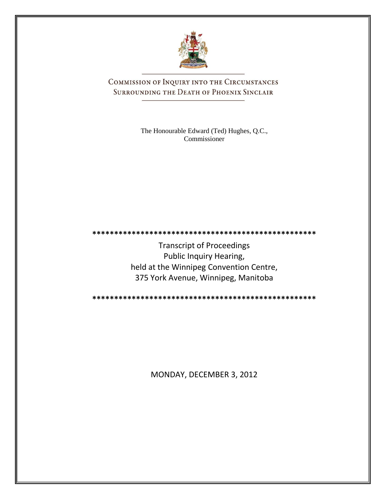

COMMISSION OF INQUIRY INTO THE CIRCUMSTANCES SURROUNDING THE DEATH OF PHOENIX SINCLAIR

> The Honourable Edward (Ted) Hughes, Q.C., Commissioner

Transcript of Proceedings Public Inquiry Hearing, held at the Winnipeg Convention Centre, 375 York Avenue, Winnipeg, Manitoba

**\*\*\*\*\*\*\*\*\*\*\*\*\*\*\*\*\*\*\*\*\*\*\*\*\*\*\*\*\*\*\*\*\*\*\*\*\*\*\*\*\*\*\*\*\*\*\*\*\*\*\***

**\*\*\*\*\*\*\*\*\*\*\*\*\*\*\*\*\*\*\*\*\*\*\*\*\*\*\*\*\*\*\*\*\*\*\*\*\*\*\*\*\*\*\*\*\*\*\*\*\*\*\***

MONDAY, DECEMBER 3, 2012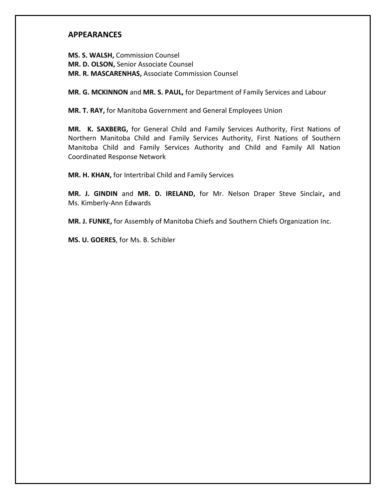# **APPEARANCES**

**MS. S. WALSH,** Commission Counsel **MR. D. OLSON,** Senior Associate Counsel **MR. R. MASCARENHAS,** Associate Commission Counsel

**MR. G. MCKINNON** and **MR. S. PAUL,** for Department of Family Services and Labour

**MR. T. RAY,** for Manitoba Government and General Employees Union

**MR. K. SAXBERG,** for General Child and Family Services Authority, First Nations of Northern Manitoba Child and Family Services Authority, First Nations of Southern Manitoba Child and Family Services Authority and Child and Family All Nation Coordinated Response Network

**MR. H. KHAN,** for Intertribal Child and Family Services

**MR. J. GINDIN** and **MR. D. IRELAND,** for Mr. Nelson Draper Steve Sinclair**,** and Ms. Kimberly-Ann Edwards

**MR. J. FUNKE,** for Assembly of Manitoba Chiefs and Southern Chiefs Organization Inc.

**MS. U. GOERES**, for Ms. B. Schibler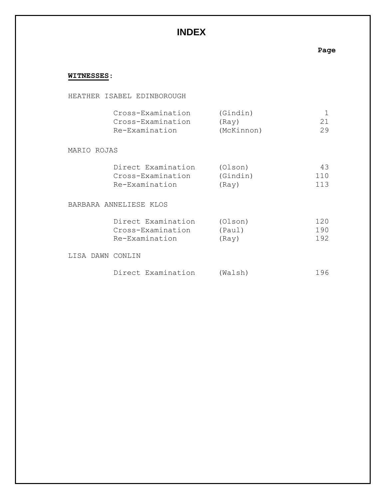# **INDEX**

# **Page**

# **WITNESSES**:

HEATHER ISABEL EDINBOROUGH

|                  | Cross-Examination      | (Gindin)   | 1   |
|------------------|------------------------|------------|-----|
|                  | Cross-Examination      | (Ray)      | 21  |
|                  | Re-Examination         | (McKinnon) | 29  |
| MARIO ROJAS      |                        |            |     |
|                  | Direct Examination     | (Olson)    | 43  |
|                  | Cross-Examination      | (Gindin)   | 110 |
|                  | Re-Examination         | (Ray)      | 113 |
|                  | BARBARA ANNELIESE KLOS |            |     |
|                  | Direct Examination     | (Olson)    | 120 |
|                  | Cross-Examination      | (Paul)     | 190 |
|                  | Re-Examination         | (Ray)      | 192 |
| LISA DAWN CONLIN |                        |            |     |

|  | Direct Examination | (Walsh) | 196 |
|--|--------------------|---------|-----|
|--|--------------------|---------|-----|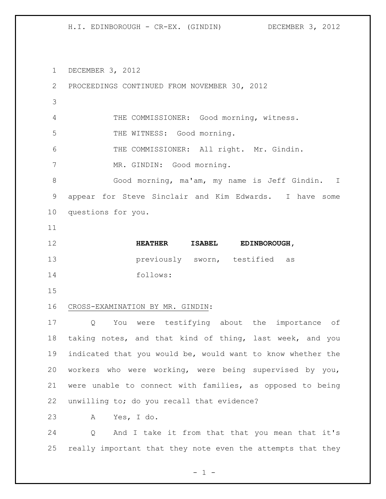DECEMBER 3, 2012

 PROCEEDINGS CONTINUED FROM NOVEMBER 30, 2012 THE COMMISSIONER: Good morning, witness. THE WITNESS: Good morning. THE COMMISSIONER: All right. Mr. Gindin. MR. GINDIN: Good morning. Good morning, ma'am, my name is Jeff Gindin. I appear for Steve Sinclair and Kim Edwards. I have some questions for you. **HEATHER ISABEL EDINBOROUGH,**  previously sworn, testified as follows: CROSS-EXAMINATION BY MR. GINDIN: Q You were testifying about the importance of taking notes, and that kind of thing, last week, and you indicated that you would be, would want to know whether the workers who were working, were being supervised by you, were unable to connect with families, as opposed to being unwilling to; do you recall that evidence? A Yes, I do. Q And I take it from that that you mean that it's

really important that they note even the attempts that they

 $- 1 -$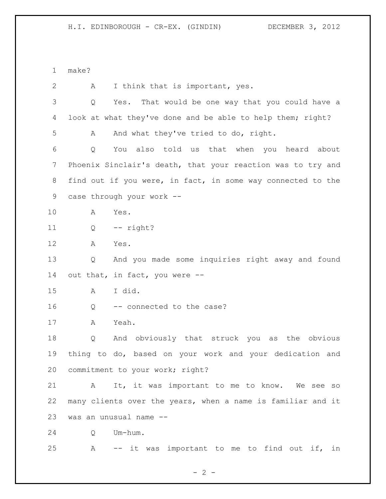make?

 A I think that is important, yes. Q Yes. That would be one way that you could have a look at what they've done and be able to help them; right? A And what they've tried to do, right. Q You also told us that when you heard about Phoenix Sinclair's death, that your reaction was to try and find out if you were, in fact, in some way connected to the case through your work -- A Yes. Q -- right? A Yes. Q And you made some inquiries right away and found out that, in fact, you were -- A I did. 16 Q -- connected to the case? A Yeah. Q And obviously that struck you as the obvious thing to do, based on your work and your dedication and commitment to your work; right? A It, it was important to me to know. We see so many clients over the years, when a name is familiar and it was an unusual name -- Q Um-hum. A -- it was important to me to find out if, in

 $- 2 -$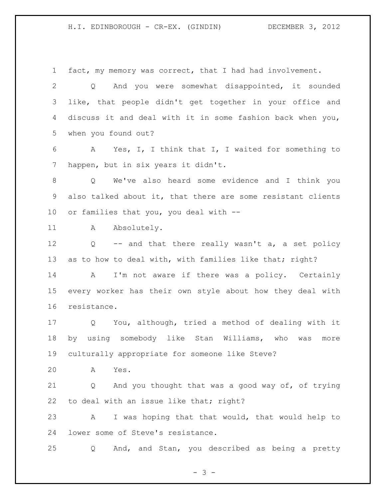fact, my memory was correct, that I had had involvement.

 Q And you were somewhat disappointed, it sounded like, that people didn't get together in your office and discuss it and deal with it in some fashion back when you, when you found out?

 A Yes, I, I think that I, I waited for something to happen, but in six years it didn't.

 Q We've also heard some evidence and I think you also talked about it, that there are some resistant clients or families that you, you deal with --

11 A Absolutely.

 Q -- and that there really wasn't a, a set policy 13 as to how to deal with, with families like that; right?

 A I'm not aware if there was a policy. Certainly every worker has their own style about how they deal with resistance.

 Q You, although, tried a method of dealing with it by using somebody like Stan Williams, who was more culturally appropriate for someone like Steve?

A Yes.

 Q And you thought that was a good way of, of trying 22 to deal with an issue like that; right?

 A I was hoping that that would, that would help to lower some of Steve's resistance.

Q And, and Stan, you described as being a pretty

- 3 -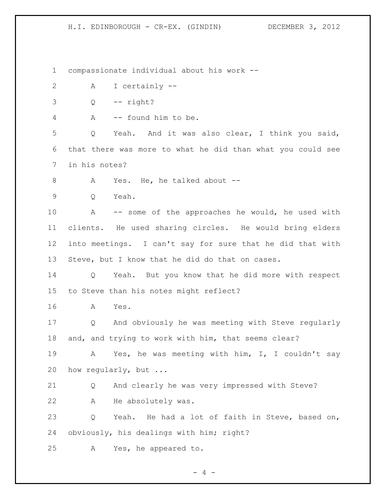compassionate individual about his work --

- A I certainly --
- $3 \qquad Q \qquad -- \qquad right?$
- A -- found him to be.

 Q Yeah. And it was also clear, I think you said, that there was more to what he did than what you could see in his notes?

- 8 A Yes. He, he talked about --
- Q Yeah.

 A -- some of the approaches he would, he used with clients. He used sharing circles. He would bring elders into meetings. I can't say for sure that he did that with Steve, but I know that he did do that on cases.

 Q Yeah. But you know that he did more with respect to Steve than his notes might reflect?

A Yes.

 Q And obviously he was meeting with Steve regularly and, and trying to work with him, that seems clear?

 A Yes, he was meeting with him, I, I couldn't say how regularly, but ...

 Q And clearly he was very impressed with Steve? A He absolutely was.

 Q Yeah. He had a lot of faith in Steve, based on, obviously, his dealings with him; right?

A Yes, he appeared to.

 $- 4 -$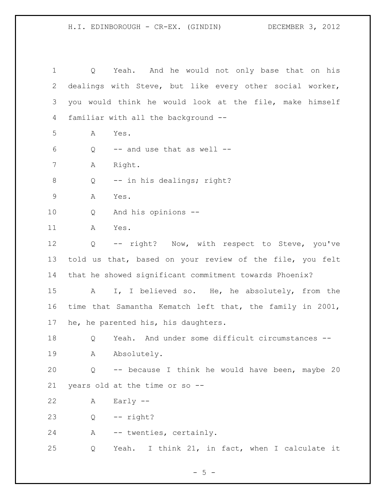Q Yeah. And he would not only base that on his dealings with Steve, but like every other social worker, you would think he would look at the file, make himself familiar with all the background -- A Yes. Q  $-$  and use that as well  $-$  A Right. 8 Q -- in his dealings; right? A Yes. Q And his opinions -- A Yes. Q -- right? Now, with respect to Steve, you've told us that, based on your review of the file, you felt that he showed significant commitment towards Phoenix? A I, I believed so. He, he absolutely, from the time that Samantha Kematch left that, the family in 2001, he, he parented his, his daughters. Q Yeah. And under some difficult circumstances -- A Absolutely. Q -- because I think he would have been, maybe 20 years old at the time or so -- A Early -- Q -- right? A -- twenties, certainly. Q Yeah. I think 21, in fact, when I calculate it

 $- 5 -$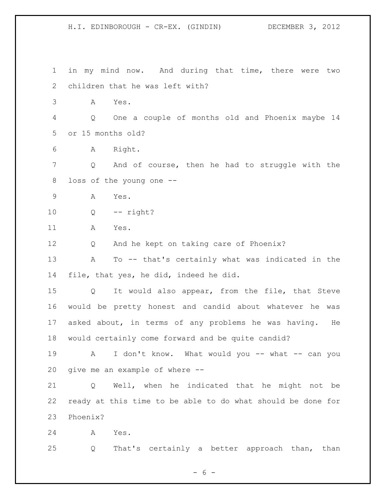in my mind now. And during that time, there were two children that he was left with? A Yes. Q One a couple of months old and Phoenix maybe 14 or 15 months old? A Right. Q And of course, then he had to struggle with the loss of the young one -- A Yes. Q -- right? A Yes. Q And he kept on taking care of Phoenix? A To -- that's certainly what was indicated in the file, that yes, he did, indeed he did. Q It would also appear, from the file, that Steve would be pretty honest and candid about whatever he was asked about, in terms of any problems he was having. He would certainly come forward and be quite candid? 19 A I don't know. What would you -- what -- can you give me an example of where -- Q Well, when he indicated that he might not be ready at this time to be able to do what should be done for Phoenix? A Yes. Q That's certainly a better approach than, than

 $- 6 -$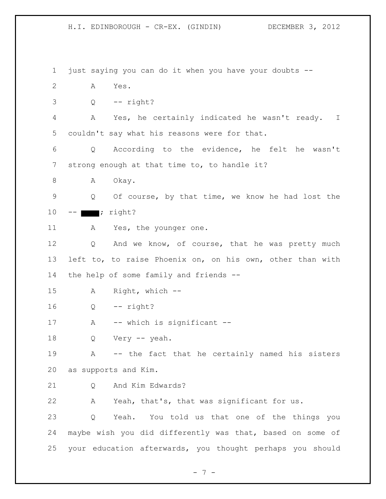1 just saying you can do it when you have your doubts -- 2 A Yes.  $3 \qquad Q \qquad -- \qquad right?$ 4 A Yes, he certainly indicated he wasn't ready. I 5 couldn't say what his reasons were for that. 6 Q According to the evidence, he felt he wasn't 7 strong enough at that time to, to handle it? 8 A Okay. 9 Q Of course, by that time, we know he had lost the  $10$  --  $\blacksquare$ ; right? 11 A Yes, the younger one. 12 Q And we know, of course, that he was pretty much 13 left to, to raise Phoenix on, on his own, other than with 14 the help of some family and friends -- 15 A Right, which -- 16 Q -- right? 17 A -- which is significant --18 Q Very -- yeah. 19 A -- the fact that he certainly named his sisters 20 as supports and Kim. 21 O And Kim Edwards? 22 A Yeah, that's, that was significant for us. 23 Q Yeah. You told us that one of the things you 24 maybe wish you did differently was that, based on some of 25 your education afterwards, you thought perhaps you should

- 7 -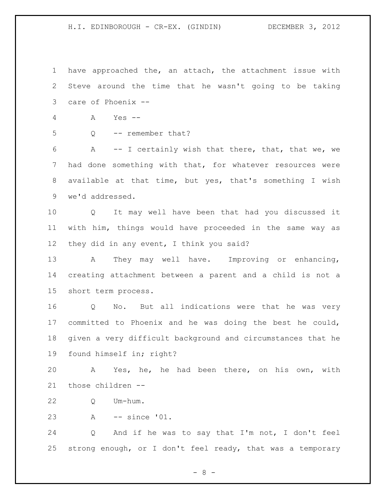have approached the, an attach, the attachment issue with Steve around the time that he wasn't going to be taking care of Phoenix --

- A Yes --
- 
- Q -- remember that?

 A -- I certainly wish that there, that, that we, we had done something with that, for whatever resources were available at that time, but yes, that's something I wish we'd addressed.

 Q It may well have been that had you discussed it with him, things would have proceeded in the same way as 12 they did in any event, I think you said?

 A They may well have. Improving or enhancing, creating attachment between a parent and a child is not a short term process.

 Q No. But all indications were that he was very committed to Phoenix and he was doing the best he could, given a very difficult background and circumstances that he found himself in; right?

 A Yes, he, he had been there, on his own, with those children --

- Q Um-hum.
- A -- since '01.

 Q And if he was to say that I'm not, I don't feel strong enough, or I don't feel ready, that was a temporary

 $- 8 -$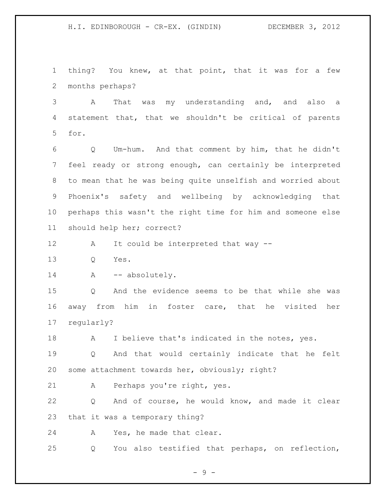thing? You knew, at that point, that it was for a few months perhaps?

 A That was my understanding and, and also a statement that, that we shouldn't be critical of parents for.

 Q Um-hum. And that comment by him, that he didn't feel ready or strong enough, can certainly be interpreted to mean that he was being quite unselfish and worried about Phoenix's safety and wellbeing by acknowledging that perhaps this wasn't the right time for him and someone else should help her; correct?

A It could be interpreted that way --

Q Yes.

14 A -- absolutely.

 Q And the evidence seems to be that while she was away from him in foster care, that he visited her regularly?

18 A I believe that's indicated in the notes, yes.

 Q And that would certainly indicate that he felt some attachment towards her, obviously; right?

A Perhaps you're right, yes.

 Q And of course, he would know, and made it clear that it was a temporary thing?

A Yes, he made that clear.

Q You also testified that perhaps, on reflection,

 $-9 -$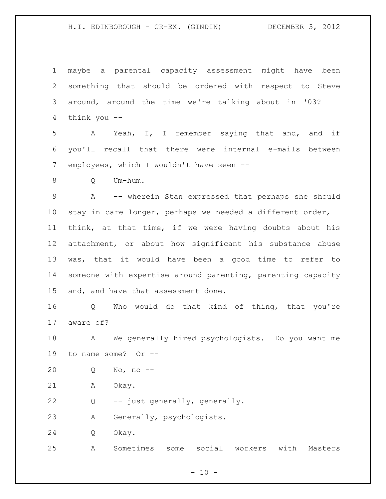maybe a parental capacity assessment might have been something that should be ordered with respect to Steve around, around the time we're talking about in '03? I think you --

 A Yeah, I, I remember saying that and, and if you'll recall that there were internal e-mails between employees, which I wouldn't have seen --

Q Um-hum.

 A -- wherein Stan expressed that perhaps she should stay in care longer, perhaps we needed a different order, I think, at that time, if we were having doubts about his attachment, or about how significant his substance abuse was, that it would have been a good time to refer to someone with expertise around parenting, parenting capacity and, and have that assessment done.

 Q Who would do that kind of thing, that you're aware of?

 A We generally hired psychologists. Do you want me to name some? Or --

Q No, no --

A Okay.

Q -- just generally, generally.

A Generally, psychologists.

Q Okay.

A Sometimes some social workers with Masters

 $- 10 -$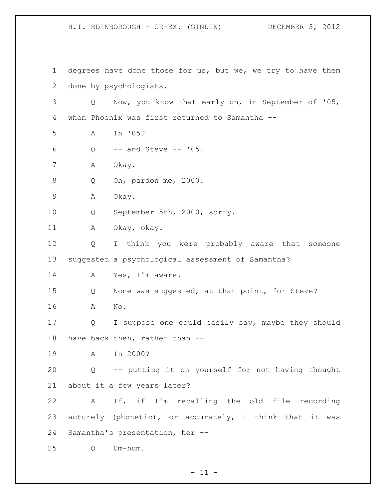degrees have done those for us, but we, we try to have them done by psychologists. Q Now, you know that early on, in September of '05, when Phoenix was first returned to Samantha -- A In '05?  $Q \rightarrow$  -- and Steve -- '05. A Okay. Q Oh, pardon me, 2000. A Okay. Q September 5th, 2000, sorry. A Okay, okay. Q I think you were probably aware that someone suggested a psychological assessment of Samantha? 14 A Yes, I'm aware. Q None was suggested, at that point, for Steve? A No. Q I suppose one could easily say, maybe they should have back then, rather than -- A In 2000? Q -- putting it on yourself for not having thought about it a few years later? A If, if I'm recalling the old file recording acturely (phonetic), or accurately, I think that it was Samantha's presentation, her -- Q Um-hum.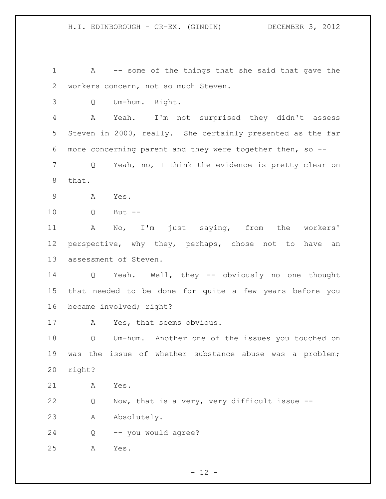A -- some of the things that she said that gave the workers concern, not so much Steven.

Q Um-hum. Right.

 A Yeah. I'm not surprised they didn't assess Steven in 2000, really. She certainly presented as the far more concerning parent and they were together then, so --

 Q Yeah, no, I think the evidence is pretty clear on that.

A Yes.

Q But --

 A No, I'm just saying, from the workers' 12 perspective, why they, perhaps, chose not to have an assessment of Steven.

 Q Yeah. Well, they -- obviously no one thought that needed to be done for quite a few years before you became involved; right?

A Yes, that seems obvious.

 Q Um-hum. Another one of the issues you touched on was the issue of whether substance abuse was a problem; right?

A Yes.

Q Now, that is a very, very difficult issue --

A Absolutely.

Q -- you would agree?

A Yes.

 $- 12 -$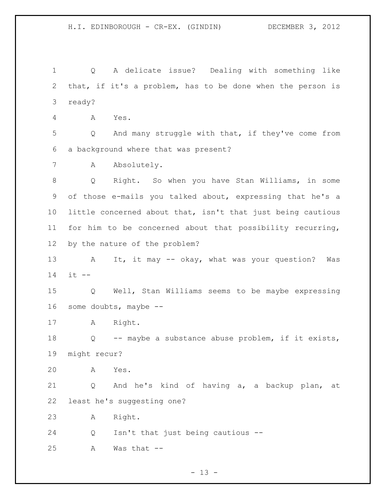Q A delicate issue? Dealing with something like that, if it's a problem, has to be done when the person is ready? A Yes. Q And many struggle with that, if they've come from a background where that was present? A Absolutely. Q Right. So when you have Stan Williams, in some of those e-mails you talked about, expressing that he's a little concerned about that, isn't that just being cautious for him to be concerned about that possibility recurring, by the nature of the problem? 13 A It, it may -- okay, what was your question? Was it -- Q Well, Stan Williams seems to be maybe expressing some doubts, maybe -- A Right. Q -- maybe a substance abuse problem, if it exists, might recur? A Yes. Q And he's kind of having a, a backup plan, at least he's suggesting one? A Right. Q Isn't that just being cautious -- A Was that --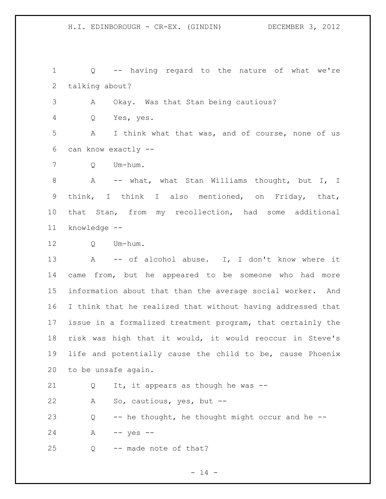Q -- having regard to the nature of what we're talking about?

A Okay. Was that Stan being cautious?

Q Yes, yes.

 A I think what that was, and of course, none of us can know exactly --

Q Um-hum.

 A -- what, what Stan Williams thought, but I, I think, I think I also mentioned, on Friday, that, that Stan, from my recollection, had some additional knowledge --

Q Um-hum.

13 A -- of alcohol abuse. I, I don't know where it came from, but he appeared to be someone who had more information about that than the average social worker. And I think that he realized that without having addressed that issue in a formalized treatment program, that certainly the risk was high that it would, it would reoccur in Steve's life and potentially cause the child to be, cause Phoenix to be unsafe again.

Q It, it appears as though he was --

A So, cautious, yes, but --

 Q -- he thought, he thought might occur and he -- A -- yes --

Q -- made note of that?

 $- 14 -$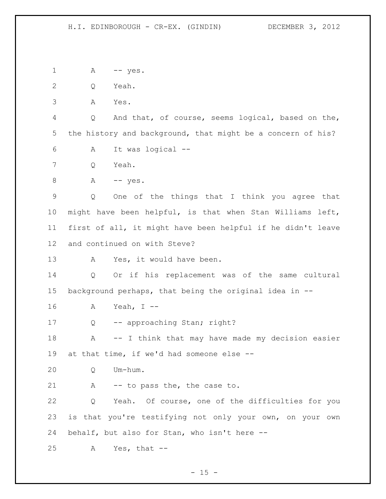1 A -- yes.

Q Yeah.

A Yes.

 Q And that, of course, seems logical, based on the, the history and background, that might be a concern of his?

- A It was logical --
- Q Yeah.
- 8 A -- yes.

 Q One of the things that I think you agree that might have been helpful, is that when Stan Williams left, first of all, it might have been helpful if he didn't leave and continued on with Steve?

13 A Yes, it would have been.

 Q Or if his replacement was of the same cultural background perhaps, that being the original idea in --

- A Yeah, I --
- Q -- approaching Stan; right?

18 A -- I think that may have made my decision easier at that time, if we'd had someone else --

Q Um-hum.

21 A -- to pass the, the case to.

 Q Yeah. Of course, one of the difficulties for you is that you're testifying not only your own, on your own behalf, but also for Stan, who isn't here --

A Yes, that --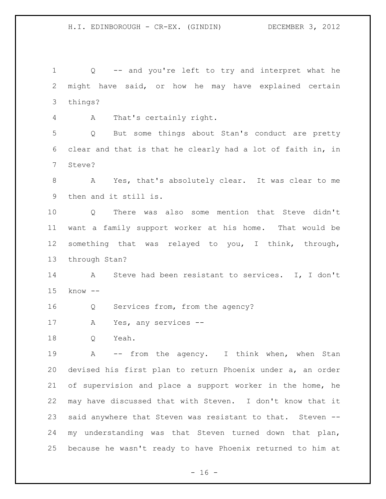Q -- and you're left to try and interpret what he might have said, or how he may have explained certain things?

A That's certainly right.

 Q But some things about Stan's conduct are pretty clear and that is that he clearly had a lot of faith in, in Steve?

 A Yes, that's absolutely clear. It was clear to me then and it still is.

 Q There was also some mention that Steve didn't want a family support worker at his home. That would be something that was relayed to you, I think, through, through Stan?

 A Steve had been resistant to services. I, I don't know --

Q Services from, from the agency?

A Yes, any services --

Q Yeah.

19 A -- from the agency. I think when, when Stan devised his first plan to return Phoenix under a, an order of supervision and place a support worker in the home, he may have discussed that with Steven. I don't know that it said anywhere that Steven was resistant to that. Steven -- my understanding was that Steven turned down that plan, because he wasn't ready to have Phoenix returned to him at

 $- 16 -$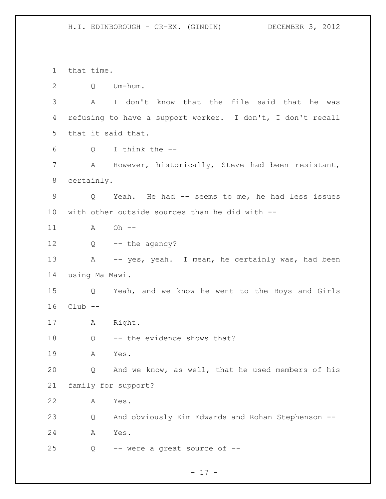that time. Q Um-hum. A I don't know that the file said that he was refusing to have a support worker. I don't, I don't recall that it said that. Q I think the -- A However, historically, Steve had been resistant, certainly. Q Yeah. He had -- seems to me, he had less issues with other outside sources than he did with -- 11 A Oh -- Q -- the agency? 13 A -- yes, yeah. I mean, he certainly was, had been using Ma Mawi. Q Yeah, and we know he went to the Boys and Girls Club -- A Right. 18 Q -- the evidence shows that? A Yes. Q And we know, as well, that he used members of his family for support? A Yes. Q And obviously Kim Edwards and Rohan Stephenson -- A Yes. Q -- were a great source of --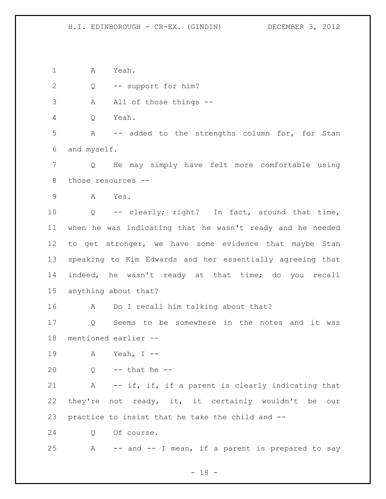A Yeah.

Q -- support for him?

3 A All of those things --

Q Yeah.

 A -- added to the strengths column for, for Stan and myself.

 Q He may simply have felt more comfortable using those resources --

A Yes.

 Q -- clearly; right? In fact, around that time, when he was indicating that he wasn't ready and he needed to get stronger, we have some evidence that maybe Stan speaking to Kim Edwards and her essentially agreeing that indeed, he wasn't ready at that time; do you recall anything about that?

A Do I recall him talking about that?

 Q Seems to be somewhere in the notes and it was mentioned earlier --

A Yeah, I --

20  $Q \rightarrow$  -- that he --

 A -- if, if, if a parent is clearly indicating that they're not ready, it, it certainly wouldn't be our practice to insist that he take the child and --

Q Of course.

A -- and -- I mean, if a parent is prepared to say

 $- 18 -$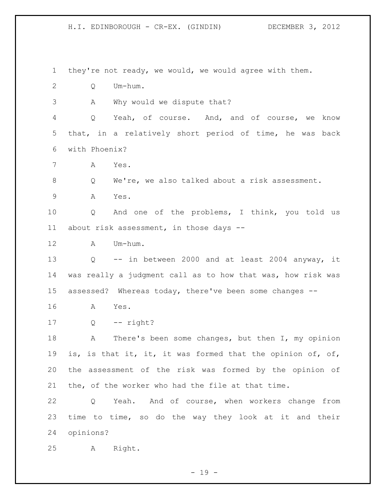they're not ready, we would, we would agree with them. Q Um-hum. A Why would we dispute that? Q Yeah, of course. And, and of course, we know that, in a relatively short period of time, he was back with Phoenix? A Yes. Q We're, we also talked about a risk assessment. A Yes. Q And one of the problems, I think, you told us about risk assessment, in those days -- A Um-hum. Q -- in between 2000 and at least 2004 anyway, it was really a judgment call as to how that was, how risk was assessed? Whereas today, there've been some changes -- A Yes. Q -- right? 18 A There's been some changes, but then I, my opinion is, is that it, it, it was formed that the opinion of, of, the assessment of the risk was formed by the opinion of the, of the worker who had the file at that time. Q Yeah. And of course, when workers change from time to time, so do the way they look at it and their opinions? A Right.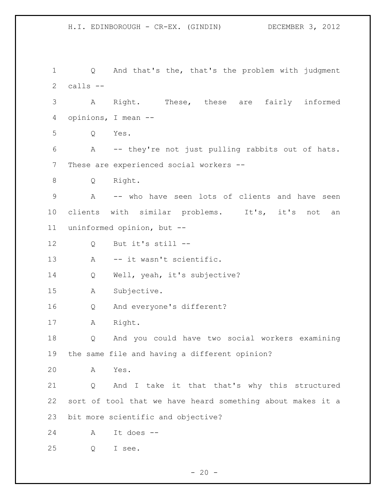Q And that's the, that's the problem with judgment calls -- A Right. These, these are fairly informed opinions, I mean -- Q Yes. A -- they're not just pulling rabbits out of hats. These are experienced social workers -- Q Right. A -- who have seen lots of clients and have seen 10 clients with similar problems. It's, it's not an uninformed opinion, but -- Q But it's still -- 13 A -- it wasn't scientific. Q Well, yeah, it's subjective? A Subjective. Q And everyone's different? A Right. Q And you could have two social workers examining the same file and having a different opinion? A Yes. Q And I take it that that's why this structured sort of tool that we have heard something about makes it a bit more scientific and objective? A It does -- Q I see.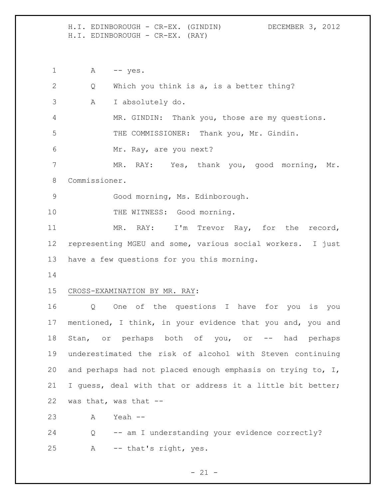H.I. EDINBOROUGH - CR-EX. (GINDIN) DECEMBER 3, 2012 H.I. EDINBOROUGH - CR-EX. (RAY)

1 A -- yes. Q Which you think is a, is a better thing? A I absolutely do. MR. GINDIN: Thank you, those are my questions. THE COMMISSIONER: Thank you, Mr. Gindin. Mr. Ray, are you next? 7 MR. RAY: Yes, thank you, good morning, Mr. Commissioner. Good morning, Ms. Edinborough. 10 THE WITNESS: Good morning. 11 MR. RAY: I'm Trevor Ray, for the record, representing MGEU and some, various social workers. I just have a few questions for you this morning. CROSS-EXAMINATION BY MR. RAY: Q One of the questions I have for you is you mentioned, I think, in your evidence that you and, you and Stan, or perhaps both of you, or -- had perhaps underestimated the risk of alcohol with Steven continuing and perhaps had not placed enough emphasis on trying to, I, I guess, deal with that or address it a little bit better; was that, was that -- A Yeah -- Q -- am I understanding your evidence correctly? A -- that's right, yes.

 $- 21 -$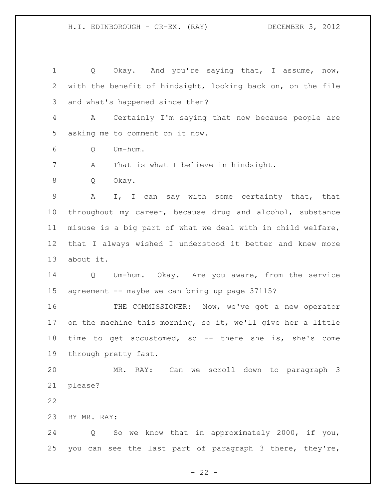1 Q Okay. And you're saying that, I assume, now, with the benefit of hindsight, looking back on, on the file and what's happened since then? A Certainly I'm saying that now because people are asking me to comment on it now. Q Um-hum. A That is what I believe in hindsight. Q Okay. A I, I can say with some certainty that, that throughout my career, because drug and alcohol, substance misuse is a big part of what we deal with in child welfare, that I always wished I understood it better and knew more about it. Q Um-hum. Okay. Are you aware, from the service 15 agreement -- maybe we can bring up page 37115? THE COMMISSIONER: Now, we've got a new operator on the machine this morning, so it, we'll give her a little time to get accustomed, so -- there she is, she's come through pretty fast. MR. RAY: Can we scroll down to paragraph 3 please? BY MR. RAY: Q So we know that in approximately 2000, if you, you can see the last part of paragraph 3 there, they're,

 $- 22 -$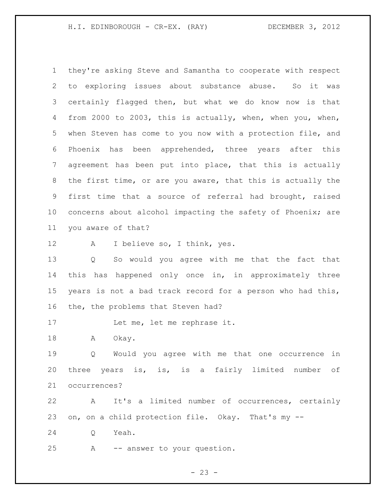H.I. EDINBOROUGH - CR-EX. (RAY) DECEMBER 3, 2012

 they're asking Steve and Samantha to cooperate with respect to exploring issues about substance abuse. So it was certainly flagged then, but what we do know now is that from 2000 to 2003, this is actually, when, when you, when, when Steven has come to you now with a protection file, and Phoenix has been apprehended, three years after this agreement has been put into place, that this is actually the first time, or are you aware, that this is actually the first time that a source of referral had brought, raised concerns about alcohol impacting the safety of Phoenix; are you aware of that?

A I believe so, I think, yes.

 Q So would you agree with me that the fact that this has happened only once in, in approximately three years is not a bad track record for a person who had this, the, the problems that Steven had?

17 Let me, let me rephrase it.

18 A Okay.

 Q Would you agree with me that one occurrence in three years is, is, is a fairly limited number of occurrences?

 A It's a limited number of occurrences, certainly on, on a child protection file. Okay. That's my --

Q Yeah.

A -- answer to your question.

$$
- 23 -
$$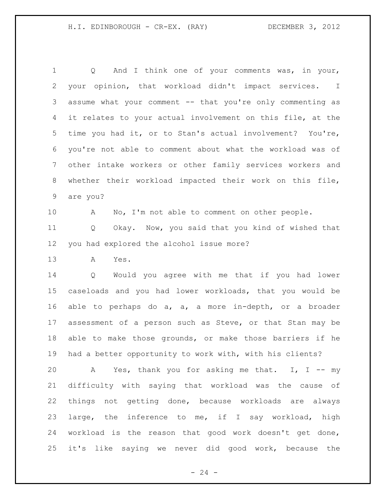Q And I think one of your comments was, in your, your opinion, that workload didn't impact services. I assume what your comment -- that you're only commenting as it relates to your actual involvement on this file, at the time you had it, or to Stan's actual involvement? You're, you're not able to comment about what the workload was of other intake workers or other family services workers and whether their workload impacted their work on this file, are you?

10 A No, I'm not able to comment on other people.

 Q Okay. Now, you said that you kind of wished that you had explored the alcohol issue more?

A Yes.

 Q Would you agree with me that if you had lower caseloads and you had lower workloads, that you would be able to perhaps do a, a, a more in-depth, or a broader assessment of a person such as Steve, or that Stan may be able to make those grounds, or make those barriers if he had a better opportunity to work with, with his clients?

 A Yes, thank you for asking me that. I, I -- my difficulty with saying that workload was the cause of things not getting done, because workloads are always large, the inference to me, if I say workload, high workload is the reason that good work doesn't get done, it's like saying we never did good work, because the

 $- 24 -$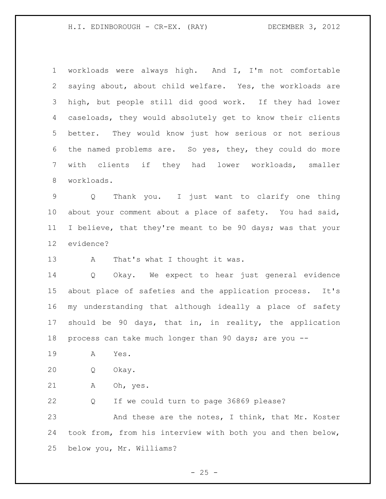H.I. EDINBOROUGH - CR-EX. (RAY) DECEMBER 3, 2012

 workloads were always high. And I, I'm not comfortable saying about, about child welfare. Yes, the workloads are high, but people still did good work. If they had lower caseloads, they would absolutely get to know their clients better. They would know just how serious or not serious the named problems are. So yes, they, they could do more with clients if they had lower workloads, smaller workloads.

 Q Thank you. I just want to clarify one thing about your comment about a place of safety. You had said, I believe, that they're meant to be 90 days; was that your evidence?

13 A That's what I thought it was.

 Q Okay. We expect to hear just general evidence about place of safeties and the application process. It's my understanding that although ideally a place of safety should be 90 days, that in, in reality, the application process can take much longer than 90 days; are you --

A Yes.

Q Okay.

A Oh, yes.

 Q If we could turn to page 36869 please? 23 And these are the notes, I think, that Mr. Koster took from, from his interview with both you and then below, below you, Mr. Williams?

 $- 25 -$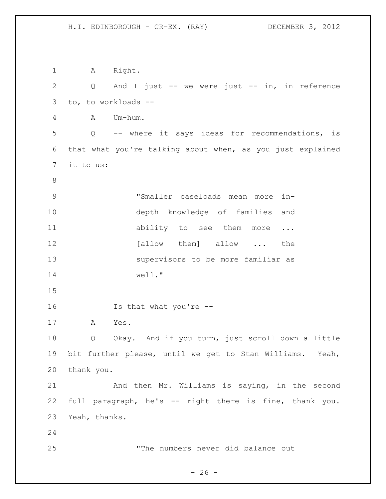1 A Right. Q And I just -- we were just -- in, in reference to, to workloads -- A Um-hum. Q -- where it says ideas for recommendations, is that what you're talking about when, as you just explained it to us: "Smaller caseloads mean more in- depth knowledge of families and 11 ability to see them more ... 12 [allow them] allow ... the supervisors to be more familiar as well." Is that what you're -- A Yes. Q Okay. And if you turn, just scroll down a little bit further please, until we get to Stan Williams. Yeah, thank you. And then Mr. Williams is saying, in the second full paragraph, he's -- right there is fine, thank you. Yeah, thanks. "The numbers never did balance out

 $- 26 -$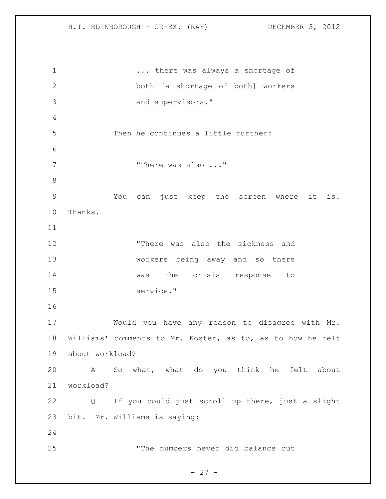... there was always a shortage of both [a shortage of both] workers and supervisors." Then he continues a little further: 7 There was also ..." You can just keep the screen where it is. Thanks. "There was also the sickness and workers being away and so there was the crisis response to service." Would you have any reason to disagree with Mr. Williams' comments to Mr. Koster, as to, as to how he felt about workload? A So what, what do you think he felt about workload? Q If you could just scroll up there, just a slight bit. Mr. Williams is saying: "The numbers never did balance out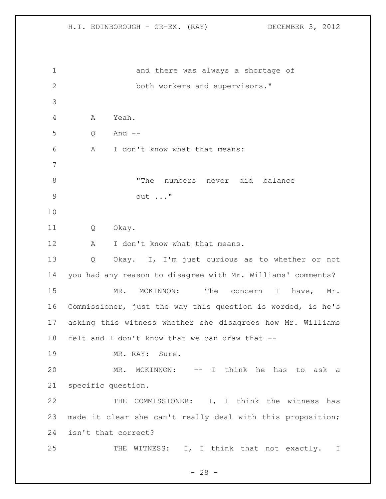and there was always a shortage of both workers and supervisors." A Yeah. Q And -- A I don't know what that means: "The numbers never did balance out ..." Q Okay. 12 A I don't know what that means. Q Okay. I, I'm just curious as to whether or not you had any reason to disagree with Mr. Williams' comments? 15 MR. MCKINNON: The concern I have, Mr. Commissioner, just the way this question is worded, is he's asking this witness whether she disagrees how Mr. Williams felt and I don't know that we can draw that -- 19 MR. RAY: Sure. 20 MR. MCKINNON: -- I think he has to ask a specific question. THE COMMISSIONER: I, I think the witness has made it clear she can't really deal with this proposition; isn't that correct? 25 THE WITNESS: I, I think that not exactly. I

 $- 28 -$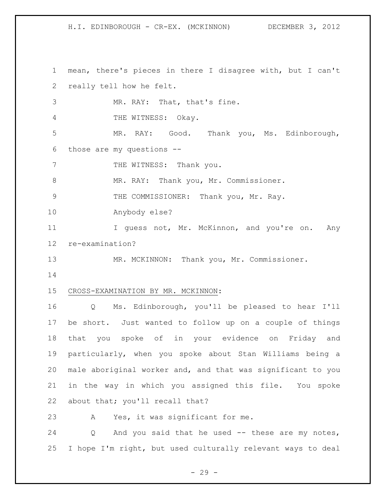mean, there's pieces in there I disagree with, but I can't really tell how he felt.

MR. RAY: That, that's fine.

THE WITNESS: Okay.

 MR. RAY: Good. Thank you, Ms. Edinborough, those are my questions --

7 THE WITNESS: Thank you.

8 MR. RAY: Thank you, Mr. Commissioner.

9 THE COMMISSIONER: Thank you, Mr. Ray.

Anybody else?

11 I guess not, Mr. McKinnon, and you're on. Any re-examination?

MR. MCKINNON: Thank you, Mr. Commissioner.

### CROSS-EXAMINATION BY MR. MCKINNON:

 Q Ms. Edinborough, you'll be pleased to hear I'll be short. Just wanted to follow up on a couple of things that you spoke of in your evidence on Friday and particularly, when you spoke about Stan Williams being a male aboriginal worker and, and that was significant to you in the way in which you assigned this file. You spoke about that; you'll recall that?

A Yes, it was significant for me.

 Q And you said that he used -- these are my notes, I hope I'm right, but used culturally relevant ways to deal

 $-29 -$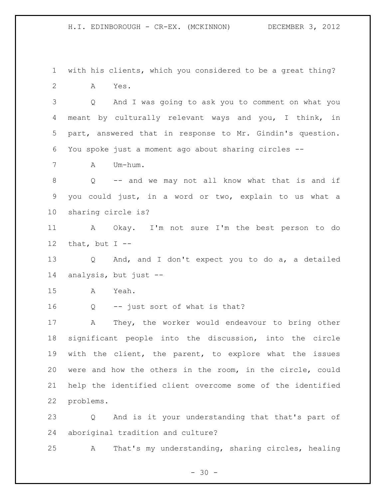with his clients, which you considered to be a great thing? A Yes.

 Q And I was going to ask you to comment on what you meant by culturally relevant ways and you, I think, in part, answered that in response to Mr. Gindin's question. You spoke just a moment ago about sharing circles --

A Um-hum.

 Q -- and we may not all know what that is and if you could just, in a word or two, explain to us what a sharing circle is?

 A Okay. I'm not sure I'm the best person to do 12 that, but  $I$  --

 Q And, and I don't expect you to do a, a detailed analysis, but just --

A Yeah.

Q -- just sort of what is that?

 A They, the worker would endeavour to bring other significant people into the discussion, into the circle with the client, the parent, to explore what the issues were and how the others in the room, in the circle, could help the identified client overcome some of the identified problems.

 Q And is it your understanding that that's part of aboriginal tradition and culture?

A That's my understanding, sharing circles, healing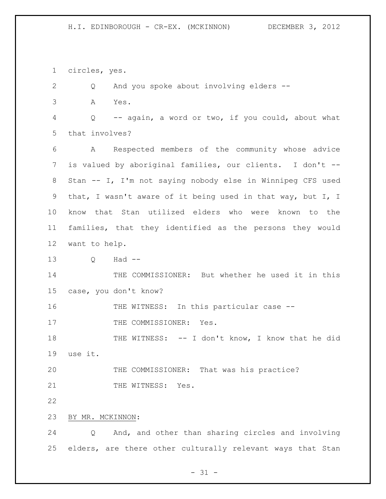circles, yes.

 Q And you spoke about involving elders -- A Yes. Q -- again, a word or two, if you could, about what that involves? A Respected members of the community whose advice is valued by aboriginal families, our clients. I don't -- Stan -- I, I'm not saying nobody else in Winnipeg CFS used that, I wasn't aware of it being used in that way, but I, I know that Stan utilized elders who were known to the families, that they identified as the persons they would want to help. Q Had -- THE COMMISSIONER: But whether he used it in this case, you don't know? 16 THE WITNESS: In this particular case --17 THE COMMISSIONER: Yes. THE WITNESS: -- I don't know, I know that he did use it. THE COMMISSIONER: That was his practice? 21 THE WITNESS: Yes. BY MR. MCKINNON: Q And, and other than sharing circles and involving elders, are there other culturally relevant ways that Stan

 $- 31 -$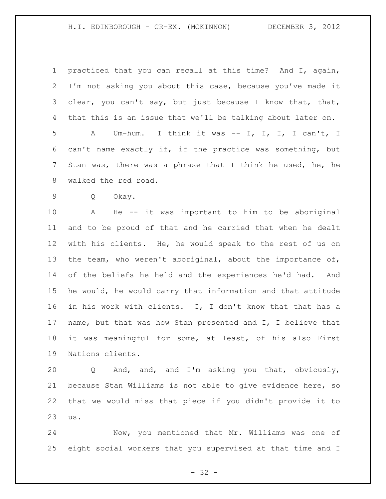practiced that you can recall at this time? And I, again, I'm not asking you about this case, because you've made it clear, you can't say, but just because I know that, that, that this is an issue that we'll be talking about later on.

 A Um-hum. I think it was -- I, I, I, I can't, I can't name exactly if, if the practice was something, but Stan was, there was a phrase that I think he used, he, he walked the red road.

Q Okay.

 A He -- it was important to him to be aboriginal and to be proud of that and he carried that when he dealt with his clients. He, he would speak to the rest of us on the team, who weren't aboriginal, about the importance of, of the beliefs he held and the experiences he'd had. And he would, he would carry that information and that attitude in his work with clients. I, I don't know that that has a name, but that was how Stan presented and I, I believe that it was meaningful for some, at least, of his also First Nations clients.

 Q And, and, and I'm asking you that, obviously, because Stan Williams is not able to give evidence here, so that we would miss that piece if you didn't provide it to us.

 Now, you mentioned that Mr. Williams was one of eight social workers that you supervised at that time and I

 $- 32 -$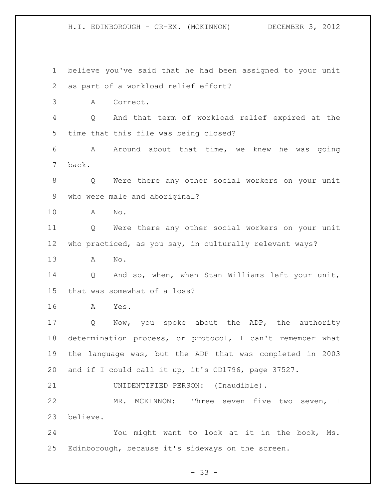believe you've said that he had been assigned to your unit as part of a workload relief effort? A Correct. Q And that term of workload relief expired at the time that this file was being closed? A Around about that time, we knew he was going back. Q Were there any other social workers on your unit who were male and aboriginal? A No. Q Were there any other social workers on your unit who practiced, as you say, in culturally relevant ways? A No. Q And so, when, when Stan Williams left your unit, that was somewhat of a loss? A Yes. 17 Q Now, you spoke about the ADP, the authority determination process, or protocol, I can't remember what the language was, but the ADP that was completed in 2003 and if I could call it up, it's CD1796, page 37527. UNIDENTIFIED PERSON: (Inaudible). MR. MCKINNON: Three seven five two seven, I believe. You might want to look at it in the book, Ms. Edinborough, because it's sideways on the screen.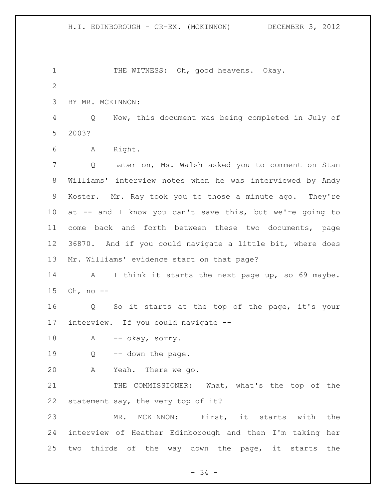1 THE WITNESS: Oh, good heavens. Okay. BY MR. MCKINNON: Q Now, this document was being completed in July of 2003? A Right. Q Later on, Ms. Walsh asked you to comment on Stan Williams' interview notes when he was interviewed by Andy Koster. Mr. Ray took you to those a minute ago. They're at -- and I know you can't save this, but we're going to come back and forth between these two documents, page 36870. And if you could navigate a little bit, where does Mr. Williams' evidence start on that page? 14 A I think it starts the next page up, so 69 maybe. Oh, no -- Q So it starts at the top of the page, it's your interview. If you could navigate -- 18 A -- okay, sorry. Q -- down the page. A Yeah. There we go. 21 THE COMMISSIONER: What, what's the top of the statement say, the very top of it? MR. MCKINNON: First, it starts with the interview of Heather Edinborough and then I'm taking her two thirds of the way down the page, it starts the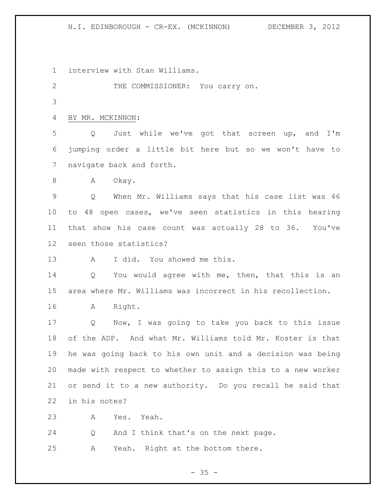H.I. EDINBOROUGH - CR-EX. (MCKINNON) DECEMBER 3, 2012

interview with Stan Williams.

THE COMMISSIONER: You carry on.

BY MR. MCKINNON:

 Q Just while we've got that screen up, and I'm jumping order a little bit here but so we won't have to navigate back and forth.

8 A Okay.

 Q When Mr. Williams says that his case list was 46 to 48 open cases, we've seen statistics in this hearing that show his case count was actually 28 to 36. You've seen those statistics?

A I did. You showed me this.

14 Q You would agree with me, then, that this is an area where Mr. Williams was incorrect in his recollection.

A Right.

 Q Now, I was going to take you back to this issue of the ADP. And what Mr. Williams told Mr. Koster is that he was going back to his own unit and a decision was being made with respect to whether to assign this to a new worker or send it to a new authority. Do you recall he said that in his notes?

A Yes. Yeah.

Q And I think that's on the next page.

A Yeah. Right at the bottom there.

 $- 35 -$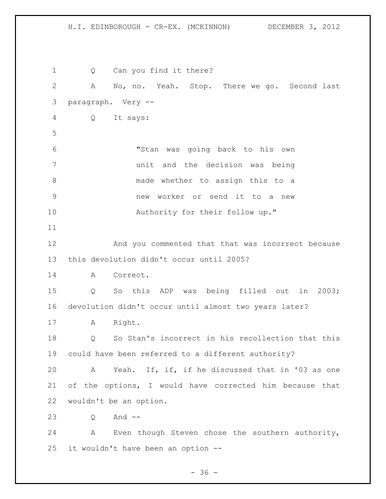H.I. EDINBOROUGH - CR-EX. (MCKINNON) DECEMBER 3, 2012

1 Q Can you find it there? A No, no. Yeah. Stop. There we go. Second last paragraph. Very -- Q It says: "Stan was going back to his own unit and the decision was being made whether to assign this to a new worker or send it to a new 10 Authority for their follow up." And you commented that that was incorrect because this devolution didn't occur until 2005? A Correct. Q So this ADP was being filled out in 2003; devolution didn't occur until almost two years later? A Right. Q So Stan's incorrect in his recollection that this could have been referred to a different authority? A Yeah. If, if, if he discussed that in '03 as one of the options, I would have corrected him because that wouldn't be an option. Q And -- A Even though Steven chose the southern authority, it wouldn't have been an option --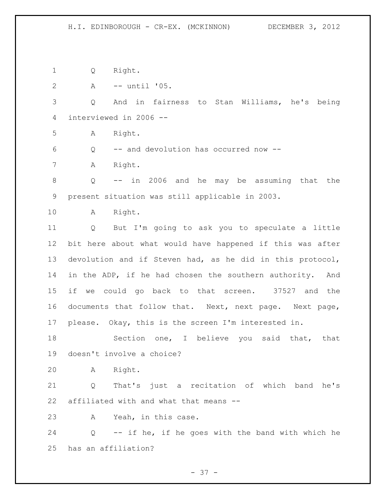Q Right.

A -- until '05.

 Q And in fairness to Stan Williams, he's being interviewed in 2006 --

A Right.

Q -- and devolution has occurred now --

A Right.

 Q -- in 2006 and he may be assuming that the present situation was still applicable in 2003.

A Right.

 Q But I'm going to ask you to speculate a little bit here about what would have happened if this was after devolution and if Steven had, as he did in this protocol, in the ADP, if he had chosen the southern authority. And if we could go back to that screen. 37527 and the documents that follow that. Next, next page. Next page, please. Okay, this is the screen I'm interested in.

18 Section one, I believe you said that, that doesn't involve a choice?

A Right.

 Q That's just a recitation of which band he's affiliated with and what that means --

A Yeah, in this case.

 Q -- if he, if he goes with the band with which he has an affiliation?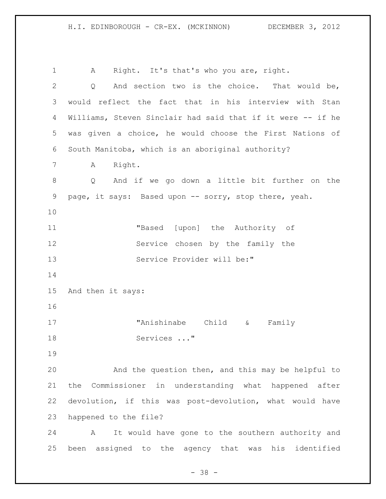A Right. It's that's who you are, right. 2 Q And section two is the choice. That would be, would reflect the fact that in his interview with Stan Williams, Steven Sinclair had said that if it were -- if he was given a choice, he would choose the First Nations of South Manitoba, which is an aboriginal authority? A Right. Q And if we go down a little bit further on the page, it says: Based upon -- sorry, stop there, yeah. "Based [upon] the Authority of Service chosen by the family the Service Provider will be:" And then it says: "Anishinabe Child & Family 18 Services ..." And the question then, and this may be helpful to the Commissioner in understanding what happened after devolution, if this was post-devolution, what would have happened to the file? A It would have gone to the southern authority and been assigned to the agency that was his identified

 $- 38 -$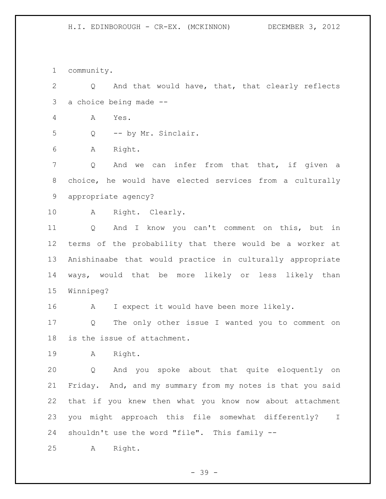community.

 Q And that would have, that, that clearly reflects a choice being made --

- A Yes.
- Q -- by Mr. Sinclair.

A Right.

7 Q And we can infer from that that, if given a choice, he would have elected services from a culturally appropriate agency?

- 
- A Right. Clearly.

 Q And I know you can't comment on this, but in terms of the probability that there would be a worker at Anishinaabe that would practice in culturally appropriate ways, would that be more likely or less likely than Winnipeg?

16 A I expect it would have been more likely.

 Q The only other issue I wanted you to comment on is the issue of attachment.

A Right.

 Q And you spoke about that quite eloquently on Friday. And, and my summary from my notes is that you said that if you knew then what you know now about attachment you might approach this file somewhat differently? I shouldn't use the word "file". This family --

A Right.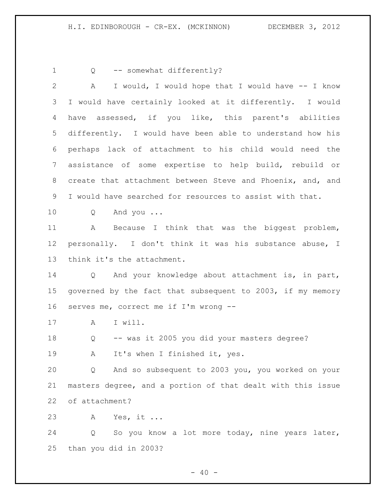1 Q -- somewhat differently? A I would, I would hope that I would have -- I know I would have certainly looked at it differently. I would have assessed, if you like, this parent's abilities differently. I would have been able to understand how his perhaps lack of attachment to his child would need the assistance of some expertise to help build, rebuild or create that attachment between Steve and Phoenix, and, and I would have searched for resources to assist with that. Q And you ... A Because I think that was the biggest problem, personally. I don't think it was his substance abuse, I think it's the attachment. Q And your knowledge about attachment is, in part, governed by the fact that subsequent to 2003, if my memory serves me, correct me if I'm wrong -- 17 A I will. Q -- was it 2005 you did your masters degree? A It's when I finished it, yes. Q And so subsequent to 2003 you, you worked on your masters degree, and a portion of that dealt with this issue of attachment? A Yes, it ... Q So you know a lot more today, nine years later, than you did in 2003?

 $- 40 -$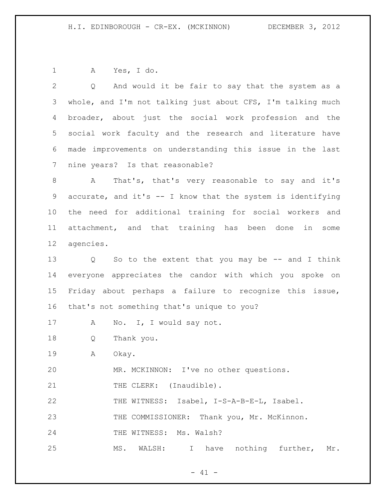A Yes, I do.

 Q And would it be fair to say that the system as a whole, and I'm not talking just about CFS, I'm talking much broader, about just the social work profession and the social work faculty and the research and literature have made improvements on understanding this issue in the last nine years? Is that reasonable? A That's, that's very reasonable to say and it's accurate, and it's -- I know that the system is identifying the need for additional training for social workers and attachment, and that training has been done in some agencies. Q So to the extent that you may be -- and I think everyone appreciates the candor with which you spoke on Friday about perhaps a failure to recognize this issue, that's not something that's unique to you? A No. I, I would say not. Q Thank you. A Okay. MR. MCKINNON: I've no other questions. 21 THE CLERK: (Inaudible). THE WITNESS: Isabel, I-S-A-B-E-L, Isabel. THE COMMISSIONER: Thank you, Mr. McKinnon. 24 THE WITNESS: Ms. Walsh? MS. WALSH: I have nothing further, Mr.

 $- 41 -$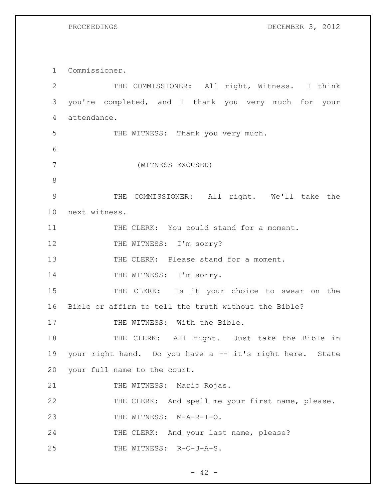1 Commissioner.

PROCEEDINGS DECEMBER 3, 2012

2 THE COMMISSIONER: All right, Witness. I think 3 you're completed, and I thank you very much for your 4 attendance. 5 THE WITNESS: Thank you very much. 6 7 (WITNESS EXCUSED) 8 9 THE COMMISSIONER: All right. We'll take the 10 next witness. 11 THE CLERK: You could stand for a moment. 12 THE WITNESS: I'm sorry? 13 THE CLERK: Please stand for a moment. 14 THE WITNESS: I'm sorry. 15 THE CLERK: Is it your choice to swear on the 16 Bible or affirm to tell the truth without the Bible? 17 THE WITNESS: With the Bible. 18 THE CLERK: All right. Just take the Bible in 19 your right hand. Do you have a -- it's right here. State 20 your full name to the court. 21 THE WITNESS: Mario Rojas. 22 THE CLERK: And spell me your first name, please. 23 THE WITNESS: M-A-R-I-O. 24 THE CLERK: And your last name, please? 25 THE WITNESS: R-O-J-A-S.

 $- 42 -$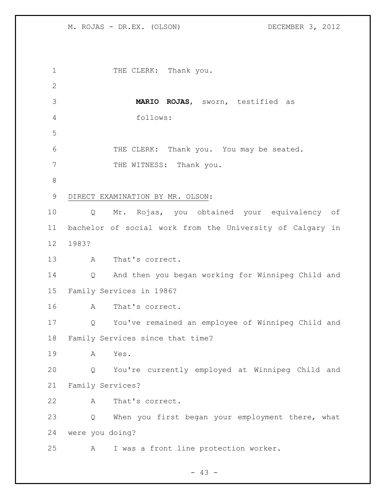1 THE CLERK: Thank you. **MARIO ROJAS**, sworn, testified as follows: THE CLERK: Thank you. You may be seated. 7 THE WITNESS: Thank you. DIRECT EXAMINATION BY MR. OLSON: Q Mr. Rojas, you obtained your equivalency of bachelor of social work from the University of Calgary in 1983? A That's correct. Q And then you began working for Winnipeg Child and Family Services in 1986? A That's correct. Q You've remained an employee of Winnipeg Child and Family Services since that time? A Yes. Q You're currently employed at Winnipeg Child and Family Services? A That's correct. Q When you first began your employment there, what were you doing? A I was a front line protection worker.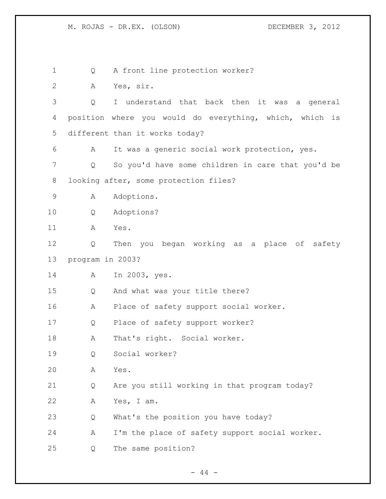Q A front line protection worker? A Yes, sir. Q I understand that back then it was a general position where you would do everything, which, which is different than it works today? A It was a generic social work protection, yes. Q So you'd have some children in care that you'd be looking after, some protection files? A Adoptions. Q Adoptions? A Yes. Q Then you began working as a place of safety program in 2003? A In 2003, yes. Q And what was your title there? A Place of safety support social worker. Q Place of safety support worker? A That's right. Social worker. Q Social worker? A Yes. Q Are you still working in that program today? A Yes, I am. Q What's the position you have today? A I'm the place of safety support social worker. Q The same position?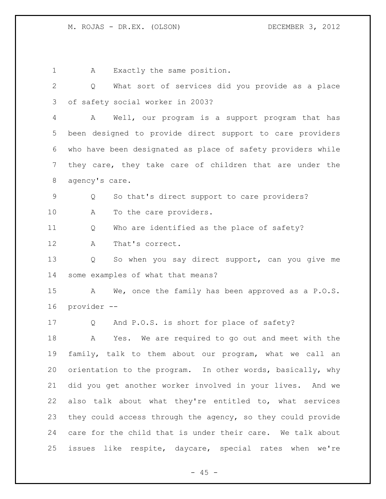1 A Exactly the same position. Q What sort of services did you provide as a place of safety social worker in 2003? A Well, our program is a support program that has been designed to provide direct support to care providers who have been designated as place of safety providers while they care, they take care of children that are under the agency's care. Q So that's direct support to care providers? A To the care providers. Q Who are identified as the place of safety? A That's correct. Q So when you say direct support, can you give me some examples of what that means? A We, once the family has been approved as a P.O.S. provider -- Q And P.O.S. is short for place of safety? A Yes. We are required to go out and meet with the family, talk to them about our program, what we call an orientation to the program. In other words, basically, why did you get another worker involved in your lives. And we also talk about what they're entitled to, what services they could access through the agency, so they could provide care for the child that is under their care. We talk about issues like respite, daycare, special rates when we're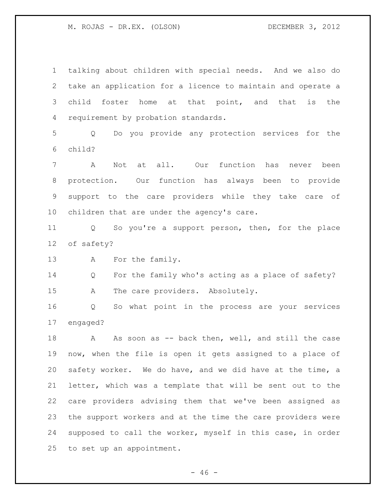talking about children with special needs. And we also do take an application for a licence to maintain and operate a child foster home at that point, and that is the requirement by probation standards. Q Do you provide any protection services for the child? A Not at all. Our function has never been protection. Our function has always been to provide support to the care providers while they take care of children that are under the agency's care. Q So you're a support person, then, for the place of safety? 13 A For the family. Q For the family who's acting as a place of safety? A The care providers. Absolutely. Q So what point in the process are your services engaged? 18 A As soon as -- back then, well, and still the case now, when the file is open it gets assigned to a place of safety worker. We do have, and we did have at the time, a letter, which was a template that will be sent out to the care providers advising them that we've been assigned as the support workers and at the time the care providers were supposed to call the worker, myself in this case, in order to set up an appointment.

 $- 46 -$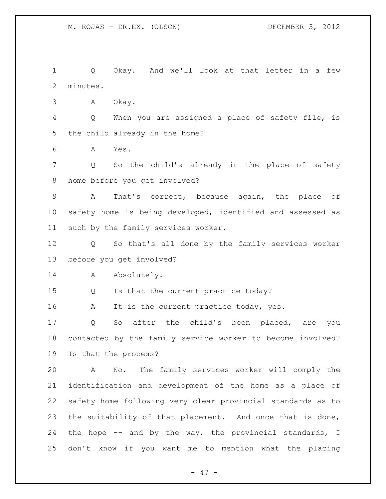Q Okay. And we'll look at that letter in a few minutes. A Okay. Q When you are assigned a place of safety file, is the child already in the home? A Yes. Q So the child's already in the place of safety home before you get involved? A That's correct, because again, the place of safety home is being developed, identified and assessed as such by the family services worker. Q So that's all done by the family services worker before you get involved? 14 A Absolutely. Q Is that the current practice today? 16 A It is the current practice today, yes. Q So after the child's been placed, are you contacted by the family service worker to become involved? Is that the process? A No. The family services worker will comply the identification and development of the home as a place of safety home following very clear provincial standards as to the suitability of that placement. And once that is done, the hope -- and by the way, the provincial standards, I don't know if you want me to mention what the placing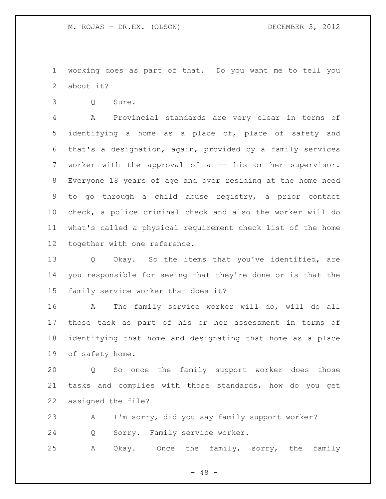working does as part of that. Do you want me to tell you about it?

Q Sure.

 A Provincial standards are very clear in terms of identifying a home as a place of, place of safety and that's a designation, again, provided by a family services worker with the approval of a -- his or her supervisor. Everyone 18 years of age and over residing at the home need to go through a child abuse registry, a prior contact check, a police criminal check and also the worker will do what's called a physical requirement check list of the home together with one reference.

 Q Okay. So the items that you've identified, are you responsible for seeing that they're done or is that the family service worker that does it?

 A The family service worker will do, will do all those task as part of his or her assessment in terms of identifying that home and designating that home as a place of safety home.

 Q So once the family support worker does those tasks and complies with those standards, how do you get assigned the file?

 A I'm sorry, did you say family support worker? Q Sorry. Family service worker. A Okay. Once the family, sorry, the family

 $- 48 -$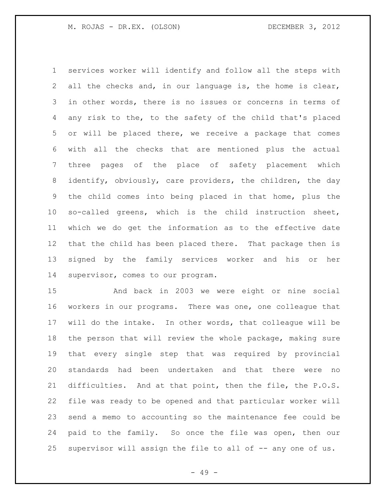services worker will identify and follow all the steps with all the checks and, in our language is, the home is clear, in other words, there is no issues or concerns in terms of any risk to the, to the safety of the child that's placed or will be placed there, we receive a package that comes with all the checks that are mentioned plus the actual three pages of the place of safety placement which identify, obviously, care providers, the children, the day the child comes into being placed in that home, plus the so-called greens, which is the child instruction sheet, which we do get the information as to the effective date that the child has been placed there. That package then is signed by the family services worker and his or her supervisor, comes to our program.

 And back in 2003 we were eight or nine social workers in our programs. There was one, one colleague that will do the intake. In other words, that colleague will be the person that will review the whole package, making sure that every single step that was required by provincial standards had been undertaken and that there were no difficulties. And at that point, then the file, the P.O.S. file was ready to be opened and that particular worker will send a memo to accounting so the maintenance fee could be paid to the family. So once the file was open, then our supervisor will assign the file to all of -- any one of us.

- 49 -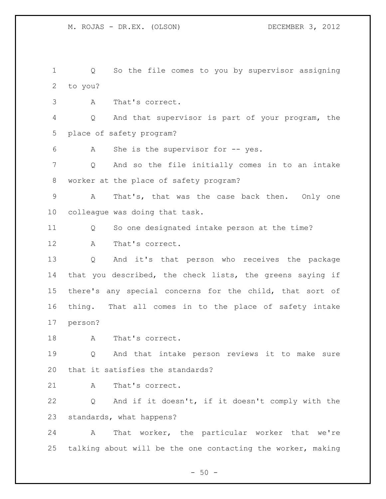Q So the file comes to you by supervisor assigning to you?

A That's correct.

 Q And that supervisor is part of your program, the place of safety program?

A She is the supervisor for -- yes.

 Q And so the file initially comes in to an intake worker at the place of safety program?

 A That's, that was the case back then. Only one colleague was doing that task.

Q So one designated intake person at the time?

A That's correct.

 Q And it's that person who receives the package that you described, the check lists, the greens saying if there's any special concerns for the child, that sort of thing. That all comes in to the place of safety intake person?

18 A That's correct.

 Q And that intake person reviews it to make sure that it satisfies the standards?

21 A That's correct.

 Q And if it doesn't, if it doesn't comply with the standards, what happens?

 A That worker, the particular worker that we're talking about will be the one contacting the worker, making

 $-50 -$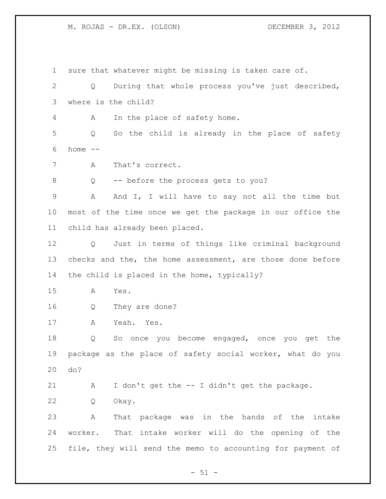sure that whatever might be missing is taken care of. Q During that whole process you've just described, where is the child? A In the place of safety home. Q So the child is already in the place of safety home -- A That's correct. Q -- before the process gets to you? A And I, I will have to say not all the time but most of the time once we get the package in our office the child has already been placed. Q Just in terms of things like criminal background 13 checks and the, the home assessment, are those done before the child is placed in the home, typically? A Yes. Q They are done? A Yeah. Yes. Q So once you become engaged, once you get the package as the place of safety social worker, what do you do? A I don't get the -- I didn't get the package. Q Okay. A That package was in the hands of the intake worker. That intake worker will do the opening of the file, they will send the memo to accounting for payment of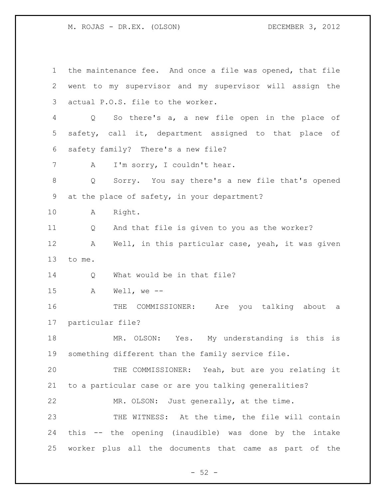the maintenance fee. And once a file was opened, that file went to my supervisor and my supervisor will assign the actual P.O.S. file to the worker. Q So there's a, a new file open in the place of safety, call it, department assigned to that place of safety family? There's a new file? A I'm sorry, I couldn't hear. Q Sorry. You say there's a new file that's opened at the place of safety, in your department? A Right. Q And that file is given to you as the worker? A Well, in this particular case, yeah, it was given to me. 14 Q What would be in that file? A Well, we -- THE COMMISSIONER: Are you talking about a particular file? MR. OLSON: Yes. My understanding is this is something different than the family service file. THE COMMISSIONER: Yeah, but are you relating it to a particular case or are you talking generalities? MR. OLSON: Just generally, at the time. 23 THE WITNESS: At the time, the file will contain this -- the opening (inaudible) was done by the intake worker plus all the documents that came as part of the

 $-52 -$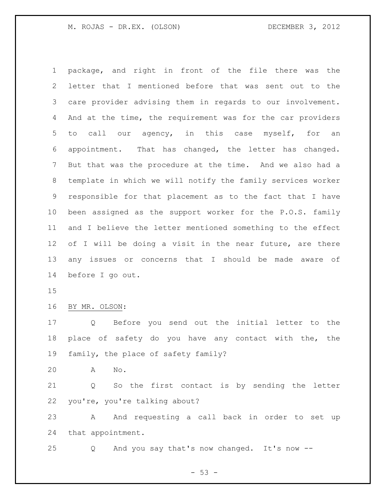package, and right in front of the file there was the letter that I mentioned before that was sent out to the care provider advising them in regards to our involvement. And at the time, the requirement was for the car providers to call our agency, in this case myself, for an appointment. That has changed, the letter has changed. But that was the procedure at the time. And we also had a template in which we will notify the family services worker responsible for that placement as to the fact that I have been assigned as the support worker for the P.O.S. family and I believe the letter mentioned something to the effect 12 of I will be doing a visit in the near future, are there any issues or concerns that I should be made aware of before I go out.

BY MR. OLSON:

 Q Before you send out the initial letter to the place of safety do you have any contact with the, the family, the place of safety family?

A No.

 Q So the first contact is by sending the letter you're, you're talking about?

 A And requesting a call back in order to set up that appointment.

Q And you say that's now changed. It's now --

 $- 53 -$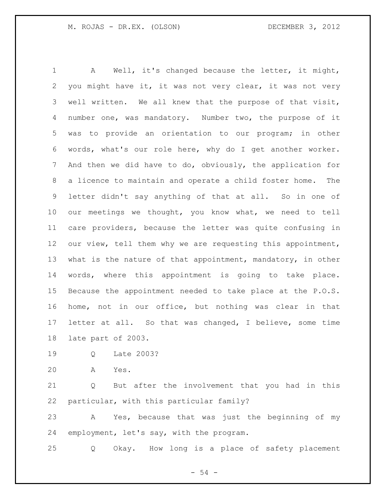A Well, it's changed because the letter, it might, you might have it, it was not very clear, it was not very well written. We all knew that the purpose of that visit, number one, was mandatory. Number two, the purpose of it was to provide an orientation to our program; in other words, what's our role here, why do I get another worker. And then we did have to do, obviously, the application for a licence to maintain and operate a child foster home. The letter didn't say anything of that at all. So in one of our meetings we thought, you know what, we need to tell care providers, because the letter was quite confusing in our view, tell them why we are requesting this appointment, 13 what is the nature of that appointment, mandatory, in other words, where this appointment is going to take place. Because the appointment needed to take place at the P.O.S. home, not in our office, but nothing was clear in that letter at all. So that was changed, I believe, some time late part of 2003.

- Q Late 2003?
- A Yes.

 Q But after the involvement that you had in this particular, with this particular family?

 A Yes, because that was just the beginning of my employment, let's say, with the program.

Q Okay. How long is a place of safety placement

- 54 -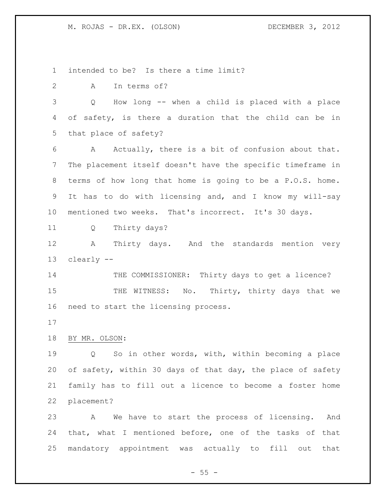intended to be? Is there a time limit?

A In terms of?

 Q How long -- when a child is placed with a place of safety, is there a duration that the child can be in that place of safety?

 A Actually, there is a bit of confusion about that. The placement itself doesn't have the specific timeframe in terms of how long that home is going to be a P.O.S. home. It has to do with licensing and, and I know my will-say mentioned two weeks. That's incorrect. It's 30 days.

Q Thirty days?

 A Thirty days. And the standards mention very clearly --

14 THE COMMISSIONER: Thirty days to get a licence? 15 THE WITNESS: No. Thirty, thirty days that we need to start the licensing process.

BY MR. OLSON:

 Q So in other words, with, within becoming a place of safety, within 30 days of that day, the place of safety family has to fill out a licence to become a foster home placement?

 A We have to start the process of licensing. And that, what I mentioned before, one of the tasks of that mandatory appointment was actually to fill out that

 $- 55 -$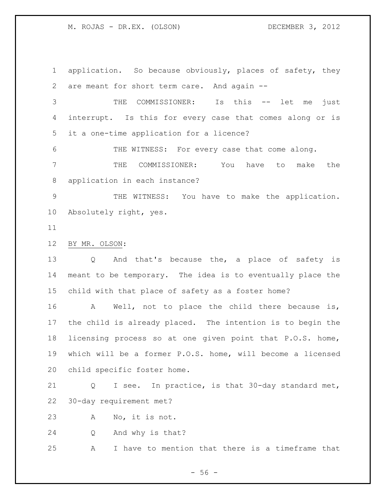application. So because obviously, places of safety, they are meant for short term care. And again -- THE COMMISSIONER: Is this -- let me just interrupt. Is this for every case that comes along or is

it a one-time application for a licence?

 THE WITNESS: For every case that come along. THE COMMISSIONER: You have to make the application in each instance?

 THE WITNESS: You have to make the application. Absolutely right, yes.

# BY MR. OLSON:

 Q And that's because the, a place of safety is meant to be temporary. The idea is to eventually place the child with that place of safety as a foster home?

16 A Well, not to place the child there because is, the child is already placed. The intention is to begin the licensing process so at one given point that P.O.S. home, which will be a former P.O.S. home, will become a licensed child specific foster home.

 Q I see. In practice, is that 30-day standard met, 30-day requirement met?

A No, it is not.

Q And why is that?

A I have to mention that there is a timeframe that

 $-56 -$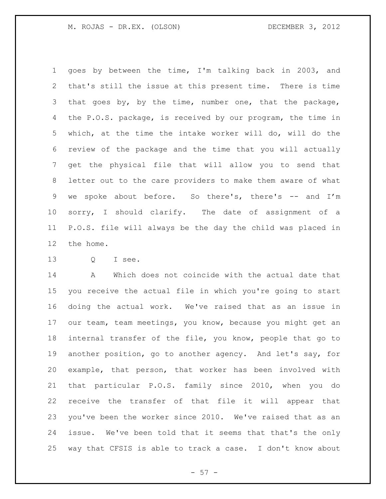goes by between the time, I'm talking back in 2003, and that's still the issue at this present time. There is time 3 that goes by, by the time, number one, that the package, the P.O.S. package, is received by our program, the time in which, at the time the intake worker will do, will do the review of the package and the time that you will actually get the physical file that will allow you to send that letter out to the care providers to make them aware of what we spoke about before. So there's, there's -- and I'm sorry, I should clarify. The date of assignment of a P.O.S. file will always be the day the child was placed in the home.

Q I see.

 A Which does not coincide with the actual date that you receive the actual file in which you're going to start doing the actual work. We've raised that as an issue in our team, team meetings, you know, because you might get an internal transfer of the file, you know, people that go to another position, go to another agency. And let's say, for example, that person, that worker has been involved with that particular P.O.S. family since 2010, when you do receive the transfer of that file it will appear that you've been the worker since 2010. We've raised that as an issue. We've been told that it seems that that's the only way that CFSIS is able to track a case. I don't know about

 $- 57 -$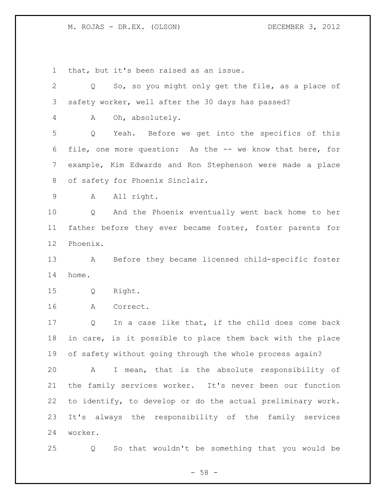that, but it's been raised as an issue.

| $\mathbf{2}$    | So, so you might only get the file, as a place of<br>Q     |
|-----------------|------------------------------------------------------------|
| 3               | safety worker, well after the 30 days has passed?          |
| 4               | Oh, absolutely.<br>A                                       |
| 5               | Yeah. Before we get into the specifics of this<br>Q        |
| 6               | file, one more question: As the -- we know that here, for  |
| $7\phantom{.0}$ | example, Kim Edwards and Ron Stephenson were made a place  |
| 8               | of safety for Phoenix Sinclair.                            |
| 9               | All right.<br>A                                            |
| 10              | Q<br>And the Phoenix eventually went back home to her      |
| 11              | father before they ever became foster, foster parents for  |
| 12              | Phoenix.                                                   |
| 13              | Before they became licensed child-specific foster<br>A     |
| 14              | home.                                                      |
| 15              | Right.<br>Q                                                |
| 16              | Correct.<br>A                                              |
| 17              | In a case like that, if the child does come back<br>Q      |
| 18              | in care, is it possible to place them back with the place  |
| 19              | of safety without going through the whole process again?   |
| 20              | I mean, that is the absolute responsibility of<br>A        |
| 21              | the family services worker. It's never been our function   |
| 22              | to identify, to develop or do the actual preliminary work. |
| 23              | It's always the responsibility of the family services      |
| 24              | worker.                                                    |
| 25              | So that wouldn't be something that you would be<br>Q       |

- 58 -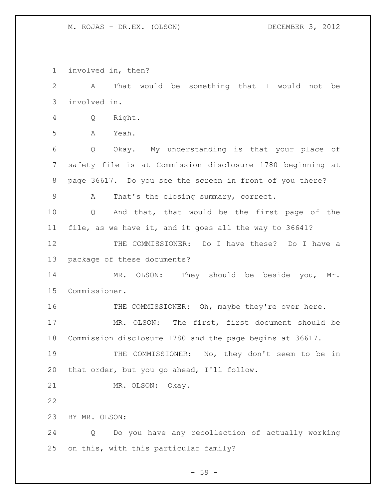involved in, then?

 A That would be something that I would not be involved in.

Q Right.

A Yeah.

 Q Okay. My understanding is that your place of safety file is at Commission disclosure 1780 beginning at page 36617. Do you see the screen in front of you there?

A That's the closing summary, correct.

 Q And that, that would be the first page of the file, as we have it, and it goes all the way to 36641?

 THE COMMISSIONER: Do I have these? Do I have a package of these documents?

 MR. OLSON: They should be beside you, Mr. Commissioner.

16 THE COMMISSIONER: Oh, maybe they're over here. MR. OLSON: The first, first document should be Commission disclosure 1780 and the page begins at 36617.

 THE COMMISSIONER: No, they don't seem to be in that order, but you go ahead, I'll follow.

MR. OLSON: Okay.

BY MR. OLSON:

 Q Do you have any recollection of actually working on this, with this particular family?

 $-59 -$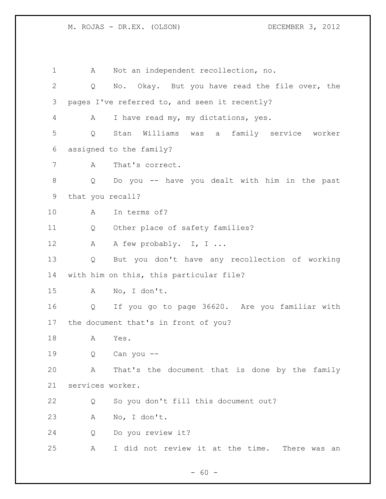A Not an independent recollection, no. Q No. Okay. But you have read the file over, the pages I've referred to, and seen it recently? A I have read my, my dictations, yes. Q Stan Williams was a family service worker assigned to the family? A That's correct. Q Do you -- have you dealt with him in the past that you recall? A In terms of? Q Other place of safety families? 12 A A few probably. I, I ... Q But you don't have any recollection of working with him on this, this particular file? A No, I don't. Q If you go to page 36620. Are you familiar with the document that's in front of you? A Yes. Q Can you -- A That's the document that is done by the family services worker. Q So you don't fill this document out? A No, I don't. Q Do you review it? A I did not review it at the time. There was an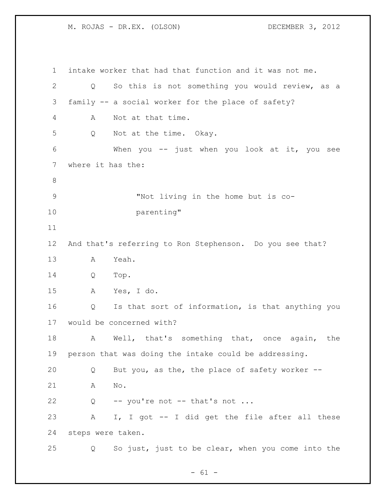intake worker that had that function and it was not me. Q So this is not something you would review, as a family -- a social worker for the place of safety? A Not at that time. Q Not at the time. Okay. When you -- just when you look at it, you see where it has the: "Not living in the home but is co- parenting" And that's referring to Ron Stephenson. Do you see that? A Yeah. Q Top. A Yes, I do. Q Is that sort of information, is that anything you would be concerned with? A Well, that's something that, once again, the person that was doing the intake could be addressing. Q But you, as the, the place of safety worker -- A No. 22 Q -- you're not -- that's not ... A I, I got -- I did get the file after all these steps were taken. Q So just, just to be clear, when you come into the

 $- 61 -$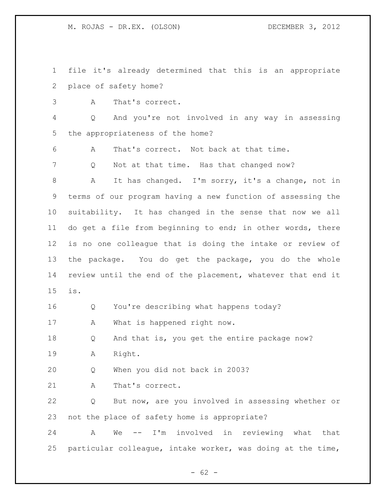file it's already determined that this is an appropriate place of safety home?

A That's correct.

 Q And you're not involved in any way in assessing the appropriateness of the home?

A That's correct. Not back at that time.

7 Q Not at that time. Has that changed now?

 A It has changed. I'm sorry, it's a change, not in terms of our program having a new function of assessing the suitability. It has changed in the sense that now we all do get a file from beginning to end; in other words, there is no one colleague that is doing the intake or review of the package. You do get the package, you do the whole review until the end of the placement, whatever that end it is.

Q You're describing what happens today?

A What is happened right now.

18 Q And that is, you get the entire package now? A Right.

Q When you did not back in 2003?

21 A That's correct.

 Q But now, are you involved in assessing whether or not the place of safety home is appropriate?

 A We -- I'm involved in reviewing what that particular colleague, intake worker, was doing at the time,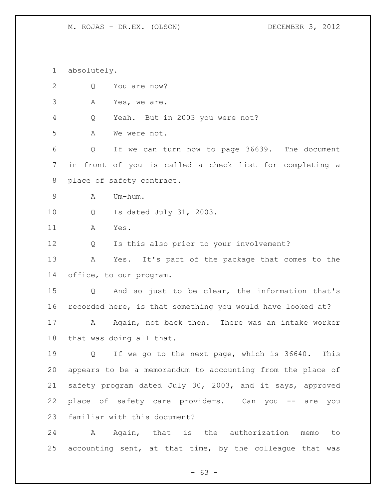absolutely. Q You are now? A Yes, we are. Q Yeah. But in 2003 you were not? A We were not. Q If we can turn now to page 36639. The document in front of you is called a check list for completing a place of safety contract. A Um-hum. Q Is dated July 31, 2003. A Yes. Q Is this also prior to your involvement? A Yes. It's part of the package that comes to the office, to our program. Q And so just to be clear, the information that's recorded here, is that something you would have looked at? 17 A Again, not back then. There was an intake worker that was doing all that. Q If we go to the next page, which is 36640. This appears to be a memorandum to accounting from the place of safety program dated July 30, 2003, and it says, approved place of safety care providers. Can you -- are you familiar with this document? A Again, that is the authorization memo to accounting sent, at that time, by the colleague that was

- 63 -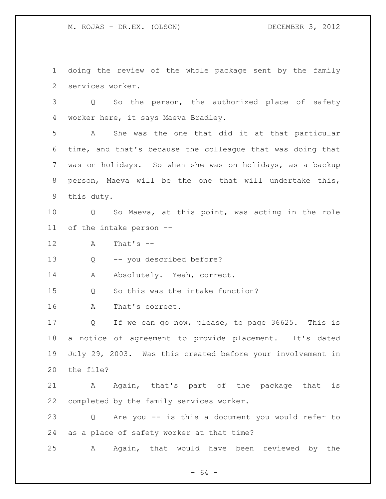doing the review of the whole package sent by the family services worker.

 Q So the person, the authorized place of safety worker here, it says Maeva Bradley.

 A She was the one that did it at that particular time, and that's because the colleague that was doing that was on holidays. So when she was on holidays, as a backup person, Maeva will be the one that will undertake this, this duty.

 Q So Maeva, at this point, was acting in the role of the intake person --

A That's --

Q -- you described before?

14 Absolutely. Yeah, correct.

Q So this was the intake function?

A That's correct.

 Q If we can go now, please, to page 36625. This is a notice of agreement to provide placement. It's dated July 29, 2003. Was this created before your involvement in the file?

 A Again, that's part of the package that is completed by the family services worker.

 Q Are you -- is this a document you would refer to as a place of safety worker at that time?

A Again, that would have been reviewed by the

- 64 -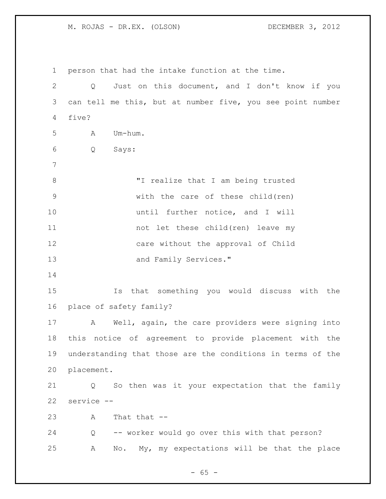person that had the intake function at the time. Q Just on this document, and I don't know if you can tell me this, but at number five, you see point number five? A Um-hum. Q Says: "I realize that I am being trusted with the care of these child(ren) 10 until further notice, and I will not let these child(ren) leave my care without the approval of Child and Family Services." Is that something you would discuss with the place of safety family? A Well, again, the care providers were signing into this notice of agreement to provide placement with the understanding that those are the conditions in terms of the placement. Q So then was it your expectation that the family service -- A That that -- Q -- worker would go over this with that person? A No. My, my expectations will be that the place

 $- 65 -$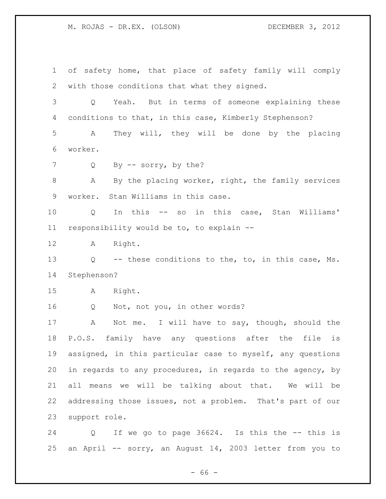of safety home, that place of safety family will comply with those conditions that what they signed. Q Yeah. But in terms of someone explaining these conditions to that, in this case, Kimberly Stephenson? A They will, they will be done by the placing worker. 7 Q By -- sorry, by the? A By the placing worker, right, the family services worker. Stan Williams in this case. Q In this -- so in this case, Stan Williams' responsibility would be to, to explain -- A Right. Q -- these conditions to the, to, in this case, Ms. Stephenson? A Right. Q Not, not you, in other words? A Not me. I will have to say, though, should the P.O.S. family have any questions after the file is assigned, in this particular case to myself, any questions in regards to any procedures, in regards to the agency, by all means we will be talking about that. We will be addressing those issues, not a problem. That's part of our support role. Q If we go to page 36624. Is this the -- this is an April -- sorry, an August 14, 2003 letter from you to

- 66 -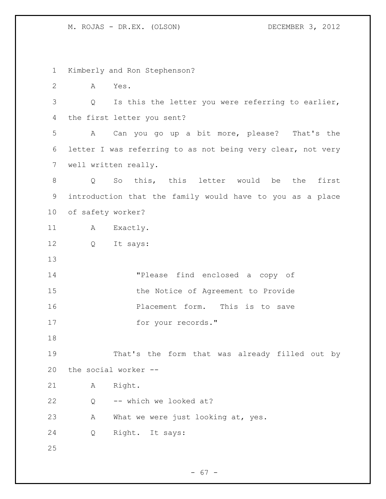Kimberly and Ron Stephenson? A Yes. Q Is this the letter you were referring to earlier, the first letter you sent? A Can you go up a bit more, please? That's the letter I was referring to as not being very clear, not very well written really. Q So this, this letter would be the first introduction that the family would have to you as a place of safety worker? 11 A Exactly. Q It says: "Please find enclosed a copy of 15 the Notice of Agreement to Provide Placement form. This is to save 17 for your records." That's the form that was already filled out by the social worker -- A Right. Q -- which we looked at? A What we were just looking at, yes. Q Right. It says: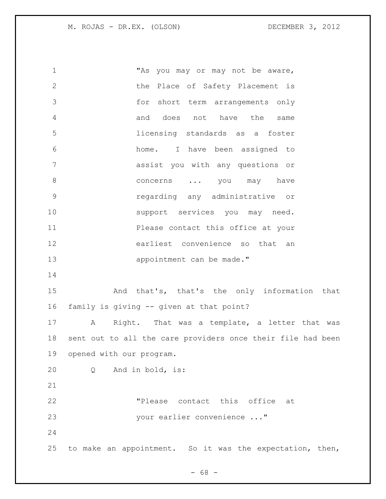"As you may or may not be aware, the Place of Safety Placement is for short term arrangements only and does not have the same licensing standards as a foster home. I have been assigned to assist you with any questions or 8 concerns ... you may have regarding any administrative or 10 support services you may need. **Please contact this office at your**  earliest convenience so that an 13 appointment can be made." And that's, that's the only information that family is giving -- given at that point? A Right. That was a template, a letter that was sent out to all the care providers once their file had been opened with our program. Q And in bold, is: "Please contact this office at 23 your earlier convenience ..." to make an appointment. So it was the expectation, then,

 $- 68 -$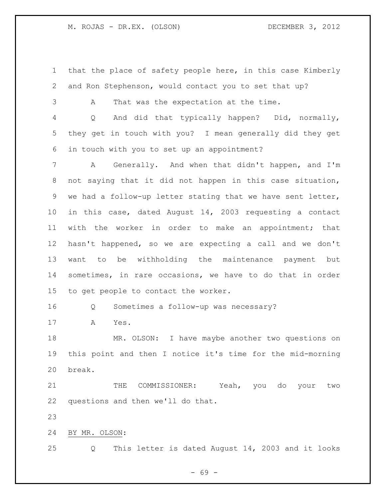that the place of safety people here, in this case Kimberly and Ron Stephenson, would contact you to set that up?

A That was the expectation at the time.

 Q And did that typically happen? Did, normally, they get in touch with you? I mean generally did they get in touch with you to set up an appointment?

 A Generally. And when that didn't happen, and I'm not saying that it did not happen in this case situation, we had a follow-up letter stating that we have sent letter, in this case, dated August 14, 2003 requesting a contact with the worker in order to make an appointment; that hasn't happened, so we are expecting a call and we don't want to be withholding the maintenance payment but sometimes, in rare occasions, we have to do that in order to get people to contact the worker.

Q Sometimes a follow-up was necessary?

A Yes.

 MR. OLSON: I have maybe another two questions on this point and then I notice it's time for the mid-morning break.

21 THE COMMISSIONER: Yeah, you do your two questions and then we'll do that.

BY MR. OLSON:

Q This letter is dated August 14, 2003 and it looks

- 69 -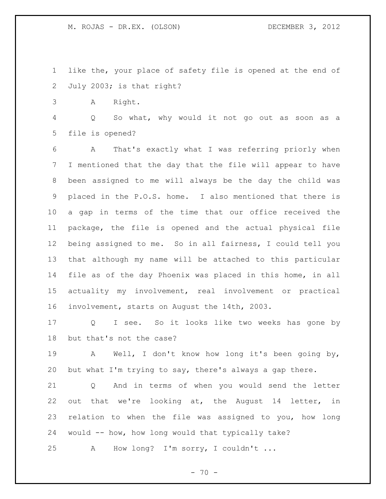like the, your place of safety file is opened at the end of July 2003; is that right?

A Right.

 Q So what, why would it not go out as soon as a file is opened?

 A That's exactly what I was referring priorly when I mentioned that the day that the file will appear to have been assigned to me will always be the day the child was placed in the P.O.S. home. I also mentioned that there is a gap in terms of the time that our office received the package, the file is opened and the actual physical file being assigned to me. So in all fairness, I could tell you that although my name will be attached to this particular file as of the day Phoenix was placed in this home, in all actuality my involvement, real involvement or practical involvement, starts on August the 14th, 2003.

 Q I see. So it looks like two weeks has gone by but that's not the case?

 A Well, I don't know how long it's been going by, but what I'm trying to say, there's always a gap there.

 Q And in terms of when you would send the letter out that we're looking at, the August 14 letter, in relation to when the file was assigned to you, how long would -- how, how long would that typically take?

A How long? I'm sorry, I couldn't ...

 $- 70 -$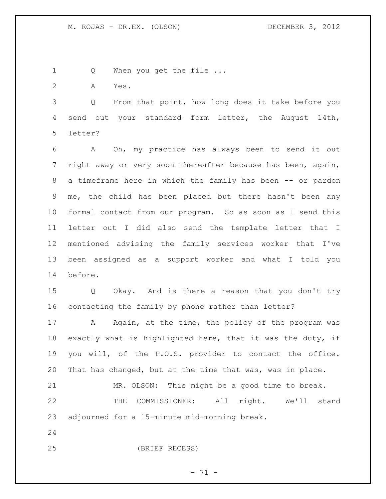1 Q When you get the file ...

A Yes.

 Q From that point, how long does it take before you send out your standard form letter, the August 14th, letter?

 A Oh, my practice has always been to send it out right away or very soon thereafter because has been, again, a timeframe here in which the family has been -- or pardon me, the child has been placed but there hasn't been any formal contact from our program. So as soon as I send this letter out I did also send the template letter that I mentioned advising the family services worker that I've been assigned as a support worker and what I told you before.

 Q Okay. And is there a reason that you don't try contacting the family by phone rather than letter?

17 A Again, at the time, the policy of the program was exactly what is highlighted here, that it was the duty, if you will, of the P.O.S. provider to contact the office. That has changed, but at the time that was, was in place.

 MR. OLSON: This might be a good time to break. THE COMMISSIONER: All right. We'll stand adjourned for a 15-minute mid-morning break.

(BRIEF RECESS)

 $- 71 -$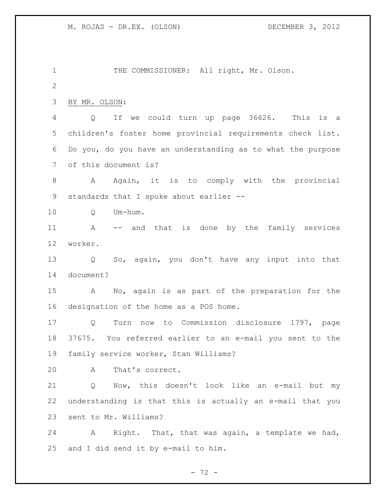THE COMMISSIONER: All right, Mr. Olson. BY MR. OLSON: Q If we could turn up page 36626. This is a children's foster home provincial requirements check list. Do you, do you have an understanding as to what the purpose of this document is? 8 A Again, it is to comply with the provincial standards that I spoke about earlier -- Q Um-hum. A -- and that is done by the family services worker. Q So, again, you don't have any input into that document? A No, again is as part of the preparation for the designation of the home as a POS home. Q Turn now to Commission disclosure 1797, page 37675. You referred earlier to an e-mail you sent to the family service worker, Stan Williams? A That's correct. Q Now, this doesn't look like an e-mail but my understanding is that this is actually an e-mail that you sent to Mr. Williams? A Right. That, that was again, a template we had, and I did send it by e-mail to him.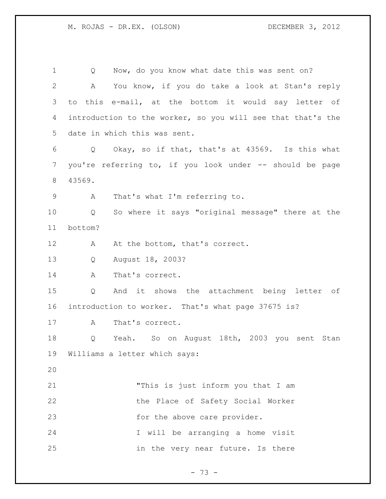Q Now, do you know what date this was sent on? A You know, if you do take a look at Stan's reply to this e-mail, at the bottom it would say letter of introduction to the worker, so you will see that that's the date in which this was sent. Q Okay, so if that, that's at 43569. Is this what you're referring to, if you look under -- should be page 43569. A That's what I'm referring to. Q So where it says "original message" there at the bottom? 12 A At the bottom, that's correct. Q August 18, 2003? 14 A That's correct. Q And it shows the attachment being letter of introduction to worker. That's what page 37675 is? 17 A That's correct. Q Yeah. So on August 18th, 2003 you sent Stan Williams a letter which says: "This is just inform you that I am the Place of Safety Social Worker 23 for the above care provider. I will be arranging a home visit in the very near future. Is there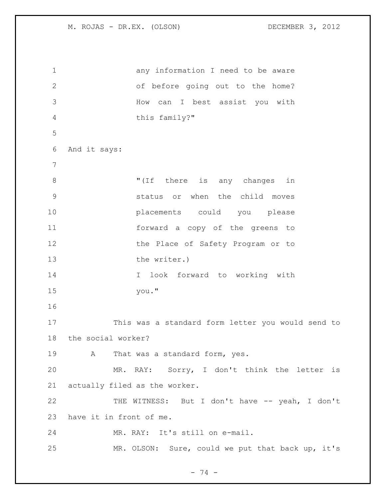any information I need to be aware of before going out to the home? How can I best assist you with this family?" And it says:  $\blacksquare$  (If there is any changes in status or when the child moves placements could you please forward a copy of the greens to 12 the Place of Safety Program or to 13 the writer.) I look forward to working with you." This was a standard form letter you would send to the social worker? 19 A That was a standard form, yes. MR. RAY: Sorry, I don't think the letter is actually filed as the worker. 22 THE WITNESS: But I don't have -- yeah, I don't have it in front of me. MR. RAY: It's still on e-mail. MR. OLSON: Sure, could we put that back up, it's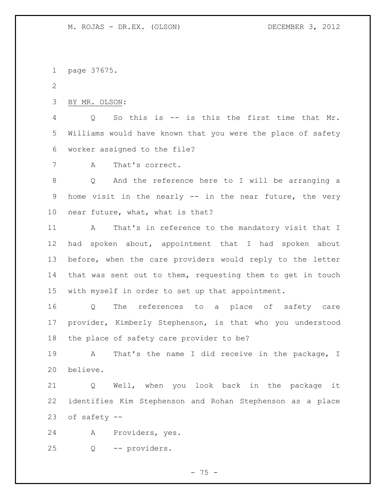page 37675.

BY MR. OLSON:

 Q So this is -- is this the first time that Mr. Williams would have known that you were the place of safety worker assigned to the file?

A That's correct.

 Q And the reference here to I will be arranging a home visit in the nearly -- in the near future, the very near future, what, what is that?

 A That's in reference to the mandatory visit that I had spoken about, appointment that I had spoken about before, when the care providers would reply to the letter that was sent out to them, requesting them to get in touch with myself in order to set up that appointment.

 Q The references to a place of safety care provider, Kimberly Stephenson, is that who you understood the place of safety care provider to be?

 A That's the name I did receive in the package, I believe.

 Q Well, when you look back in the package it identifies Kim Stephenson and Rohan Stephenson as a place of safety --

A Providers, yes.

Q -- providers.

- 75 -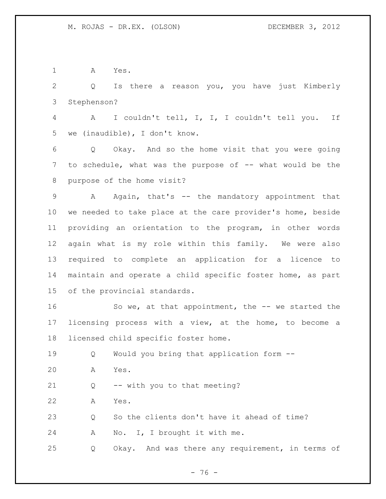A Yes.

 Q Is there a reason you, you have just Kimberly Stephenson?

 A I couldn't tell, I, I, I couldn't tell you. If we (inaudible), I don't know.

 Q Okay. And so the home visit that you were going to schedule, what was the purpose of -- what would be the purpose of the home visit?

 A Again, that's -- the mandatory appointment that we needed to take place at the care provider's home, beside providing an orientation to the program, in other words again what is my role within this family. We were also required to complete an application for a licence to maintain and operate a child specific foster home, as part of the provincial standards.

16 So we, at that appointment, the -- we started the licensing process with a view, at the home, to become a licensed child specific foster home.

Q Would you bring that application form --

A Yes.

Q -- with you to that meeting?

A Yes.

Q So the clients don't have it ahead of time?

A No. I, I brought it with me.

Q Okay. And was there any requirement, in terms of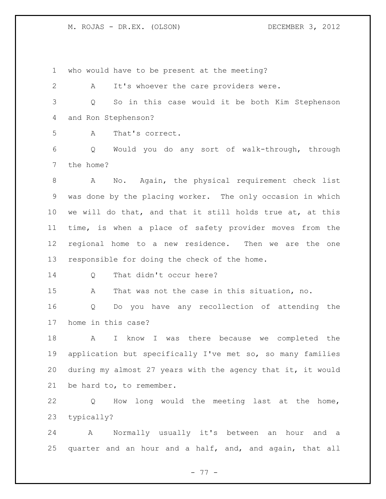who would have to be present at the meeting?

 A It's whoever the care providers were. Q So in this case would it be both Kim Stephenson and Ron Stephenson?

A That's correct.

 Q Would you do any sort of walk-through, through the home?

 A No. Again, the physical requirement check list was done by the placing worker. The only occasion in which we will do that, and that it still holds true at, at this time, is when a place of safety provider moves from the regional home to a new residence. Then we are the one responsible for doing the check of the home.

14 Q That didn't occur here?

A That was not the case in this situation, no.

 Q Do you have any recollection of attending the home in this case?

 A I know I was there because we completed the application but specifically I've met so, so many families during my almost 27 years with the agency that it, it would be hard to, to remember.

 Q How long would the meeting last at the home, typically?

 A Normally usually it's between an hour and a quarter and an hour and a half, and, and again, that all

- 77 -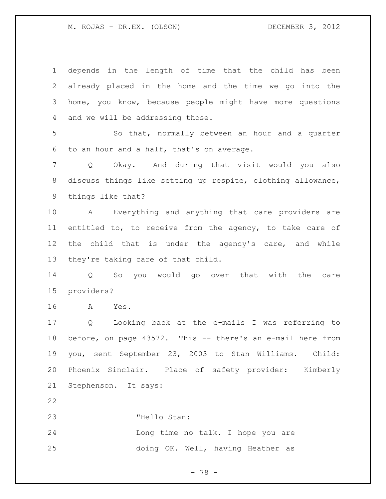depends in the length of time that the child has been already placed in the home and the time we go into the home, you know, because people might have more questions and we will be addressing those. So that, normally between an hour and a quarter to an hour and a half, that's on average. Q Okay. And during that visit would you also discuss things like setting up respite, clothing allowance, things like that? A Everything and anything that care providers are entitled to, to receive from the agency, to take care of the child that is under the agency's care, and while they're taking care of that child. Q So you would go over that with the care providers? A Yes. Q Looking back at the e-mails I was referring to before, on page 43572. This -- there's an e-mail here from you, sent September 23, 2003 to Stan Williams. Child: Phoenix Sinclair. Place of safety provider: Kimberly Stephenson. It says: "Hello Stan: Long time no talk. I hope you are doing OK. Well, having Heather as

- 78 -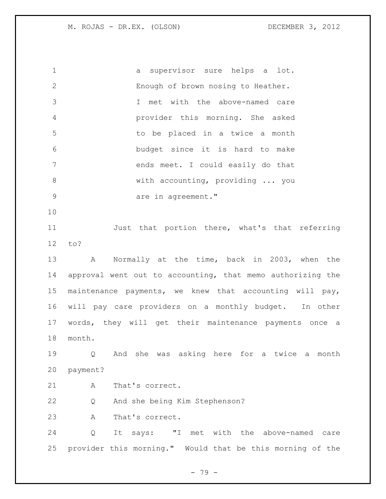a supervisor sure helps a lot. Enough of brown nosing to Heather. I met with the above-named care provider this morning. She asked to be placed in a twice a month budget since it is hard to make ends meet. I could easily do that with accounting, providing ... you 9 are in agreement." Just that portion there, what's that referring to? A Normally at the time, back in 2003, when the approval went out to accounting, that memo authorizing the maintenance payments, we knew that accounting will pay, will pay care providers on a monthly budget. In other words, they will get their maintenance payments once a month. Q And she was asking here for a twice a month payment? 21 A That's correct. Q And she being Kim Stephenson? A That's correct. Q It says: "I met with the above-named care provider this morning." Would that be this morning of the

- 79 -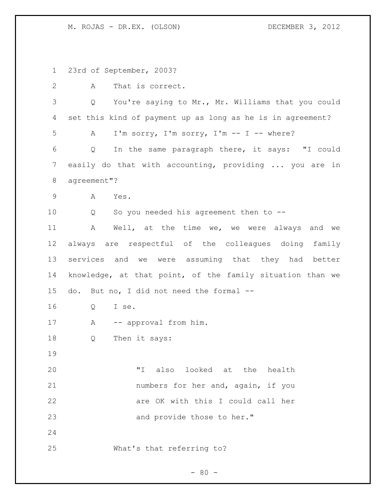23rd of September, 2003?

| $\mathbf{2}$ | That is correct.<br>А                                      |
|--------------|------------------------------------------------------------|
| 3            | You're saying to Mr., Mr. Williams that you could<br>Q     |
| 4            | set this kind of payment up as long as he is in agreement? |
| 5            | I'm sorry, I'm sorry, I'm -- I -- where?<br>A              |
| 6            | In the same paragraph there, it says: "I could<br>Q        |
| 7            | easily do that with accounting, providing  you are in      |
| 8            | agreement"?                                                |
| $\mathsf 9$  | A<br>Yes.                                                  |
| 10           | So you needed his agreement then to --<br>Q                |
| 11           | Well, at the time we, we were always and we<br>Α           |
| 12           | always are respectful of the colleagues doing family       |
| 13           | services and we were assuming that they had better         |
| 14           | knowledge, at that point, of the family situation than we  |
| 15           | But no, I did not need the formal --<br>do.                |
| 16           | Q<br>I se.                                                 |
| 17           | Α<br>-- approval from him.                                 |
| 18           | Then it says:<br>Q                                         |
| 19           |                                                            |
| 20           | also looked at the health<br>" I                           |
| 21           | numbers for her and, again, if you                         |
| 22           | are OK with this I could call her                          |
| 23           | and provide those to her."                                 |
| 24           |                                                            |
| 25           | What's that referring to?                                  |

- 80 -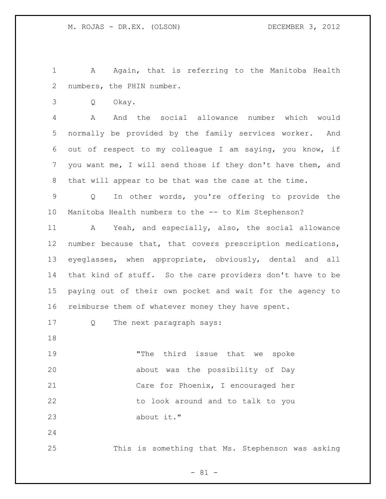1 A Again, that is referring to the Manitoba Health numbers, the PHIN number.

Q Okay.

 A And the social allowance number which would normally be provided by the family services worker. And out of respect to my colleague I am saying, you know, if you want me, I will send those if they don't have them, and that will appear to be that was the case at the time.

 Q In other words, you're offering to provide the Manitoba Health numbers to the -- to Kim Stephenson?

 A Yeah, and especially, also, the social allowance number because that, that covers prescription medications, eyeglasses, when appropriate, obviously, dental and all that kind of stuff. So the care providers don't have to be paying out of their own pocket and wait for the agency to reimburse them of whatever money they have spent.

Q The next paragraph says:

 "The third issue that we spoke about was the possibility of Day Care for Phoenix, I encouraged her to look around and to talk to you about it."

This is something that Ms. Stephenson was asking

- 81 -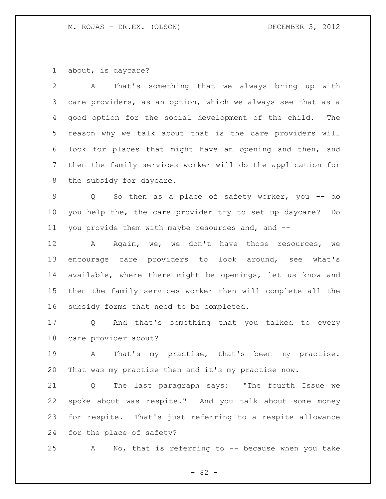about, is daycare?

 A That's something that we always bring up with care providers, as an option, which we always see that as a good option for the social development of the child. The reason why we talk about that is the care providers will look for places that might have an opening and then, and then the family services worker will do the application for the subsidy for daycare.

 Q So then as a place of safety worker, you -- do you help the, the care provider try to set up daycare? Do you provide them with maybe resources and, and --

 A Again, we, we don't have those resources, we encourage care providers to look around, see what's available, where there might be openings, let us know and then the family services worker then will complete all the subsidy forms that need to be completed.

 Q And that's something that you talked to every care provider about?

 A That's my practise, that's been my practise. That was my practise then and it's my practise now.

 Q The last paragraph says: "The fourth Issue we spoke about was respite." And you talk about some money for respite. That's just referring to a respite allowance for the place of safety?

A No, that is referring to -- because when you take

- 82 -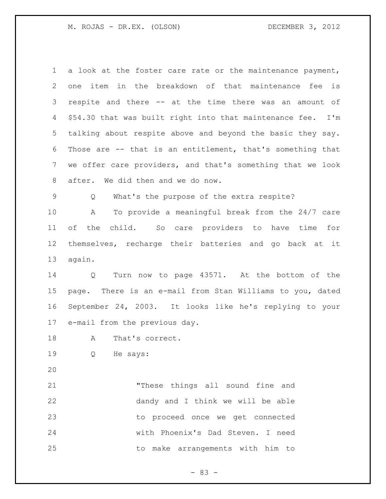| $\mathbf 1$ | a look at the foster care rate or the maintenance payment,  |
|-------------|-------------------------------------------------------------|
| 2           | one item in the breakdown of that maintenance fee<br>is     |
| 3           | respite and there -- at the time there was an amount of     |
| 4           | \$54.30 that was built right into that maintenance fee. I'm |
| 5           | talking about respite above and beyond the basic they say.  |
| 6           | Those are -- that is an entitlement, that's something that  |
| 7           | we offer care providers, and that's something that we look  |
| 8           | after. We did then and we do now.                           |
| $\mathsf 9$ | What's the purpose of the extra respite?<br>Q               |
| 10          | To provide a meaningful break from the 24/7 care<br>A       |
| 11          | of the child. So care providers to have time<br>for         |
| 12          | themselves, recharge their batteries and go back at it      |
| 13          | again.                                                      |
| 14          | Turn now to page 43571. At the bottom of the<br>Q           |
| 15          | page. There is an e-mail from Stan Williams to you, dated   |
| 16          | September 24, 2003. It looks like he's replying to your     |
| 17          | e-mail from the previous day.                               |
| 18          | A That's correct.                                           |
| 19          | He says:<br>Q                                               |
| 20          |                                                             |
| 21          | "These things all sound fine and                            |
| 22          | dandy and I think we will be able                           |
| 23          | to proceed once we get connected                            |
| 24          | with Phoenix's Dad Steven. I need                           |

to make arrangements with him to

- 83 -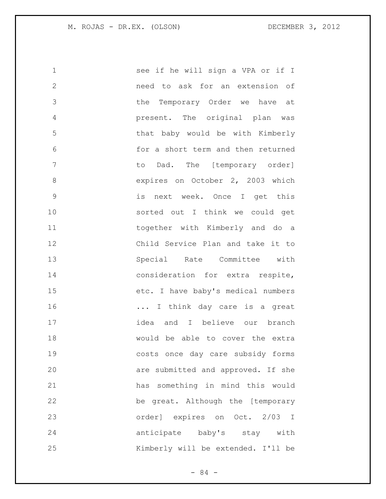1 see if he will sign a VPA or if I need to ask for an extension of the Temporary Order we have at present. The original plan was that baby would be with Kimberly for a short term and then returned to Dad. The [temporary order] 8 expires on October 2, 2003 which is next week. Once I get this sorted out I think we could get together with Kimberly and do a Child Service Plan and take it to Special Rate Committee with 14 consideration for extra respite, etc. I have baby's medical numbers 16 16 ... I think day care is a great idea and I believe our branch would be able to cover the extra costs once day care subsidy forms are submitted and approved. If she has something in mind this would be great. Although the [temporary order] expires on Oct. 2/03 I anticipate baby's stay with Kimberly will be extended. I'll be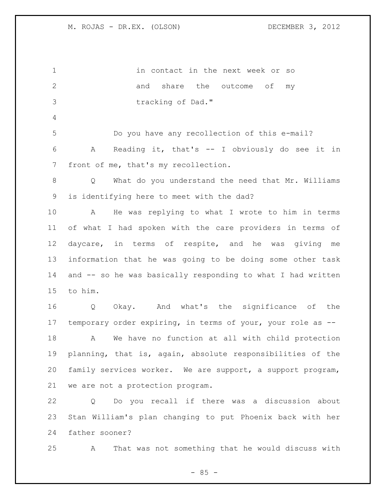in contact in the next week or so 2 and share the outcome of my tracking of Dad." Do you have any recollection of this e-mail? A Reading it, that's -- I obviously do see it in front of me, that's my recollection. Q What do you understand the need that Mr. Williams is identifying here to meet with the dad? A He was replying to what I wrote to him in terms of what I had spoken with the care providers in terms of daycare, in terms of respite, and he was giving me information that he was going to be doing some other task and -- so he was basically responding to what I had written to him. Q Okay. And what's the significance of the temporary order expiring, in terms of your, your role as -- A We have no function at all with child protection planning, that is, again, absolute responsibilities of the family services worker. We are support, a support program, we are not a protection program. Q Do you recall if there was a discussion about Stan William's plan changing to put Phoenix back with her father sooner?

A That was not something that he would discuss with

 $- 85 -$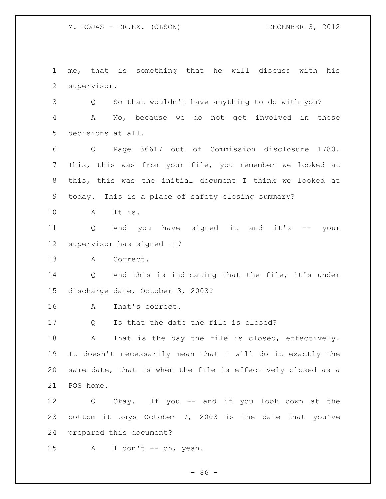me, that is something that he will discuss with his supervisor.

 Q So that wouldn't have anything to do with you? A No, because we do not get involved in those decisions at all.

 Q Page 36617 out of Commission disclosure 1780. This, this was from your file, you remember we looked at this, this was the initial document I think we looked at today. This is a place of safety closing summary?

A It is.

 Q And you have signed it and it's -- your supervisor has signed it?

A Correct.

 Q And this is indicating that the file, it's under discharge date, October 3, 2003?

A That's correct.

Q Is that the date the file is closed?

18 A That is the day the file is closed, effectively. It doesn't necessarily mean that I will do it exactly the same date, that is when the file is effectively closed as a POS home.

 Q Okay. If you -- and if you look down at the bottom it says October 7, 2003 is the date that you've prepared this document?

25 A I don't -- oh, yeah.

 $-86 -$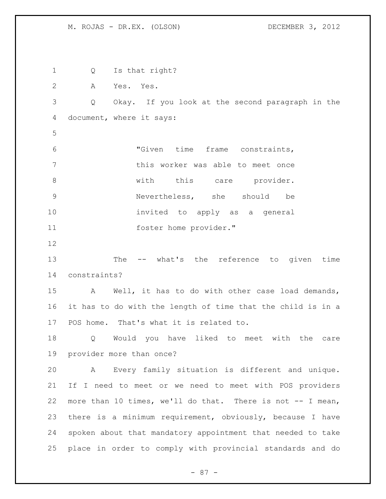Q Is that right? A Yes. Yes. Q Okay. If you look at the second paragraph in the document, where it says: "Given time frame constraints, this worker was able to meet once 8 and this care provider. Nevertheless, she should be invited to apply as a general foster home provider." The -- what's the reference to given time constraints? A Well, it has to do with other case load demands, it has to do with the length of time that the child is in a POS home. That's what it is related to. Q Would you have liked to meet with the care provider more than once? A Every family situation is different and unique. If I need to meet or we need to meet with POS providers more than 10 times, we'll do that. There is not -- I mean, there is a minimum requirement, obviously, because I have spoken about that mandatory appointment that needed to take place in order to comply with provincial standards and do

- 87 -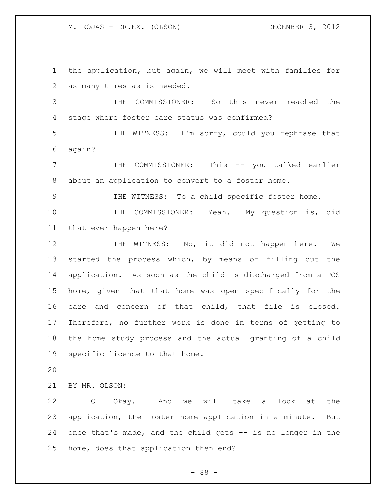the application, but again, we will meet with families for as many times as is needed.

 THE COMMISSIONER: So this never reached the stage where foster care status was confirmed?

 THE WITNESS: I'm sorry, could you rephrase that again?

 THE COMMISSIONER: This -- you talked earlier about an application to convert to a foster home.

THE WITNESS: To a child specific foster home.

 THE COMMISSIONER: Yeah. My question is, did that ever happen here?

12 THE WITNESS: No, it did not happen here. We started the process which, by means of filling out the application. As soon as the child is discharged from a POS home, given that that home was open specifically for the care and concern of that child, that file is closed. Therefore, no further work is done in terms of getting to the home study process and the actual granting of a child specific licence to that home.

BY MR. OLSON:

 Q Okay. And we will take a look at the application, the foster home application in a minute. But once that's made, and the child gets -- is no longer in the home, does that application then end?

- 88 -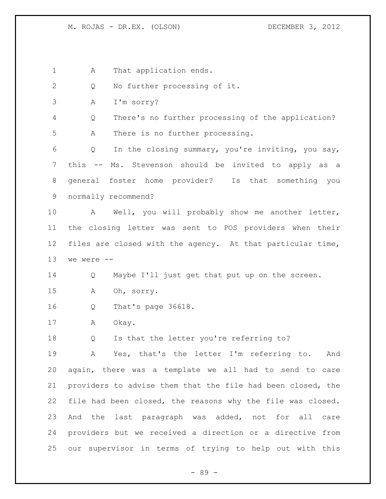1 A That application ends.

2 Q No further processing of it.

A I'm sorry?

 Q There's no further processing of the application? A There is no further processing.

 Q In the closing summary, you're inviting, you say, this -- Ms. Stevenson should be invited to apply as a general foster home provider? Is that something you normally recommend?

 A Well, you will probably show me another letter, the closing letter was sent to POS providers when their files are closed with the agency. At that particular time, we were  $-$ 

Q Maybe I'll just get that put up on the screen.

A Oh, sorry.

Q That's page 36618.

A Okay.

18 Q Is that the letter you're referring to?

 A Yes, that's the letter I'm referring to. And again, there was a template we all had to send to care providers to advise them that the file had been closed, the file had been closed, the reasons why the file was closed. And the last paragraph was added, not for all care providers but we received a direction or a directive from our supervisor in terms of trying to help out with this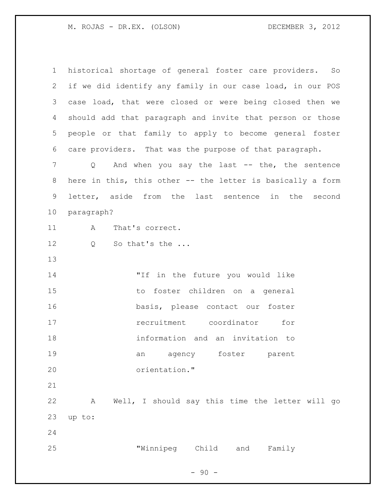| $\mathbf 1$    | historical shortage of general foster care providers. So   |
|----------------|------------------------------------------------------------|
| 2              | if we did identify any family in our case load, in our POS |
| 3              | case load, that were closed or were being closed then we   |
| 4              | should add that paragraph and invite that person or those  |
| 5              | people or that family to apply to become general foster    |
| 6              | care providers. That was the purpose of that paragraph.    |
| $\overline{7}$ | Q And when you say the last -- the, the sentence           |
| 8              | here in this, this other -- the letter is basically a form |
| 9              | letter, aside from the last sentence in the second         |
| 10             | paragraph?                                                 |
| 11             | That's correct.<br>A                                       |
| 12             | So that's the<br>Q                                         |
| 13             |                                                            |
| 14             | "If in the future you would like                           |
| 15             | to foster children on a general                            |
| 16             | basis, please contact our foster                           |
| 17             | recruitment coordinator<br>for                             |
| 18             | information and an invitation to                           |
| 19             | an agency foster parent                                    |
| 20             | orientation."                                              |
| 21             |                                                            |
| 22             | Well, I should say this time the letter will go<br>Α       |
| 23             | up to:                                                     |
| 24             |                                                            |
| 25             | "Winnipeg Child and Family                                 |

- 90 -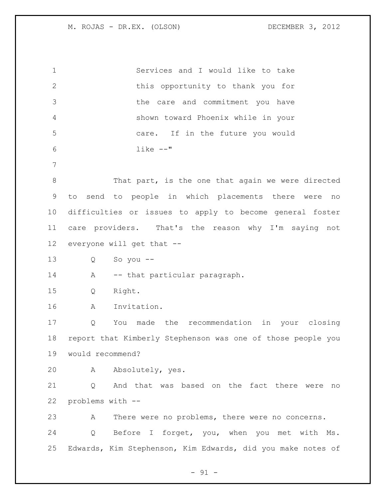| $\mathbf 1$    | Services and I would like to take                           |
|----------------|-------------------------------------------------------------|
| $\mathbf{2}$   | this opportunity to thank you for                           |
| 3              | the care and commitment you have                            |
| 4              | shown toward Phoenix while in your                          |
| 5              | care. If in the future you would                            |
| 6              | $like$ $--$ "                                               |
| $7\phantom{.}$ |                                                             |
| $\,8\,$        | That part, is the one that again we were directed           |
| 9              | to send to people in which placements there were<br>no      |
| 10             | difficulties or issues to apply to become general foster    |
| 11             | care providers. That's the reason why I'm saying not        |
| 12             | everyone will get that --                                   |
| 13             | So you $--$<br>Q                                            |
| 14             | -- that particular paragraph.<br>A                          |
|                |                                                             |
| 15             | Right.<br>Q                                                 |
| 16             | Invitation.<br>Α                                            |
| 17             | Q<br>You made the recommendation in your closing            |
| 18             | report that Kimberly Stephenson was one of those people you |
| 19             | would recommend?                                            |
| 20             | Absolutely, yes.<br>A                                       |
| 21             | And that was based on the fact there were<br>Q<br>no        |
| 22             | problems with --                                            |
| 23             | There were no problems, there were no concerns.<br>A        |
| 24             | Before I forget, you, when you met with Ms.<br>Q            |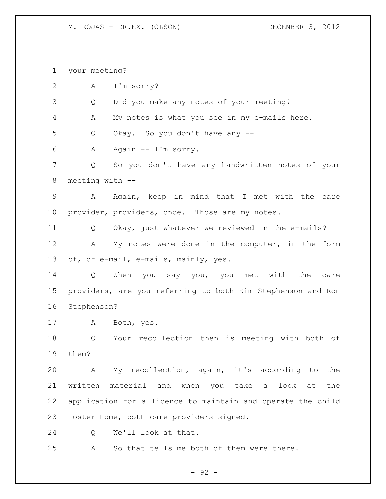your meeting? A I'm sorry? Q Did you make any notes of your meeting? A My notes is what you see in my e-mails here. Q Okay. So you don't have any -- A Again -- I'm sorry. Q So you don't have any handwritten notes of your meeting with -- A Again, keep in mind that I met with the care provider, providers, once. Those are my notes. Q Okay, just whatever we reviewed in the e-mails? 12 A My notes were done in the computer, in the form of, of e-mail, e-mails, mainly, yes. Q When you say you, you met with the care providers, are you referring to both Kim Stephenson and Ron Stephenson? A Both, yes. Q Your recollection then is meeting with both of them? A My recollection, again, it's according to the written material and when you take a look at the application for a licence to maintain and operate the child foster home, both care providers signed. Q We'll look at that. A So that tells me both of them were there.

- 92 -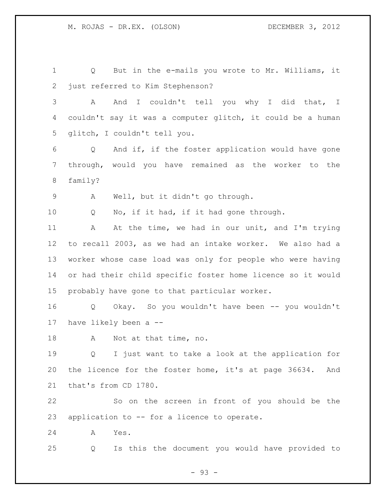Q But in the e-mails you wrote to Mr. Williams, it just referred to Kim Stephenson? A And I couldn't tell you why I did that, I couldn't say it was a computer glitch, it could be a human glitch, I couldn't tell you. Q And if, if the foster application would have gone through, would you have remained as the worker to the family? A Well, but it didn't go through. 10 Q No, if it had, if it had gone through. A At the time, we had in our unit, and I'm trying to recall 2003, as we had an intake worker. We also had a worker whose case load was only for people who were having or had their child specific foster home licence so it would probably have gone to that particular worker. Q Okay. So you wouldn't have been -- you wouldn't have likely been a -- 18 A Not at that time, no. Q I just want to take a look at the application for the licence for the foster home, it's at page 36634. And that's from CD 1780. So on the screen in front of you should be the application to -- for a licence to operate. A Yes. Q Is this the document you would have provided to

- 93 -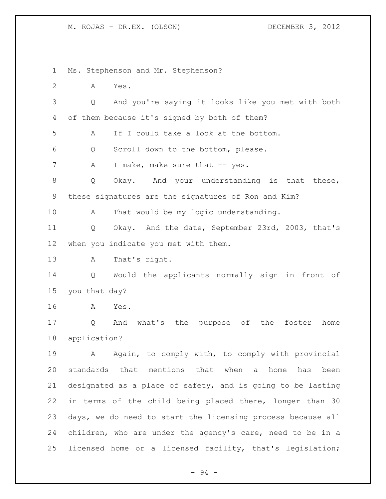Ms. Stephenson and Mr. Stephenson? A Yes. Q And you're saying it looks like you met with both of them because it's signed by both of them? A If I could take a look at the bottom. Q Scroll down to the bottom, please. 7 A I make, make sure that -- yes. Q Okay. And your understanding is that these, these signatures are the signatures of Ron and Kim? A That would be my logic understanding. Q Okay. And the date, September 23rd, 2003, that's when you indicate you met with them. A That's right. Q Would the applicants normally sign in front of you that day? A Yes. Q And what's the purpose of the foster home application? 19 A Again, to comply with, to comply with provincial standards that mentions that when a home has been designated as a place of safety, and is going to be lasting in terms of the child being placed there, longer than 30 days, we do need to start the licensing process because all children, who are under the agency's care, need to be in a licensed home or a licensed facility, that's legislation;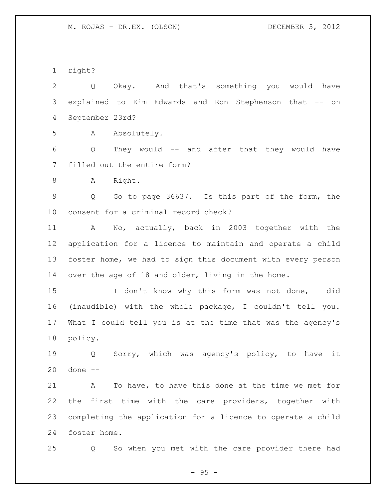right?

 Q Okay. And that's something you would have explained to Kim Edwards and Ron Stephenson that -- on September 23rd? A Absolutely. Q They would -- and after that they would have filled out the entire form? 8 A Right. Q Go to page 36637. Is this part of the form, the consent for a criminal record check? A No, actually, back in 2003 together with the application for a licence to maintain and operate a child foster home, we had to sign this document with every person over the age of 18 and older, living in the home. I don't know why this form was not done, I did (inaudible) with the whole package, I couldn't tell you. What I could tell you is at the time that was the agency's policy. Q Sorry, which was agency's policy, to have it done -- A To have, to have this done at the time we met for the first time with the care providers, together with completing the application for a licence to operate a child foster home.

Q So when you met with the care provider there had

 $- 95 -$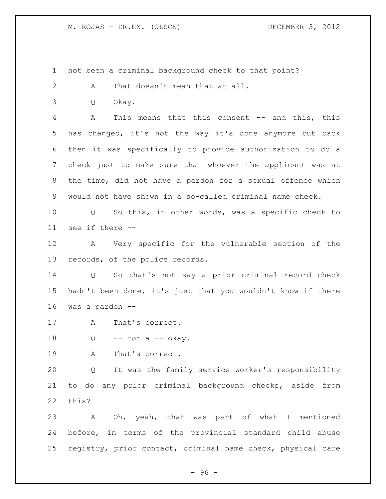not been a criminal background check to that point?

A That doesn't mean that at all.

Q Okay.

 A This means that this consent -- and this, this has changed, it's not the way it's done anymore but back then it was specifically to provide authorization to do a check just to make sure that whoever the applicant was at the time, did not have a pardon for a sexual offence which would not have shown in a so-called criminal name check.

 Q So this, in other words, was a specific check to see if there --

 A Very specific for the vulnerable section of the records, of the police records.

 Q So that's not say a prior criminal record check hadn't been done, it's just that you wouldn't know if there was a pardon --

A That's correct.

18  $Q$  -- for a -- okay.

A That's correct.

 Q It was the family service worker's responsibility to do any prior criminal background checks, aside from this?

 A Oh, yeah, that was part of what I mentioned before, in terms of the provincial standard child abuse registry, prior contact, criminal name check, physical care

 $-96 -$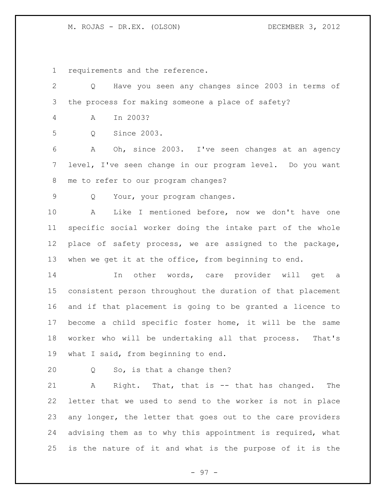requirements and the reference.

| $\mathbf{2}$    | Have you seen any changes since 2003 in terms of<br>$Q \qquad \qquad$ |
|-----------------|-----------------------------------------------------------------------|
| 3               | the process for making someone a place of safety?                     |
| $\overline{4}$  | In 2003?<br>A                                                         |
| 5               | Since 2003.<br>Q                                                      |
| 6               | Oh, since 2003. I've seen changes at an agency<br>A                   |
| 7               | level, I've seen change in our program level. Do you want             |
| 8               | me to refer to our program changes?                                   |
| 9               | Your, your program changes.<br>Q                                      |
| 10              | Like I mentioned before, now we don't have one<br>A                   |
| 11              | specific social worker doing the intake part of the whole             |
| 12 <sup>°</sup> | place of safety process, we are assigned to the package,              |
| 13              | when we get it at the office, from beginning to end.                  |
| 14              | In other words, care provider will get a                              |
| 15              | consistent person throughout the duration of that placement           |
| 16              | and if that placement is going to be granted a licence to             |
| 17              | become a child specific foster home, it will be the same              |
| 18              | worker who will be undertaking all that process. That's               |
| 19              | what I said, from beginning to end.                                   |
| 20              | So, is that a change then?<br>Q                                       |
| 21              | Right. That, that is -- that has changed.<br>A<br>The                 |
| 22              | letter that we used to send to the worker is not in place             |
| 23              | any longer, the letter that goes out to the care providers            |
| 24              | advising them as to why this appointment is required, what            |
| 25              | is the nature of it and what is the purpose of it is the              |

- 97 -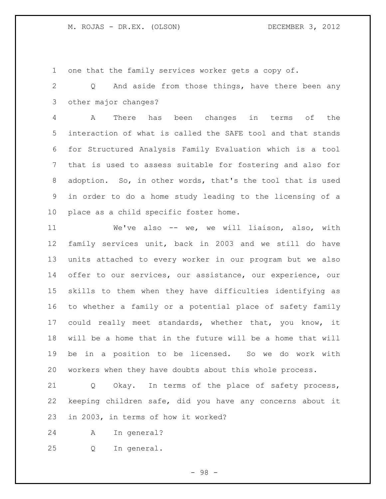one that the family services worker gets a copy of.

 Q And aside from those things, have there been any other major changes?

 A There has been changes in terms of the interaction of what is called the SAFE tool and that stands for Structured Analysis Family Evaluation which is a tool that is used to assess suitable for fostering and also for adoption. So, in other words, that's the tool that is used in order to do a home study leading to the licensing of a place as a child specific foster home.

 We've also -- we, we will liaison, also, with family services unit, back in 2003 and we still do have units attached to every worker in our program but we also 14 offer to our services, our assistance, our experience, our skills to them when they have difficulties identifying as to whether a family or a potential place of safety family could really meet standards, whether that, you know, it will be a home that in the future will be a home that will be in a position to be licensed. So we do work with workers when they have doubts about this whole process.

 Q Okay. In terms of the place of safety process, keeping children safe, did you have any concerns about it in 2003, in terms of how it worked?

A In general?

Q In general.

- 98 -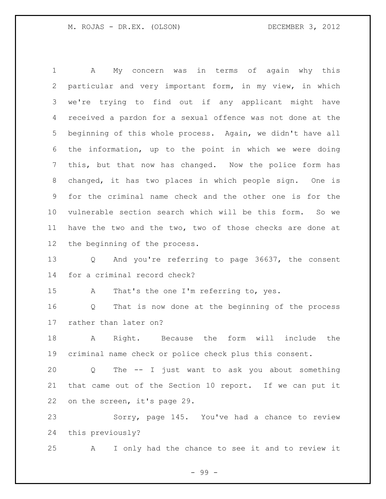A My concern was in terms of again why this particular and very important form, in my view, in which we're trying to find out if any applicant might have received a pardon for a sexual offence was not done at the beginning of this whole process. Again, we didn't have all the information, up to the point in which we were doing this, but that now has changed. Now the police form has changed, it has two places in which people sign. One is for the criminal name check and the other one is for the vulnerable section search which will be this form. So we have the two and the two, two of those checks are done at the beginning of the process. Q And you're referring to page 36637, the consent for a criminal record check? A That's the one I'm referring to, yes. Q That is now done at the beginning of the process rather than later on? A Right. Because the form will include the criminal name check or police check plus this consent. Q The -- I just want to ask you about something that came out of the Section 10 report. If we can put it

Sorry, page 145. You've had a chance to review

this previously?

on the screen, it's page 29.

A I only had the chance to see it and to review it

- 99 -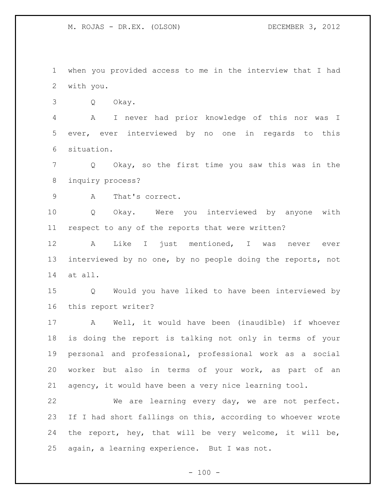when you provided access to me in the interview that I had with you.

Q Okay.

 A I never had prior knowledge of this nor was I ever, ever interviewed by no one in regards to this situation.

 Q Okay, so the first time you saw this was in the inquiry process?

A That's correct.

 Q Okay. Were you interviewed by anyone with respect to any of the reports that were written?

 A Like I just mentioned, I was never ever interviewed by no one, by no people doing the reports, not at all.

 Q Would you have liked to have been interviewed by this report writer?

 A Well, it would have been (inaudible) if whoever is doing the report is talking not only in terms of your personal and professional, professional work as a social worker but also in terms of your work, as part of an agency, it would have been a very nice learning tool.

 We are learning every day, we are not perfect. If I had short fallings on this, according to whoever wrote the report, hey, that will be very welcome, it will be, again, a learning experience. But I was not.

 $- 100 -$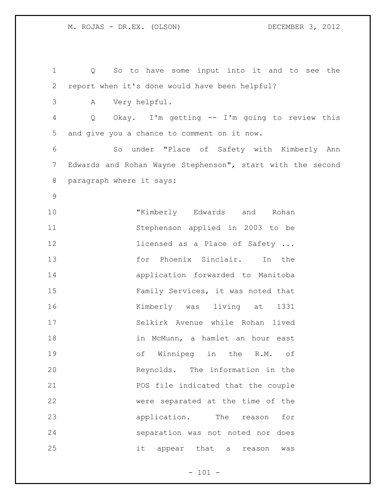Q So to have some input into it and to see the report when it's done would have been helpful? A Very helpful. Q Okay. I'm getting -- I'm going to review this and give you a chance to comment on it now. So under "Place of Safety with Kimberly Ann Edwards and Rohan Wayne Stephenson", start with the second paragraph where it says: "Kimberly Edwards and Rohan Stephenson applied in 2003 to be **licensed as a Place of Safety ...**  for Phoenix Sinclair. In the application forwarded to Manitoba Family Services, it was noted that Kimberly was living at 1331 Selkirk Avenue while Rohan lived in McMunn, a hamlet an hour east of Winnipeg in the R.M. of Reynolds. The information in the POS file indicated that the couple were separated at the time of the **application**. The reason for separation was not noted nor does it appear that a reason was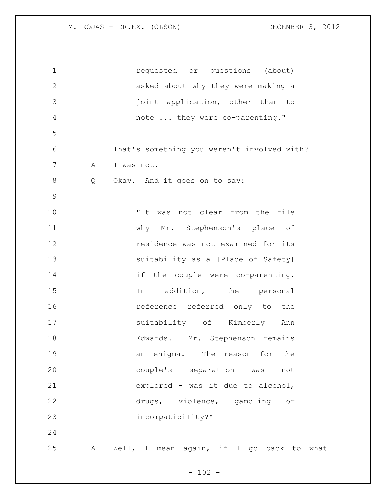| $\mathbf 1$  |   | requested or questions (about)              |
|--------------|---|---------------------------------------------|
| $\mathbf{2}$ |   | asked about why they were making a          |
| 3            |   | joint application, other than to            |
| 4            |   | note  they were co-parenting."              |
| 5            |   |                                             |
| 6            |   | That's something you weren't involved with? |
| 7            | A | I was not.                                  |
| 8            | Q | Okay. And it goes on to say:                |
| 9            |   |                                             |
| 10           |   | "It was not clear from the file             |
| 11           |   | why Mr. Stephenson's place of               |
| 12           |   | residence was not examined for its          |
| 13           |   | suitability as a [Place of Safety]          |
| 14           |   | if the couple were co-parenting.            |
| 15           |   | addition, the personal<br>In                |
| 16           |   | reference referred only to the              |
| 17           |   | suitability of Kimberly Ann                 |
| 18           |   | Edwards. Mr. Stephenson remains             |
| 19           |   | The reason for the<br>an enigma.            |
| 20           |   | couple's separation was<br>not              |
| 21           |   | explored - was it due to alcohol,           |
| 22           |   | drugs, violence, gambling or                |
| 23           |   | incompatibility?"                           |
| 24           |   |                                             |
| 25           | Α | Well, I mean again, if I go back to what I  |
|              |   |                                             |

- 102 -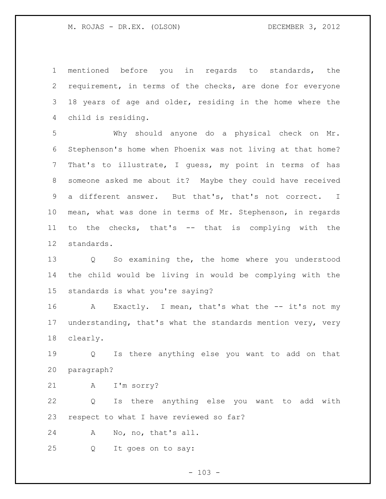mentioned before you in regards to standards, the requirement, in terms of the checks, are done for everyone 18 years of age and older, residing in the home where the child is residing.

 Why should anyone do a physical check on Mr. Stephenson's home when Phoenix was not living at that home? That's to illustrate, I guess, my point in terms of has someone asked me about it? Maybe they could have received a different answer. But that's, that's not correct. I mean, what was done in terms of Mr. Stephenson, in regards to the checks, that's -- that is complying with the standards.

 Q So examining the, the home where you understood the child would be living in would be complying with the standards is what you're saying?

16 A Exactly. I mean, that's what the -- it's not my understanding, that's what the standards mention very, very clearly.

 Q Is there anything else you want to add on that paragraph?

A I'm sorry?

 Q Is there anything else you want to add with respect to what I have reviewed so far?

A No, no, that's all.

Q It goes on to say:

 $- 103 -$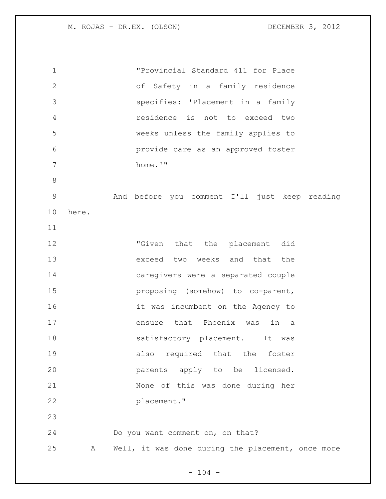| 1            |       | "Provincial Standard 411 for Place                |
|--------------|-------|---------------------------------------------------|
| $\mathbf{2}$ |       | of Safety in a family residence                   |
| 3            |       | specifies: 'Placement in a family                 |
| 4            |       | residence is not to exceed two                    |
| 5            |       | weeks unless the family applies to                |
| 6            |       | provide care as an approved foster                |
| 7            |       | home.'"                                           |
| $8\,$        |       |                                                   |
| $\mathsf{S}$ |       | And before you comment I'll just keep reading     |
| 10           | here. |                                                   |
| 11           |       |                                                   |
| 12           |       | "Given that the placement did                     |
| 13           |       | exceed two weeks and that the                     |
| 14           |       | caregivers were a separated couple                |
| 15           |       | proposing (somehow) to co-parent,                 |
| 16           |       | it was incumbent on the Agency to                 |
| 17           |       | ensure that Phoenix was<br>in<br>a                |
| 18           |       | satisfactory placement. It was                    |
| 19           |       | also required that the foster                     |
| 20           |       | parents apply to be licensed.                     |
| 21           |       | None of this was done during her                  |
| 22           |       | placement."                                       |
| 23           |       |                                                   |
| 24           |       | Do you want comment on, on that?                  |
| 25           | Α     | Well, it was done during the placement, once more |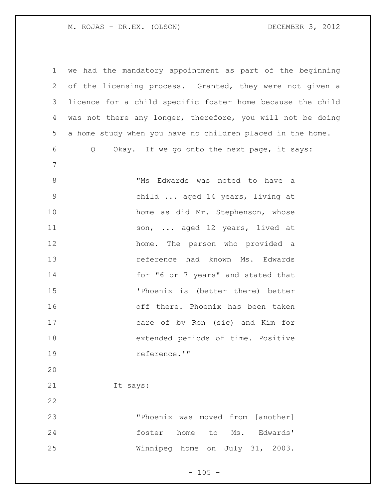| $\mathbf 1$    | we had the mandatory appointment as part of the beginning  |
|----------------|------------------------------------------------------------|
| 2              | of the licensing process. Granted, they were not given a   |
| 3              | licence for a child specific foster home because the child |
| 4              | was not there any longer, therefore, you will not be doing |
| 5              | a home study when you have no children placed in the home. |
| 6              | Okay. If we go onto the next page, it says:<br>Q           |
| $7\phantom{.}$ |                                                            |
| $8\,$          | "Ms Edwards was noted to have a                            |
| $\mathsf 9$    | child  aged 14 years, living at                            |
| 10             | home as did Mr. Stephenson, whose                          |
| 11             | son,  aged 12 years, lived at                              |
| 12             | home. The person who provided a                            |
| 13             | reference had known Ms. Edwards                            |
| 14             | for "6 or 7 years" and stated that                         |
| 15             | 'Phoenix is (better there) better                          |
| 16             | off there. Phoenix has been taken                          |
| 17             | care of by Ron (sic) and Kim for                           |
| 18             | extended periods of time. Positive                         |
| 19             | reference.'"                                               |
| 20             |                                                            |
| 21             | It says:                                                   |
| 22             |                                                            |
| 23             | "Phoenix was moved from [another]                          |
| 24             | foster<br>home<br>Ms. Edwards'<br>to                       |
| 25             | Winnipeg home<br>on July 31, 2003.                         |
|                |                                                            |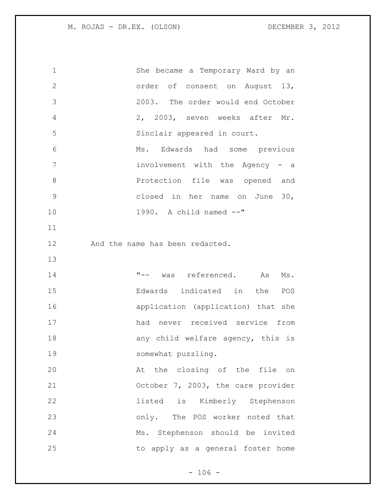| $\mathbf 1$   | She became a Temporary Ward by an  |
|---------------|------------------------------------|
| $\mathbf{2}$  | order of consent on August 13,     |
| 3             | 2003. The order would end October  |
| 4             | 2, 2003, seven weeks after Mr.     |
| 5             | Sinclair appeared in court.        |
| 6             | Ms. Edwards had some previous      |
| 7             | involvement with the Agency - a    |
| $\,8\,$       | Protection file was opened and     |
| $\mathcal{G}$ | closed in her name on June 30,     |
| 10            | 1990. A child named --"            |
| 11            |                                    |
| 12            | And the name has been redacted.    |
| 13            |                                    |
| 14            | "-- was referenced. As Ms.         |
| 15            | Edwards indicated in the POS       |
| 16            | application (application) that she |
| 17            | had never received service from    |
| 18            | any child welfare agency, this is  |
| 19            | somewhat puzzling.                 |
| 20            | At the closing of the file on      |
|               |                                    |
| 21            | October 7, 2003, the care provider |
| 22            | listed is Kimberly Stephenson      |
| 23            | only. The POS worker noted that    |
| 24            | Ms. Stephenson should be invited   |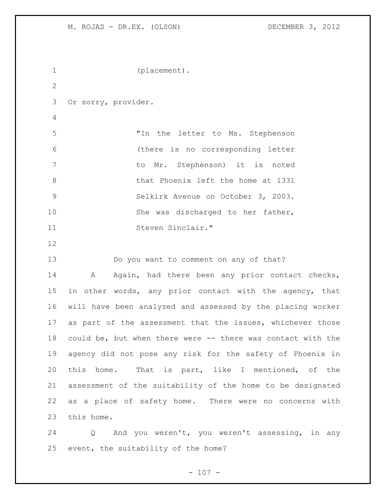```
1 (placement).
2
3 Or sorry, provider.
4
5 "In the letter to Ms. Stephenson 
6 (there is no corresponding letter 
7 to Mr. Stephenson) it is noted 
8 bhat Phoenix left the home at 1331
9 Selkirk Avenue on October 3, 2003. 
10 She was discharged to her father,
11 Steven Sinclair."
12
13 Do you want to comment on any of that?
14 A Again, had there been any prior contact checks,
15 in other words, any prior contact with the agency, that 
16 will have been analyzed and assessed by the placing worker 
17 as part of the assessment that the issues, whichever those
18 could be, but when there were -- there was contact with the 
19 agency did not pose any risk for the safety of Phoenix in 
20 this home. That is part, like I mentioned, of the 
21 assessment of the suitability of the home to be designated 
22 as a place of safety home. There were no concerns with 
23 this home.
```
 Q And you weren't, you weren't assessing, in any event, the suitability of the home?

 $- 107 -$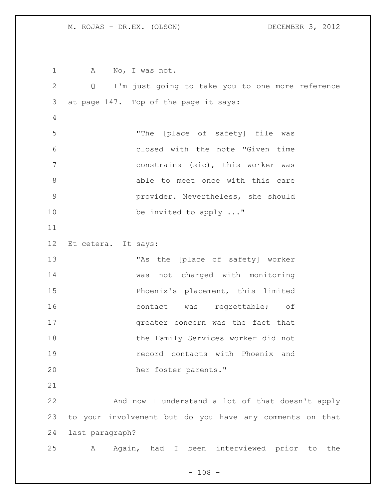M. ROJAS - DR.EX. (OLSON) DECEMBER 3, 2012

1 A No, I was not. Q I'm just going to take you to one more reference at page 147. Top of the page it says: "The [place of safety] file was closed with the note "Given time constrains (sic), this worker was 8 able to meet once with this care provider. Nevertheless, she should 10 be invited to apply ..." Et cetera. It says: "As the [place of safety] worker was not charged with monitoring Phoenix's placement, this limited 16 contact was regrettable; of greater concern was the fact that the Family Services worker did not record contacts with Phoenix and her foster parents." And now I understand a lot of that doesn't apply to your involvement but do you have any comments on that last paragraph? A Again, had I been interviewed prior to the

 $- 108 -$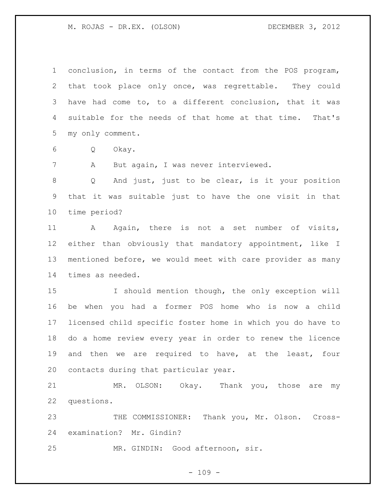M. ROJAS - DR.EX. (OLSON) DECEMBER 3, 2012

 conclusion, in terms of the contact from the POS program, that took place only once, was regrettable. They could have had come to, to a different conclusion, that it was suitable for the needs of that home at that time. That's my only comment.

Q Okay.

A But again, I was never interviewed.

 Q And just, just to be clear, is it your position that it was suitable just to have the one visit in that time period?

 A Again, there is not a set number of visits, either than obviously that mandatory appointment, like I mentioned before, we would meet with care provider as many times as needed.

15 15 I should mention though, the only exception will be when you had a former POS home who is now a child licensed child specific foster home in which you do have to do a home review every year in order to renew the licence and then we are required to have, at the least, four contacts during that particular year.

 MR. OLSON: Okay. Thank you, those are my questions.

23 THE COMMISSIONER: Thank you, Mr. Olson. Cross-examination? Mr. Gindin?

MR. GINDIN: Good afternoon, sir.

 $- 109 -$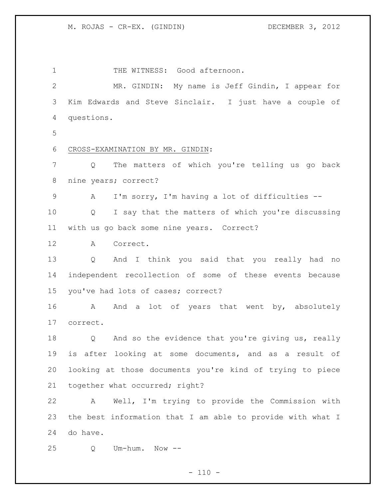1 THE WITNESS: Good afternoon. MR. GINDIN: My name is Jeff Gindin, I appear for Kim Edwards and Steve Sinclair. I just have a couple of questions. CROSS-EXAMINATION BY MR. GINDIN: Q The matters of which you're telling us go back nine years; correct? A I'm sorry, I'm having a lot of difficulties -- Q I say that the matters of which you're discussing with us go back some nine years. Correct? A Correct. Q And I think you said that you really had no independent recollection of some of these events because you've had lots of cases; correct? 16 A And a lot of years that went by, absolutely correct. Q And so the evidence that you're giving us, really is after looking at some documents, and as a result of looking at those documents you're kind of trying to piece together what occurred; right? A Well, I'm trying to provide the Commission with the best information that I am able to provide with what I do have. Q Um-hum. Now --

 $- 110 -$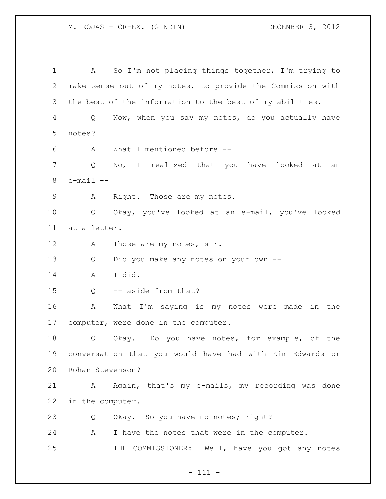M. ROJAS - CR-EX. (GINDIN) DECEMBER 3, 2012

 A So I'm not placing things together, I'm trying to make sense out of my notes, to provide the Commission with the best of the information to the best of my abilities. Q Now, when you say my notes, do you actually have notes? A What I mentioned before -- Q No, I realized that you have looked at an e-mail  $-$  A Right. Those are my notes. Q Okay, you've looked at an e-mail, you've looked at a letter. 12 A Those are my notes, sir. Q Did you make any notes on your own -- A I did. Q -- aside from that? A What I'm saying is my notes were made in the computer, were done in the computer. Q Okay. Do you have notes, for example, of the conversation that you would have had with Kim Edwards or Rohan Stevenson? A Again, that's my e-mails, my recording was done in the computer. 23 Q Okay. So you have no notes; right? A I have the notes that were in the computer. THE COMMISSIONER: Well, have you got any notes

- 111 -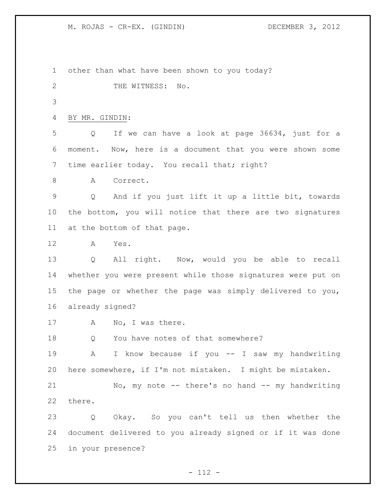M. ROJAS - CR-EX. (GINDIN) DECEMBER 3, 2012

 other than what have been shown to you today? 2 THE WITNESS: No. BY MR. GINDIN: Q If we can have a look at page 36634, just for a moment. Now, here is a document that you were shown some 7 time earlier today. You recall that; right? A Correct. Q And if you just lift it up a little bit, towards the bottom, you will notice that there are two signatures at the bottom of that page. A Yes. Q All right. Now, would you be able to recall whether you were present while those signatures were put on the page or whether the page was simply delivered to you, already signed? 17 A No, I was there. 18 Q You have notes of that somewhere? A I know because if you -- I saw my handwriting here somewhere, if I'm not mistaken. I might be mistaken. No, my note -- there's no hand -- my handwriting there. Q Okay. So you can't tell us then whether the document delivered to you already signed or if it was done in your presence?

 $- 112 -$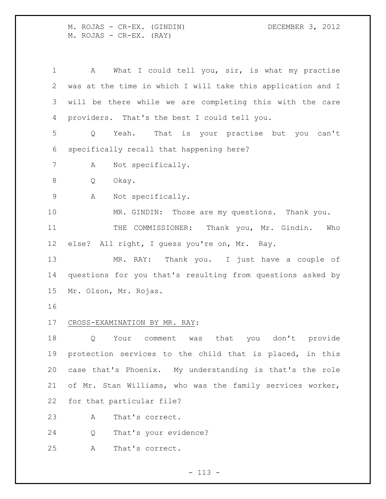M. ROJAS - CR-EX. (GINDIN) DECEMBER 3, 2012 M. ROJAS - CR-EX. (RAY)

 A What I could tell you, sir, is what my practise was at the time in which I will take this application and I will be there while we are completing this with the care providers. That's the best I could tell you. Q Yeah. That is your practise but you can't specifically recall that happening here? A Not specifically. Q Okay.

A Not specifically.

 MR. GINDIN: Those are my questions. Thank you. THE COMMISSIONER: Thank you, Mr. Gindin. Who else? All right, I guess you're on, Mr. Ray.

 MR. RAY: Thank you. I just have a couple of questions for you that's resulting from questions asked by Mr. Olson, Mr. Rojas.

# CROSS-EXAMINATION BY MR. RAY:

 Q Your comment was that you don't provide protection services to the child that is placed, in this case that's Phoenix. My understanding is that's the role of Mr. Stan Williams, who was the family services worker, for that particular file?

A That's correct.

Q That's your evidence?

A That's correct.

 $- 113 -$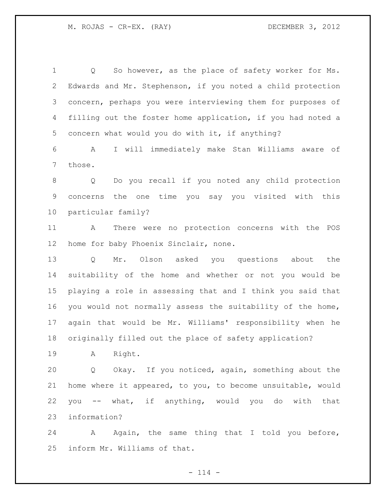Q So however, as the place of safety worker for Ms. Edwards and Mr. Stephenson, if you noted a child protection concern, perhaps you were interviewing them for purposes of filling out the foster home application, if you had noted a concern what would you do with it, if anything? A I will immediately make Stan Williams aware of those. Q Do you recall if you noted any child protection concerns the one time you say you visited with this particular family? A There were no protection concerns with the POS home for baby Phoenix Sinclair, none. Q Mr. Olson asked you questions about the suitability of the home and whether or not you would be playing a role in assessing that and I think you said that you would not normally assess the suitability of the home, again that would be Mr. Williams' responsibility when he originally filled out the place of safety application? A Right. Q Okay. If you noticed, again, something about the home where it appeared, to you, to become unsuitable, would you -- what, if anything, would you do with that information? 24 A Again, the same thing that I told you before,

inform Mr. Williams of that.

 $- 114 -$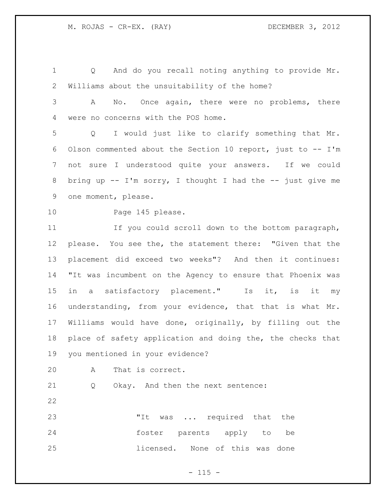Q And do you recall noting anything to provide Mr. Williams about the unsuitability of the home? A No. Once again, there were no problems, there were no concerns with the POS home. Q I would just like to clarify something that Mr. 6 Olson commented about the Section 10 report, just to  $- - I'm$  not sure I understood quite your answers. If we could bring up -- I'm sorry, I thought I had the -- just give me one moment, please. Page 145 please. If you could scroll down to the bottom paragraph, please. You see the, the statement there: "Given that the placement did exceed two weeks"? And then it continues: "It was incumbent on the Agency to ensure that Phoenix was

 in a satisfactory placement." Is it, is it my understanding, from your evidence, that that is what Mr. Williams would have done, originally, by filling out the place of safety application and doing the, the checks that you mentioned in your evidence?

A That is correct.

Q Okay. And then the next sentence:

23 The Mas ... required that the foster parents apply to be licensed. None of this was done

# $- 115 -$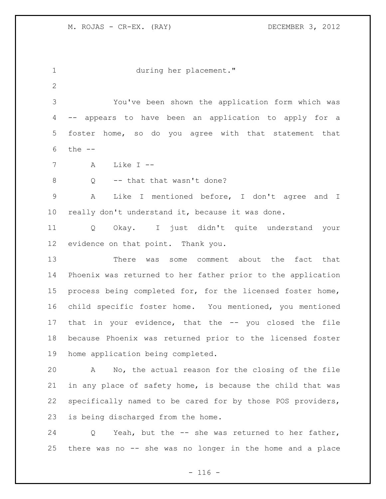during her placement." You've been shown the application form which was -- appears to have been an application to apply for a foster home, so do you agree with that statement that the -- A Like I -- 8 Q -- that that wasn't done? A Like I mentioned before, I don't agree and I really don't understand it, because it was done. Q Okay. I just didn't quite understand your evidence on that point. Thank you. There was some comment about the fact that Phoenix was returned to her father prior to the application process being completed for, for the licensed foster home, child specific foster home. You mentioned, you mentioned that in your evidence, that the -- you closed the file because Phoenix was returned prior to the licensed foster home application being completed. A No, the actual reason for the closing of the file in any place of safety home, is because the child that was specifically named to be cared for by those POS providers, is being discharged from the home. Q Yeah, but the -- she was returned to her father,

there was no -- she was no longer in the home and a place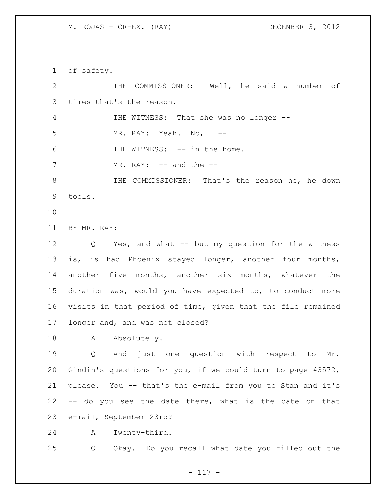M. ROJAS - CR-EX. (RAY) DECEMBER 3, 2012

of safety.

 THE COMMISSIONER: Well, he said a number of times that's the reason. THE WITNESS: That she was no longer -- MR. RAY: Yeah. No, I -- 6 THE WITNESS: -- in the home. 7 MR. RAY: -- and the -- THE COMMISSIONER: That's the reason he, he down tools. BY MR. RAY: Q Yes, and what -- but my question for the witness is, is had Phoenix stayed longer, another four months, another five months, another six months, whatever the duration was, would you have expected to, to conduct more visits in that period of time, given that the file remained longer and, and was not closed?

18 A Absolutely.

 Q And just one question with respect to Mr. Gindin's questions for you, if we could turn to page 43572, please. You -- that's the e-mail from you to Stan and it's -- do you see the date there, what is the date on that e-mail, September 23rd?

A Twenty-third.

Q Okay. Do you recall what date you filled out the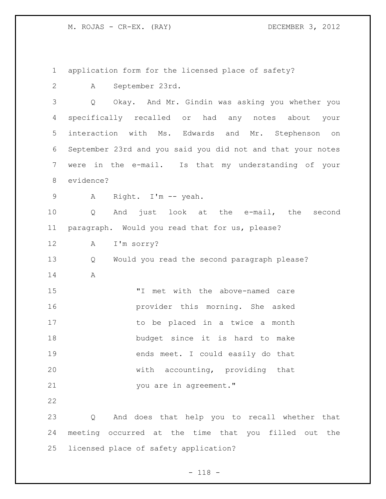M. ROJAS - CR-EX. (RAY) DECEMBER 3, 2012

 application form for the licensed place of safety? A September 23rd. Q Okay. And Mr. Gindin was asking you whether you specifically recalled or had any notes about your interaction with Ms. Edwards and Mr. Stephenson on September 23rd and you said you did not and that your notes were in the e-mail. Is that my understanding of your evidence? A Right. I'm -- yeah. Q And just look at the e-mail, the second paragraph. Would you read that for us, please? A I'm sorry? Q Would you read the second paragraph please? A "I met with the above-named care provider this morning. She asked 17 to be placed in a twice a month budget since it is hard to make ends meet. I could easily do that with accounting, providing that you are in agreement." Q And does that help you to recall whether that meeting occurred at the time that you filled out the licensed place of safety application?

- 118 -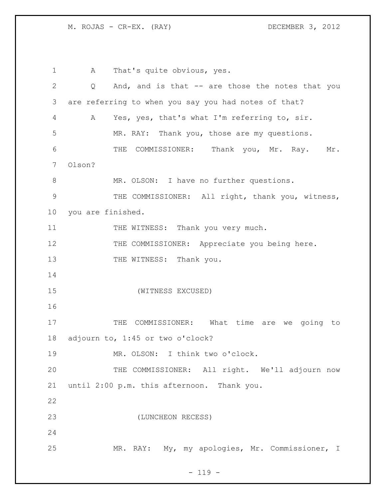M. ROJAS - CR-EX. (RAY) DECEMBER 3, 2012

1 A That's quite obvious, yes. Q And, and is that -- are those the notes that you are referring to when you say you had notes of that? A Yes, yes, that's what I'm referring to, sir. MR. RAY: Thank you, those are my questions. 6 THE COMMISSIONER: Thank you, Mr. Ray. Mr. Olson? 8 MR. OLSON: I have no further questions. 9 THE COMMISSIONER: All right, thank you, witness, you are finished. 11 THE WITNESS: Thank you very much. 12 THE COMMISSIONER: Appreciate you being here. 13 THE WITNESS: Thank you. (WITNESS EXCUSED) 17 THE COMMISSIONER: What time are we going to adjourn to, 1:45 or two o'clock? MR. OLSON: I think two o'clock. THE COMMISSIONER: All right. We'll adjourn now until 2:00 p.m. this afternoon. Thank you. (LUNCHEON RECESS) MR. RAY: My, my apologies, Mr. Commissioner, I

# $- 119 -$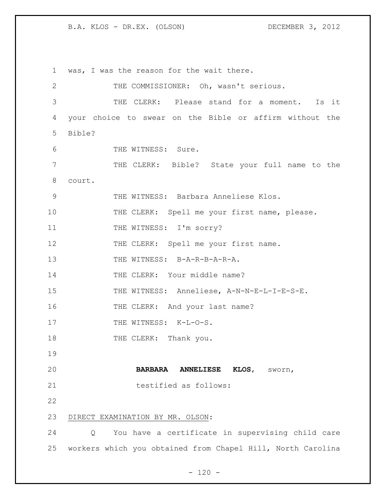1 was, I was the reason for the wait there. 2 THE COMMISSIONER: Oh, wasn't serious. 3 THE CLERK: Please stand for a moment. Is it 4 your choice to swear on the Bible or affirm without the 5 Bible? 6 THE WITNESS: Sure. 7 THE CLERK: Bible? State your full name to the 8 court. 9 THE WITNESS: Barbara Anneliese Klos. 10 THE CLERK: Spell me your first name, please. 11 THE WITNESS: I'm sorry? 12 THE CLERK: Spell me your first name. 13 THE WITNESS: B-A-R-B-A-R-A. 14 THE CLERK: Your middle name? 15 THE WITNESS: Anneliese, A-N-N-E-L-I-E-S-E. 16 THE CLERK: And your last name? 17 THE WITNESS: K-L-O-S. 18 THE CLERK: Thank you. 19 20 **BARBARA ANNELIESE KLOS**, sworn, 21 testified as follows: 22 23 DIRECT EXAMINATION BY MR. OLSON: 24 Q You have a certificate in supervising child care 25 workers which you obtained from Chapel Hill, North Carolina

 $- 120 -$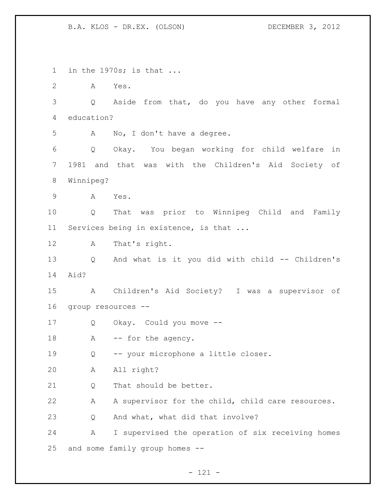in the 1970s; is that ... A Yes. Q Aside from that, do you have any other formal education? A No, I don't have a degree. Q Okay. You began working for child welfare in 1981 and that was with the Children's Aid Society of Winnipeg? A Yes. Q That was prior to Winnipeg Child and Family 11 Services being in existence, is that ... A That's right. Q And what is it you did with child -- Children's Aid? A Children's Aid Society? I was a supervisor of group resources -- Q Okay. Could you move -- 18 A -- for the agency. Q -- your microphone a little closer. A All right? 21 0 That should be better. A A supervisor for the child, child care resources. Q And what, what did that involve? A I supervised the operation of six receiving homes and some family group homes --

- 121 -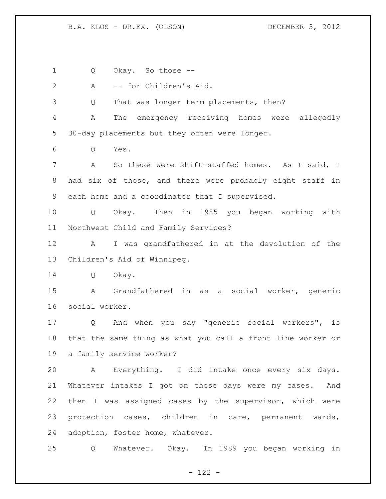Q Okay. So those --

 A -- for Children's Aid. Q That was longer term placements, then? A The emergency receiving homes were allegedly 30-day placements but they often were longer. Q Yes. A So these were shift-staffed homes. As I said, I had six of those, and there were probably eight staff in each home and a coordinator that I supervised. Q Okay. Then in 1985 you began working with Northwest Child and Family Services? A I was grandfathered in at the devolution of the Children's Aid of Winnipeg. Q Okay. A Grandfathered in as a social worker, generic social worker. Q And when you say "generic social workers", is that the same thing as what you call a front line worker or a family service worker? A Everything. I did intake once every six days. Whatever intakes I got on those days were my cases. And then I was assigned cases by the supervisor, which were protection cases, children in care, permanent wards,

adoption, foster home, whatever.

Q Whatever. Okay. In 1989 you began working in

- 122 -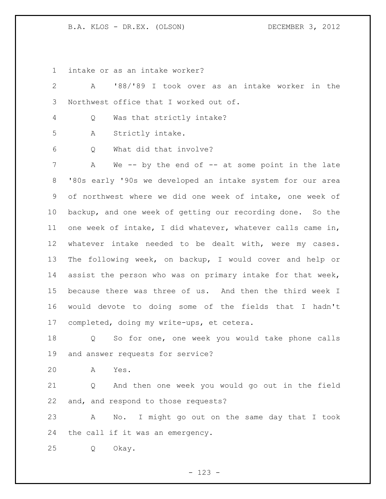intake or as an intake worker?

| 2               | '88/'89 I took over as an intake worker in the<br>A         |
|-----------------|-------------------------------------------------------------|
| 3               | Northwest office that I worked out of.                      |
| 4               | Was that strictly intake?<br>Q                              |
| 5               | Strictly intake.<br>А                                       |
| 6               | What did that involve?<br>Q                                 |
| 7               | We -- by the end of -- at some point in the late<br>A       |
| 8               | '80s early '90s we developed an intake system for our area  |
| 9               | of northwest where we did one week of intake, one week of   |
| 10 <sub>o</sub> | backup, and one week of getting our recording done. So the  |
| 11              | one week of intake, I did whatever, whatever calls came in, |
| $12 \,$         | whatever intake needed to be dealt with, were my cases.     |
| 13              | The following week, on backup, I would cover and help or    |
| 14              | assist the person who was on primary intake for that week,  |
| 15              | because there was three of us. And then the third week I    |
| 16              | would devote to doing some of the fields that I hadn't      |
| 17              | completed, doing my write-ups, et cetera.                   |
| 18              | So for one, one week you would take phone calls<br>Q        |
| 19              | and answer requests for service?                            |
| 20              | A<br>Yes.                                                   |
| 21              | And then one week you would go out in the field<br>Q        |
| 22              | and, and respond to those requests?                         |
| 23              | No. I might go out on the same day that I took<br>A         |
| 24              | the call if it was an emergency.                            |
| 25              | Q<br>Okay.                                                  |

- 123 -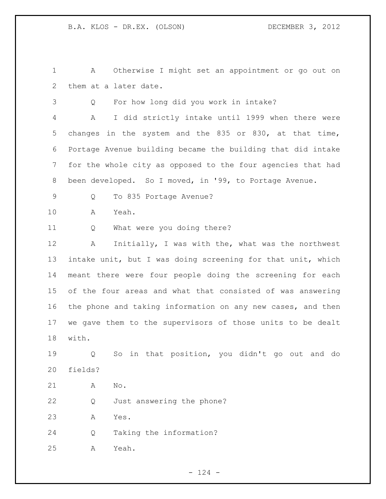A Otherwise I might set an appointment or go out on them at a later date.

Q For how long did you work in intake?

 A I did strictly intake until 1999 when there were changes in the system and the 835 or 830, at that time, Portage Avenue building became the building that did intake for the whole city as opposed to the four agencies that had been developed. So I moved, in '99, to Portage Avenue.

Q To 835 Portage Avenue?

A Yeah.

Q What were you doing there?

 A Initially, I was with the, what was the northwest intake unit, but I was doing screening for that unit, which meant there were four people doing the screening for each of the four areas and what that consisted of was answering the phone and taking information on any new cases, and then we gave them to the supervisors of those units to be dealt with.

 Q So in that position, you didn't go out and do fields?

A No.

Q Just answering the phone?

A Yes.

Q Taking the information?

A Yeah.

 $- 124 -$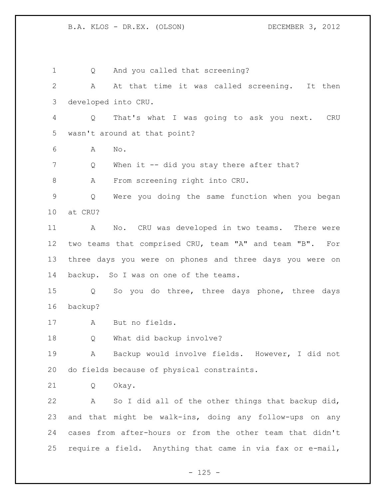1 Q And you called that screening? A At that time it was called screening. It then developed into CRU. Q That's what I was going to ask you next. CRU wasn't around at that point? A No. 7 Q When it -- did you stay there after that? A From screening right into CRU. Q Were you doing the same function when you began at CRU? A No. CRU was developed in two teams. There were two teams that comprised CRU, team "A" and team "B". For three days you were on phones and three days you were on backup. So I was on one of the teams. Q So you do three, three days phone, three days backup? A But no fields. Q What did backup involve? A Backup would involve fields. However, I did not do fields because of physical constraints. Q Okay. A So I did all of the other things that backup did, and that might be walk-ins, doing any follow-ups on any cases from after-hours or from the other team that didn't require a field. Anything that came in via fax or e-mail,

 $- 125 -$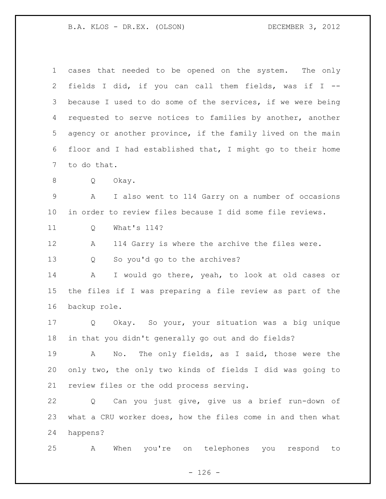| $\mathbf 1$    | cases that needed to be opened on the system. The only      |
|----------------|-------------------------------------------------------------|
| $\overline{2}$ | fields I did, if you can call them fields, was if I --      |
| 3              | because I used to do some of the services, if we were being |
| 4              | requested to serve notices to families by another, another  |
| 5              | agency or another province, if the family lived on the main |
| 6              | floor and I had established that, I might go to their home  |
| 7              | to do that.                                                 |
| 8              | Okay.<br>Q                                                  |
| $\mathsf 9$    | I also went to 114 Garry on a number of occasions<br>А      |
| 10             | in order to review files because I did some file reviews.   |
| 11             | What's 114?<br>Q                                            |
| 12             | 114 Garry is where the archive the files were.<br>А         |
| 13             | So you'd go to the archives?<br>Q                           |
| 14             | I would go there, yeah, to look at old cases or<br>Α        |
| 15             | the files if I was preparing a file review as part of the   |
| 16             | backup role.                                                |
| 17             | Okay. So your, your situation was a big unique<br>Q         |
| 18             | in that you didn't generally go out and do fields?          |
| 19             | No. The only fields, as I said, those were the<br>A         |
| 20             | only two, the only two kinds of fields I did was going to   |
| 21             | review files or the odd process serving.                    |
| 22             | Can you just give, give us a brief run-down of<br>Q         |
| 23             | what a CRU worker does, how the files come in and then what |
| 24             | happens?                                                    |
| 25             | When you're on telephones you<br>respond<br>Α<br>to         |

- 126 -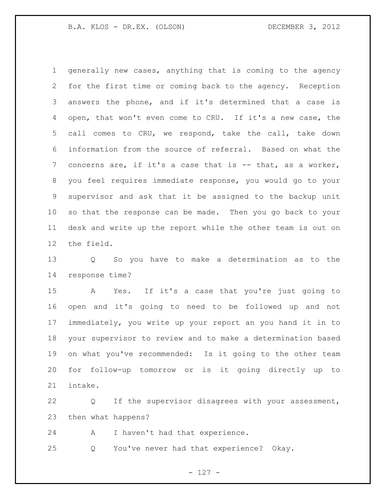generally new cases, anything that is coming to the agency for the first time or coming back to the agency. Reception answers the phone, and if it's determined that a case is open, that won't even come to CRU. If it's a new case, the call comes to CRU, we respond, take the call, take down information from the source of referral. Based on what the concerns are, if it's a case that is -- that, as a worker, you feel requires immediate response, you would go to your supervisor and ask that it be assigned to the backup unit so that the response can be made. Then you go back to your desk and write up the report while the other team is out on the field.

 Q So you have to make a determination as to the response time?

 A Yes. If it's a case that you're just going to open and it's going to need to be followed up and not immediately, you write up your report an you hand it in to your supervisor to review and to make a determination based on what you've recommended: Is it going to the other team for follow-up tomorrow or is it going directly up to intake.

 Q If the supervisor disagrees with your assessment, then what happens?

A I haven't had that experience.

Q You've never had that experience? Okay.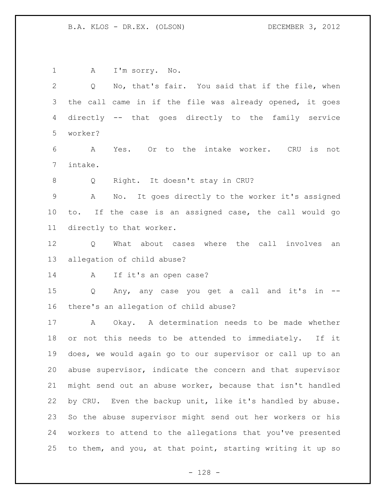A I'm sorry. No. Q No, that's fair. You said that if the file, when the call came in if the file was already opened, it goes directly -- that goes directly to the family service worker? A Yes. Or to the intake worker. CRU is not intake. Q Right. It doesn't stay in CRU? A No. It goes directly to the worker it's assigned to. If the case is an assigned case, the call would go directly to that worker. Q What about cases where the call involves an allegation of child abuse? A If it's an open case? Q Any, any case you get a call and it's in -- there's an allegation of child abuse? A Okay. A determination needs to be made whether or not this needs to be attended to immediately. If it does, we would again go to our supervisor or call up to an abuse supervisor, indicate the concern and that supervisor might send out an abuse worker, because that isn't handled by CRU. Even the backup unit, like it's handled by abuse. So the abuse supervisor might send out her workers or his workers to attend to the allegations that you've presented to them, and you, at that point, starting writing it up so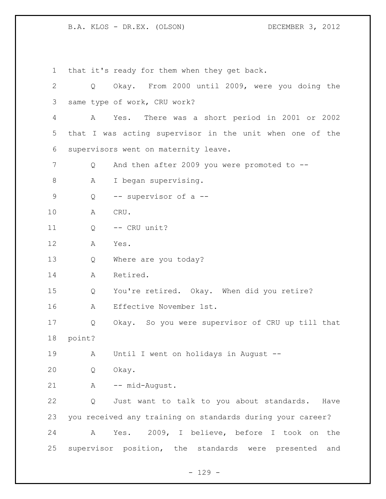that it's ready for them when they get back. Q Okay. From 2000 until 2009, were you doing the same type of work, CRU work? A Yes. There was a short period in 2001 or 2002 that I was acting supervisor in the unit when one of the supervisors went on maternity leave. 7 Q And then after 2009 you were promoted to --8 A I began supervising. Q -- supervisor of a -- A CRU. Q -- CRU unit? A Yes. Q Where are you today? A Retired. Q You're retired. Okay. When did you retire? A Effective November 1st. Q Okay. So you were supervisor of CRU up till that point? A Until I went on holidays in August -- Q Okay. 21 A -- mid-August. Q Just want to talk to you about standards. Have you received any training on standards during your career? A Yes. 2009, I believe, before I took on the supervisor position, the standards were presented and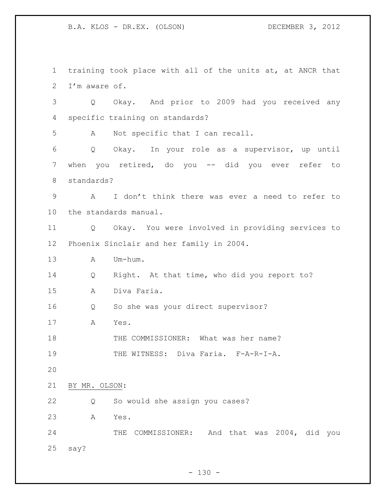training took place with all of the units at, at ANCR that I'm aware of. Q Okay. And prior to 2009 had you received any specific training on standards? A Not specific that I can recall. Q Okay. In your role as a supervisor, up until when you retired, do you -- did you ever refer to standards? A I don't think there was ever a need to refer to the standards manual. Q Okay. You were involved in providing services to Phoenix Sinclair and her family in 2004. A Um-hum. Q Right. At that time, who did you report to? A Diva Faria. Q So she was your direct supervisor? A Yes. 18 THE COMMISSIONER: What was her name? 19 THE WITNESS: Diva Faria. F-A-R-I-A. BY MR. OLSON: Q So would she assign you cases? A Yes. THE COMMISSIONER: And that was 2004, did you say?

 $- 130 -$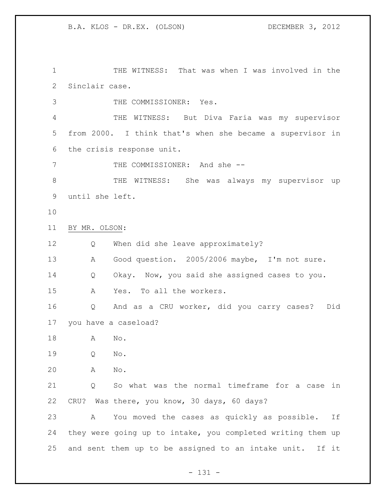THE WITNESS: That was when I was involved in the Sinclair case.

THE COMMISSIONER: Yes.

 THE WITNESS: But Diva Faria was my supervisor from 2000. I think that's when she became a supervisor in the crisis response unit.

7 THE COMMISSIONER: And she --

8 THE WITNESS: She was always my supervisor up until she left.

- 
- BY MR. OLSON:

Q When did she leave approximately?

A Good question. 2005/2006 maybe, I'm not sure.

Q Okay. Now, you said she assigned cases to you.

A Yes. To all the workers.

 Q And as a CRU worker, did you carry cases? Did you have a caseload?

A No.

Q No.

A No.

 Q So what was the normal timeframe for a case in CRU? Was there, you know, 30 days, 60 days?

 A You moved the cases as quickly as possible. If they were going up to intake, you completed writing them up and sent them up to be assigned to an intake unit. If it

- 131 -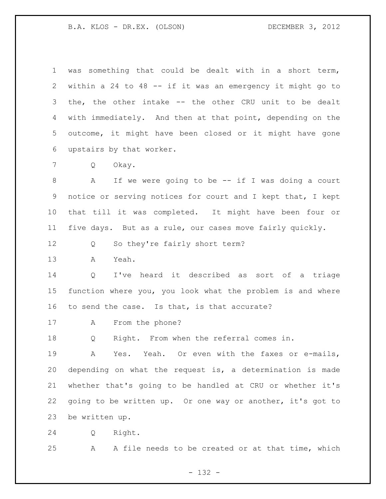was something that could be dealt with in a short term, within a 24 to 48 -- if it was an emergency it might go to the, the other intake -- the other CRU unit to be dealt with immediately. And then at that point, depending on the outcome, it might have been closed or it might have gone upstairs by that worker. Q Okay. A If we were going to be -- if I was doing a court notice or serving notices for court and I kept that, I kept that till it was completed. It might have been four or five days. But as a rule, our cases move fairly quickly. Q So they're fairly short term? A Yeah. Q I've heard it described as sort of a triage function where you, you look what the problem is and where to send the case. Is that, is that accurate? A From the phone? Q Right. From when the referral comes in. A Yes. Yeah. Or even with the faxes or e-mails, depending on what the request is, a determination is made whether that's going to be handled at CRU or whether it's going to be written up. Or one way or another, it's got to be written up.

Q Right.

A A file needs to be created or at that time, which

- 132 -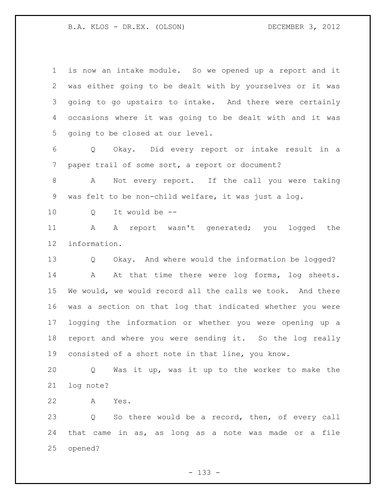is now an intake module. So we opened up a report and it was either going to be dealt with by yourselves or it was going to go upstairs to intake. And there were certainly occasions where it was going to be dealt with and it was going to be closed at our level.

 Q Okay. Did every report or intake result in a paper trail of some sort, a report or document?

8 A Not every report. If the call you were taking was felt to be non-child welfare, it was just a log.

Q It would be --

 A A report wasn't generated; you logged the information.

 Q Okay. And where would the information be logged? 14 A At that time there were log forms, log sheets. We would, we would record all the calls we took. And there was a section on that log that indicated whether you were logging the information or whether you were opening up a report and where you were sending it. So the log really consisted of a short note in that line, you know.

 Q Was it up, was it up to the worker to make the log note?

A Yes.

 Q So there would be a record, then, of every call that came in as, as long as a note was made or a file opened?

- 133 -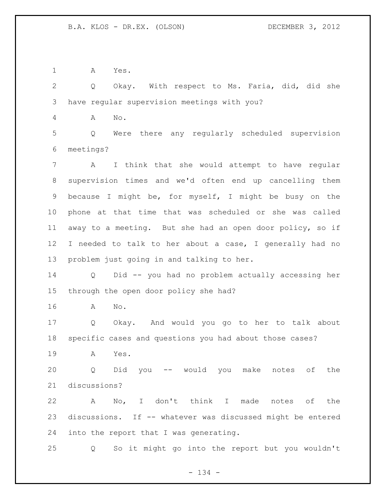A Yes.

 Q Okay. With respect to Ms. Faria, did, did she have regular supervision meetings with you?

A No.

 Q Were there any regularly scheduled supervision meetings?

 A I think that she would attempt to have regular supervision times and we'd often end up cancelling them because I might be, for myself, I might be busy on the phone at that time that was scheduled or she was called away to a meeting. But she had an open door policy, so if I needed to talk to her about a case, I generally had no problem just going in and talking to her.

 Q Did -- you had no problem actually accessing her through the open door policy she had?

A No.

 Q Okay. And would you go to her to talk about specific cases and questions you had about those cases?

A Yes.

 Q Did you -- would you make notes of the discussions?

 A No, I don't think I made notes of the discussions. If -- whatever was discussed might be entered into the report that I was generating.

Q So it might go into the report but you wouldn't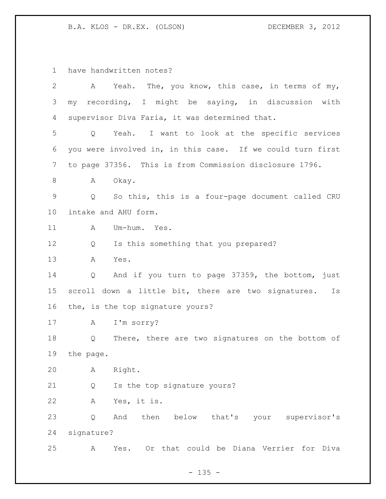have handwritten notes?

| 2           | Yeah. The, you know, this case, in terms of my,<br>A                  |  |  |  |
|-------------|-----------------------------------------------------------------------|--|--|--|
| 3           | my recording, I might be saying, in discussion with                   |  |  |  |
| 4           | supervisor Diva Faria, it was determined that.                        |  |  |  |
| 5           | Yeah. I want to look at the specific services<br>Q                    |  |  |  |
| 6           | you were involved in, in this case. If we could turn first            |  |  |  |
| 7           | to page 37356. This is from Commission disclosure 1796.               |  |  |  |
| 8           | Okay.<br>A                                                            |  |  |  |
| $\mathsf 9$ | So this, this is a four-page document called CRU<br>$Q \qquad \qquad$ |  |  |  |
| 10          | intake and AHU form.                                                  |  |  |  |
| 11          | Um-hum. Yes.<br>A                                                     |  |  |  |
| 12          | Is this something that you prepared?<br>Q                             |  |  |  |
| 13          | $\mathbb A$<br>Yes.                                                   |  |  |  |
| 14          | And if you turn to page 37359, the bottom, just<br>Q                  |  |  |  |
| 15          | scroll down a little bit, there are two signatures.<br>Is             |  |  |  |
| 16          | the, is the top signature yours?                                      |  |  |  |
| 17          | I'm sorry?<br>Α                                                       |  |  |  |
| 18          | There, there are two signatures on the bottom of<br>Q                 |  |  |  |
| 19          | the page.                                                             |  |  |  |
| 20          | Right.<br>Α                                                           |  |  |  |
| 21          | Is the top signature yours?<br>Q                                      |  |  |  |
| 22          | Yes, it is.<br>Α                                                      |  |  |  |
| 23          | then below that's your supervisor's<br>And<br>Q                       |  |  |  |
| 24          | signature?                                                            |  |  |  |
| 25          | Yes. Or that could be Diana Verrier for Diva<br>A                     |  |  |  |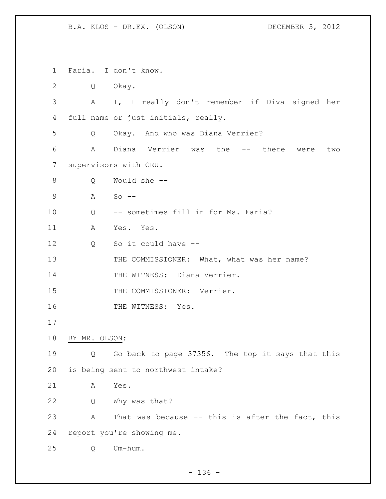Faria. I don't know. Q Okay. A I, I really don't remember if Diva signed her full name or just initials, really. Q Okay. And who was Diana Verrier? A Diana Verrier was the -- there were two supervisors with CRU. Q Would she -- A So -- Q -- sometimes fill in for Ms. Faria? A Yes. Yes. Q So it could have -- 13 THE COMMISSIONER: What, what was her name? 14 THE WITNESS: Diana Verrier. 15 THE COMMISSIONER: Verrier. 16 THE WITNESS: Yes. BY MR. OLSON: Q Go back to page 37356. The top it says that this is being sent to northwest intake? A Yes. Q Why was that? A That was because -- this is after the fact, this report you're showing me. Q Um-hum.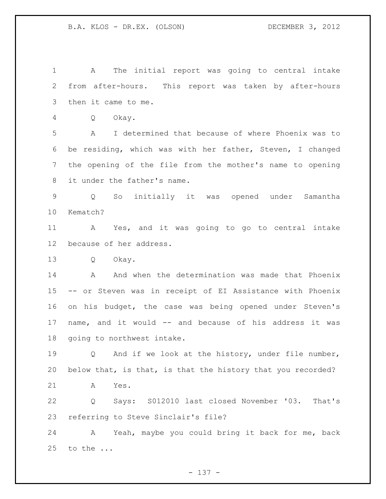A The initial report was going to central intake from after-hours. This report was taken by after-hours then it came to me. Q Okay. A I determined that because of where Phoenix was to be residing, which was with her father, Steven, I changed the opening of the file from the mother's name to opening it under the father's name. Q So initially it was opened under Samantha Kematch? A Yes, and it was going to go to central intake because of her address. Q Okay. 14 A And when the determination was made that Phoenix -- or Steven was in receipt of EI Assistance with Phoenix on his budget, the case was being opened under Steven's name, and it would -- and because of his address it was going to northwest intake. 19 0 And if we look at the history, under file number, below that, is that, is that the history that you recorded? A Yes. Q Says: S012010 last closed November '03. That's referring to Steve Sinclair's file? A Yeah, maybe you could bring it back for me, back to the ...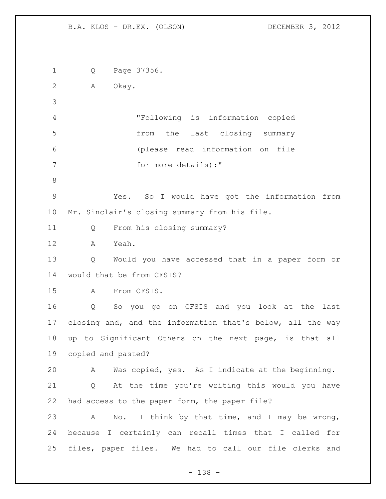Q Page 37356. A Okay. "Following is information copied from the last closing summary (please read information on file 7 for more details):" Yes. So I would have got the information from Mr. Sinclair's closing summary from his file. Q From his closing summary? A Yeah. Q Would you have accessed that in a paper form or would that be from CFSIS? A From CFSIS. Q So you go on CFSIS and you look at the last closing and, and the information that's below, all the way up to Significant Others on the next page, is that all copied and pasted? A Was copied, yes. As I indicate at the beginning. Q At the time you're writing this would you have had access to the paper form, the paper file? A No. I think by that time, and I may be wrong, because I certainly can recall times that I called for files, paper files. We had to call our file clerks and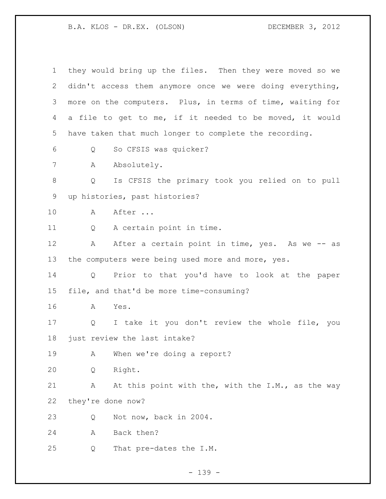they would bring up the files. Then they were moved so we didn't access them anymore once we were doing everything, more on the computers. Plus, in terms of time, waiting for a file to get to me, if it needed to be moved, it would have taken that much longer to complete the recording. Q So CFSIS was quicker? 7 A Absolutely. Q Is CFSIS the primary took you relied on to pull up histories, past histories? A After ... Q A certain point in time. 12 A After a certain point in time, yes. As we -- as 13 the computers were being used more and more, yes. Q Prior to that you'd have to look at the paper file, and that'd be more time-consuming? A Yes. Q I take it you don't review the whole file, you just review the last intake? A When we're doing a report? Q Right. 21 A At this point with the, with the I.M., as the way they're done now? Q Not now, back in 2004. A Back then? Q That pre-dates the I.M.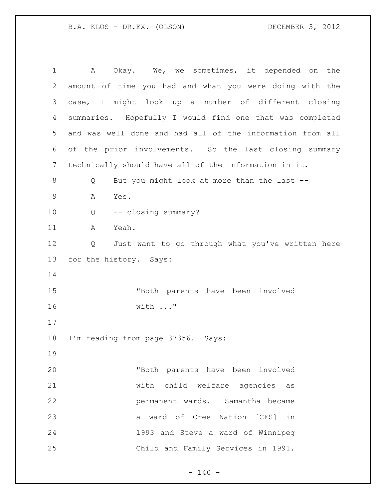| $\mathbf 1$ | Okay. We, we sometimes, it depended on the<br>A           |
|-------------|-----------------------------------------------------------|
| 2           | amount of time you had and what you were doing with the   |
| 3           | case, I might look up a number of different closing       |
| 4           | summaries. Hopefully I would find one that was completed  |
| 5           | and was well done and had all of the information from all |
| 6           | of the prior involvements. So the last closing summary    |
| 7           | technically should have all of the information in it.     |
| $8\,$       | But you might look at more than the last --<br>Q          |
| $\mathsf 9$ | Α<br>Yes.                                                 |
| 10          | -- closing summary?<br>Q                                  |
| 11          | Yeah.<br>Α                                                |
| 12          | Just want to go through what you've written here<br>Q     |
| 13          | for the history. Says:                                    |
| 14          |                                                           |
| 15          | "Both parents have been involved                          |
| 16          | with "                                                    |
| 17          |                                                           |
| 18          | I'm reading from page 37356. Says:                        |
| 19          |                                                           |
| 20          | "Both parents have been involved                          |
| 21          | with child welfare agencies as                            |
| 22          | permanent wards. Samantha became                          |
| 23          | a ward of Cree Nation [CFS] in                            |
| 24          | 1993 and Steve a ward of Winnipeg                         |
| 25          | Child and Family Services in 1991.                        |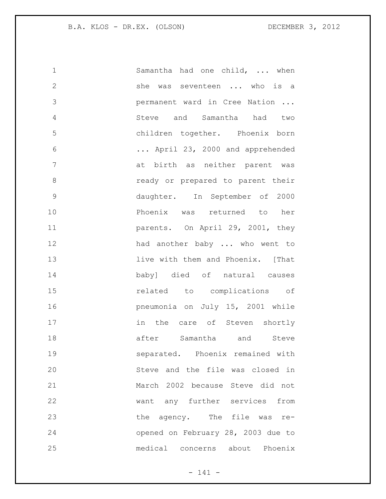| $\mathbf 1$   | Samantha had one child,  when      |
|---------------|------------------------------------|
| $\mathbf{2}$  | she was seventeen  who is a        |
| 3             | permanent ward in Cree Nation      |
| 4             | Steve and Samantha had two         |
| 5             | children together. Phoenix born    |
| 6             | April 23, 2000 and apprehended     |
| 7             | at birth as neither parent was     |
| 8             | ready or prepared to parent their  |
| $\mathcal{G}$ | daughter. In September of 2000     |
| 10            | Phoenix was returned to her        |
| 11            | parents. On April 29, 2001, they   |
| 12            | had another baby  who went to      |
| 13            | live with them and Phoenix. [That  |
| 14            | baby] died of natural causes       |
| 15            | related to complications of        |
| 16            | pneumonia on July 15, 2001 while   |
| 17            | in the care of Steven shortly      |
| 18            | after Samantha and Steve           |
| 19            | separated. Phoenix remained with   |
| 20            | Steve and the file was closed in   |
| 21            | March 2002 because Steve did not   |
| 22            | want any further services from     |
| 23            | the agency. The file was<br>$re-$  |
| 24            | opened on February 28, 2003 due to |
| 25            | medical concerns about Phoenix     |

- 141 -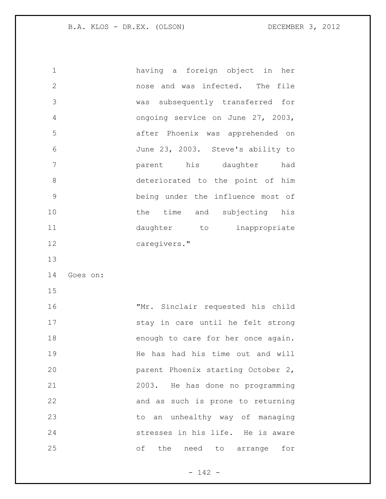having a foreign object in her nose and was infected. The file was subsequently transferred for ongoing service on June 27, 2003, after Phoenix was apprehended on June 23, 2003. Steve's ability to parent his daughter had deteriorated to the point of him being under the influence most of 10 the time and subjecting his 11 daughter to inappropriate caregivers." Goes on: "Mr. Sinclair requested his child 17 stay in care until he felt strong

18 enough to care for her once again. 19 He has had his time out and will parent Phoenix starting October 2, 2003. He has done no programming and as such is prone to returning to an unhealthy way of managing stresses in his life. He is aware of the need to arrange for

 $- 142 -$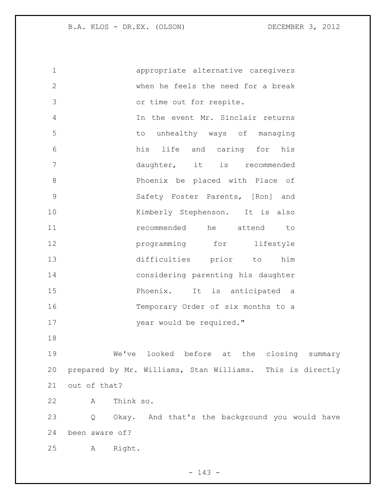appropriate alternative caregivers when he feels the need for a break or time out for respite. In the event Mr. Sinclair returns to unhealthy ways of managing his life and caring for his daughter, it is recommended Phoenix be placed with Place of Safety Foster Parents, [Ron] and 10 Kimberly Stephenson. It is also **11** recommended he attend to **programming** for lifestyle difficulties prior to him considering parenting his daughter Phoenix. It is anticipated a Temporary Order of six months to a 17 year would be required." We've looked before at the closing summary prepared by Mr. Williams, Stan Williams. This is directly out of that? A Think so. Q Okay. And that's the background you would have been aware of? A Right.

 $- 143 -$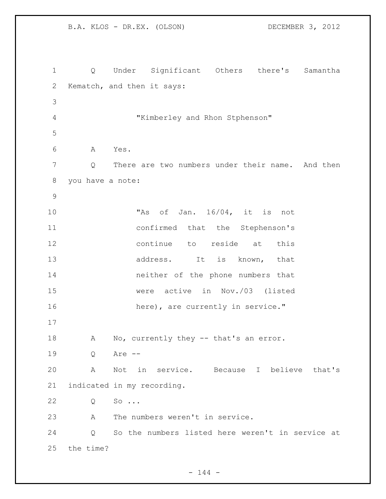B.A. KLOS - DR.EX. (OLSON) DECEMBER 3, 2012 Q Under Significant Others there's Samantha Kematch, and then it says: "Kimberley and Rhon Stphenson" A Yes. Q There are two numbers under their name. And then you have a note: "As of Jan. 16/04, it is not confirmed that the Stephenson's continue to reside at this 13 address. It is known, that neither of the phone numbers that were active in Nov./03 (listed 16 here), are currently in service." 18 A No, currently they -- that's an error. Q Are -- A Not in service. Because I believe that's indicated in my recording. Q So ... A The numbers weren't in service. Q So the numbers listed here weren't in service at the time?

 $- 144 -$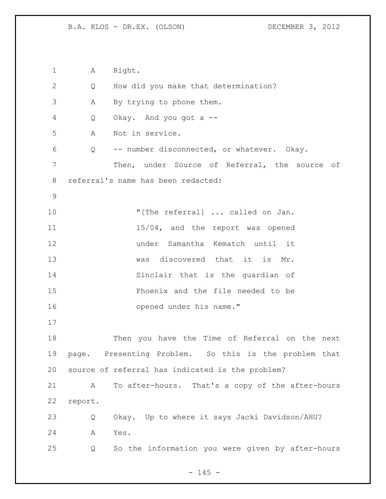1 A Right. Q How did you make that determination? A By trying to phone them. Q Okay. And you got a -- A Not in service. Q -- number disconnected, or whatever. Okay. Then, under Source of Referral, the source of referral's name has been redacted: 10 "[The referral] ... called on Jan. 11 15/04, and the report was opened under Samantha Kematch until it 13 was discovered that it is Mr. Sinclair that is the guardian of Phoenix and the file needed to be opened under his name." Then you have the Time of Referral on the next page. Presenting Problem. So this is the problem that source of referral has indicated is the problem? A To after-hours. That's a copy of the after-hours report. Q Okay. Up to where it says Jacki Davidson/AHU? A Yes. Q So the information you were given by after-hours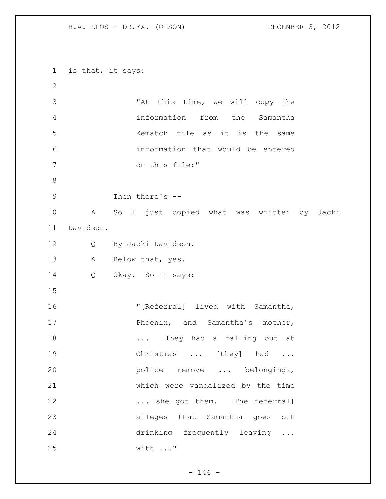is that, it says: "At this time, we will copy the information from the Samantha Kematch file as it is the same information that would be entered on this file:" Then there's -- A So I just copied what was written by Jacki Davidson. Q By Jacki Davidson. A Below that, yes. Q Okay. So it says: "[Referral] lived with Samantha, 17 Phoenix, and Samantha's mother, 18 ... They had a falling out at 19 Christmas ... [they] had ... **police** remove ... belongings, which were vandalized by the time 22 ... she got them. [The referral] alleges that Samantha goes out drinking frequently leaving ... with ..."

 $- 146 -$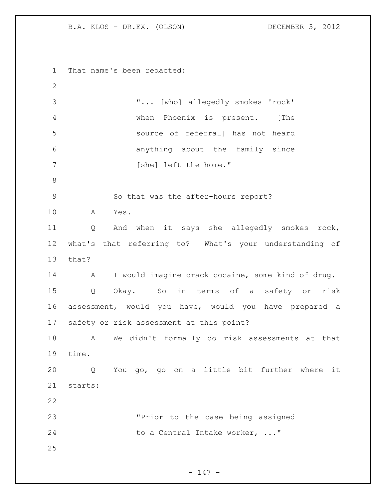That name's been redacted: "... [who] allegedly smokes 'rock' when Phoenix is present. [The source of referral] has not heard anything about the family since 7 [she] left the home." So that was the after-hours report? A Yes. Q And when it says she allegedly smokes rock, what's that referring to? What's your understanding of that? A I would imagine crack cocaine, some kind of drug. Q Okay. So in terms of a safety or risk assessment, would you have, would you have prepared a safety or risk assessment at this point? A We didn't formally do risk assessments at that time. Q You go, go on a little bit further where it starts: "Prior to the case being assigned 24 to a Central Intake worker, ..." 

- 147 -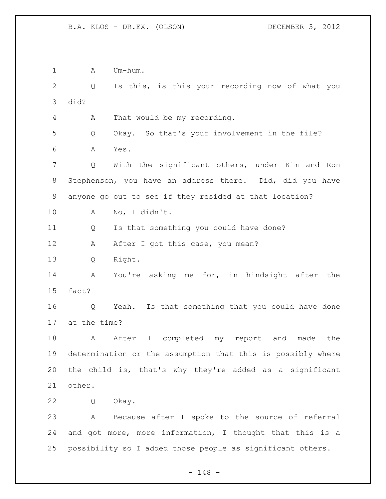1 A Um-hum. Q Is this, is this your recording now of what you did? A That would be my recording. Q Okay. So that's your involvement in the file? A Yes. Q With the significant others, under Kim and Ron Stephenson, you have an address there. Did, did you have anyone go out to see if they resided at that location? A No, I didn't. Q Is that something you could have done? 12 A After I got this case, you mean? Q Right. A You're asking me for, in hindsight after the fact? Q Yeah. Is that something that you could have done at the time? 18 A After I completed my report and made the determination or the assumption that this is possibly where the child is, that's why they're added as a significant other. Q Okay. A Because after I spoke to the source of referral and got more, more information, I thought that this is a possibility so I added those people as significant others.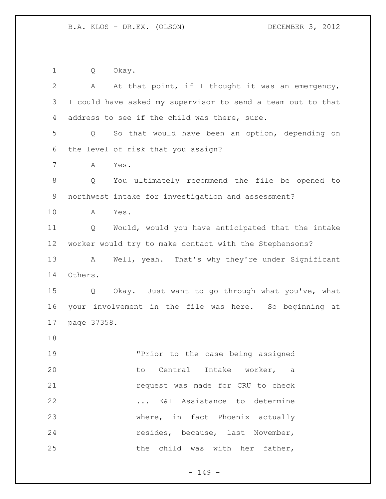Q Okay.

| $\overline{2}$ | At that point, if I thought it was an emergency,<br>A       |
|----------------|-------------------------------------------------------------|
| 3              | I could have asked my supervisor to send a team out to that |
| 4              | address to see if the child was there, sure.                |
| 5              | So that would have been an option, depending on<br>Q        |
| 6              | the level of risk that you assign?                          |
| $7\phantom{.}$ | Yes.<br>Α                                                   |
| $\,8\,$        | You ultimately recommend the file be opened to<br>Q         |
| 9              | northwest intake for investigation and assessment?          |
| 10             | Yes.<br>A                                                   |
| 11             | Would, would you have anticipated that the intake<br>Q      |
| 12             | worker would try to make contact with the Stephensons?      |
| 13             | Well, yeah. That's why they're under Significant<br>A       |
| 14             | Others.                                                     |
| 15             | Okay. Just want to go through what you've, what<br>Q        |
| 16             | your involvement in the file was here. So beginning at      |
| 17             | page 37358.                                                 |
| 18             |                                                             |
| 19             | "Prior to the case being assigned                           |
| 20             | to Central Intake worker, a                                 |
| 21             | request was made for CRU to check                           |
| 22             | E&I Assistance to determine                                 |
| 23             | where, in fact Phoenix actually                             |
| 24             | resides, because, last November,                            |
| 25             | the child was with her father,                              |

- 149 -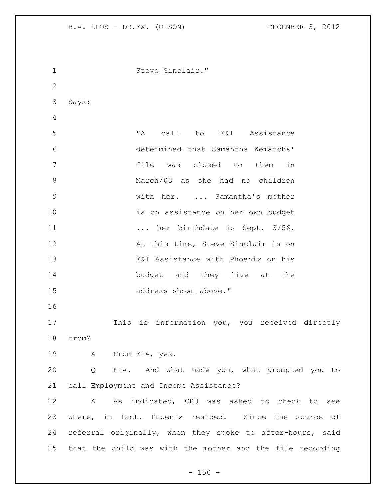| $\mathbf 1$  | Steve Sinclair."                                                  |
|--------------|-------------------------------------------------------------------|
| $\mathbf{2}$ |                                                                   |
| 3            | Says:                                                             |
| 4            |                                                                   |
| 5            | "A"<br>call to E&I Assistance                                     |
|              |                                                                   |
| 6            | determined that Samantha Kematchs'                                |
| 7            | file<br>was closed to them<br>in                                  |
| 8            | March/03 as she had no children                                   |
| 9            | with her.  Samantha's mother                                      |
| 10           | is on assistance on her own budget                                |
| 11           | her birthdate is Sept. 3/56.                                      |
| 12           | At this time, Steve Sinclair is on                                |
| 13           | E&I Assistance with Phoenix on his                                |
| 14           | budget and they live at the                                       |
| 15           | address shown above."                                             |
| 16           |                                                                   |
| 17           | This is information you, you received directly                    |
| 18           | from?                                                             |
| 19           | A From EIA, yes.                                                  |
| 20           | EIA. And what made you, what prompted you to<br>$Q \qquad \qquad$ |
| 21           | call Employment and Income Assistance?                            |
| 22           | As indicated, CRU was asked to check to see<br>A                  |
| 23           | where, in fact, Phoenix resided. Since the source of              |
| 24           | referral originally, when they spoke to after-hours, said         |
|              |                                                                   |
|              | 25 that the child was with the mother and the file recording      |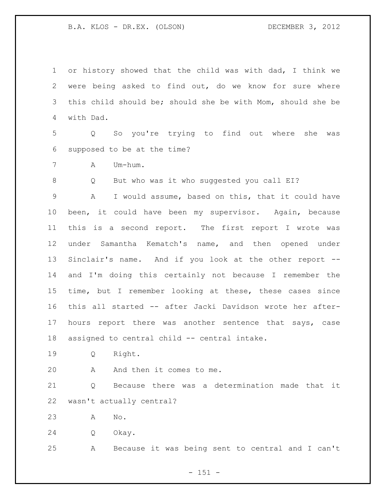or history showed that the child was with dad, I think we were being asked to find out, do we know for sure where this child should be; should she be with Mom, should she be with Dad.

 Q So you're trying to find out where she was supposed to be at the time?

A Um-hum.

8 Q But who was it who suggested you call EI?

 A I would assume, based on this, that it could have been, it could have been my supervisor. Again, because this is a second report. The first report I wrote was under Samantha Kematch's name, and then opened under Sinclair's name. And if you look at the other report -- and I'm doing this certainly not because I remember the time, but I remember looking at these, these cases since this all started -- after Jacki Davidson wrote her after- hours report there was another sentence that says, case assigned to central child -- central intake.

Q Right.

A And then it comes to me.

 Q Because there was a determination made that it wasn't actually central?

A No.

Q Okay.

A Because it was being sent to central and I can't

- 151 -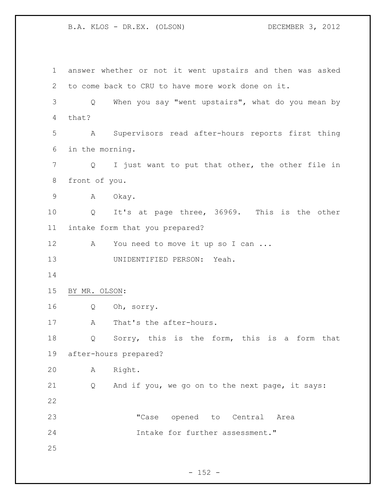answer whether or not it went upstairs and then was asked to come back to CRU to have more work done on it. Q When you say "went upstairs", what do you mean by that? A Supervisors read after-hours reports first thing in the morning. Q I just want to put that other, the other file in front of you. A Okay. Q It's at page three, 36969. This is the other intake form that you prepared? 12 A You need to move it up so I can ... UNIDENTIFIED PERSON: Yeah. BY MR. OLSON: Q Oh, sorry. 17 A That's the after-hours. Q Sorry, this is the form, this is a form that after-hours prepared? A Right. Q And if you, we go on to the next page, it says: "Case opened to Central Area Intake for further assessment." 

 $- 152 -$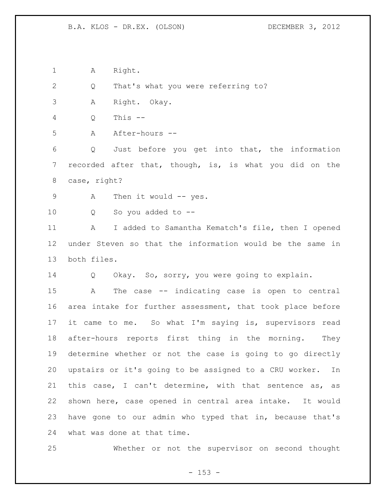1 A Right.

Q That's what you were referring to?

A Right. Okay.

Q This --

A After-hours --

 Q Just before you get into that, the information recorded after that, though, is, is what you did on the case, right?

9 A Then it would -- yes.

Q So you added to --

11 A I added to Samantha Kematch's file, then I opened under Steven so that the information would be the same in both files.

Q Okay. So, sorry, you were going to explain.

 A The case -- indicating case is open to central area intake for further assessment, that took place before it came to me. So what I'm saying is, supervisors read after-hours reports first thing in the morning. They determine whether or not the case is going to go directly upstairs or it's going to be assigned to a CRU worker. In this case, I can't determine, with that sentence as, as shown here, case opened in central area intake. It would have gone to our admin who typed that in, because that's what was done at that time.

Whether or not the supervisor on second thought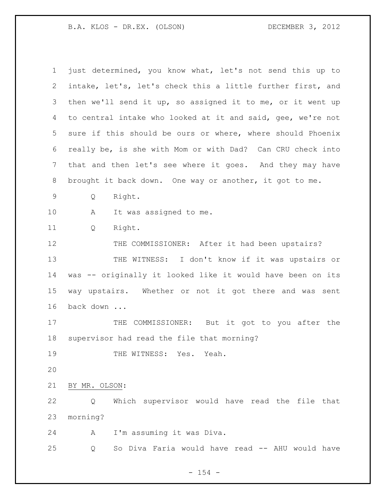| $\mathbf 1$ | just determined, you know what, let's not send this up to   |
|-------------|-------------------------------------------------------------|
| 2           | intake, let's, let's check this a little further first, and |
| 3           | then we'll send it up, so assigned it to me, or it went up  |
| 4           | to central intake who looked at it and said, gee, we're not |
|             |                                                             |
| 5           | sure if this should be ours or where, where should Phoenix  |
| 6           | really be, is she with Mom or with Dad? Can CRU check into  |
| 7           | that and then let's see where it goes. And they may have    |
| 8           | brought it back down. One way or another, it got to me.     |
| 9           | Right.<br>Q                                                 |
| 10          | It was assigned to me.<br>A                                 |
| 11          | Right.<br>Q                                                 |
| 12          | THE COMMISSIONER: After it had been upstairs?               |
| 13          | THE WITNESS: I don't know if it was upstairs or             |
| 14          | was -- originally it looked like it would have been on its  |
| 15          | way upstairs. Whether or not it got there and was sent      |
| 16          | back down                                                   |
| 17          | THE COMMISSIONER: But it got to you after the               |
| 18          | supervisor had read the file that morning?                  |
| 19          | THE WITNESS: Yes. Yeah.                                     |
| 20          |                                                             |
| 21          | BY MR. OLSON:                                               |
| 22          | Which supervisor would have read the file that<br>Q         |
| 23          | morning?                                                    |
| 24          | I'm assuming it was Diva.<br>Α                              |
| 25          | So Diva Faria would have read -- AHU would have<br>Q        |

- 154 -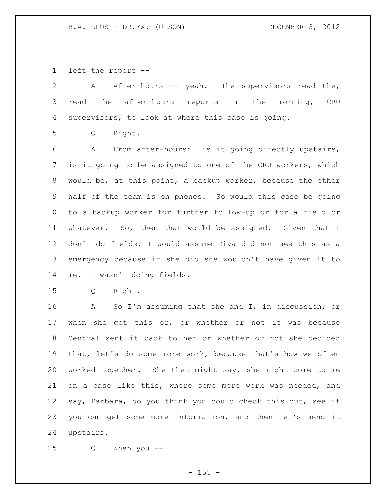left the report --

| 2               | After-hours -- yeah. The supervisors read the,<br>A         |
|-----------------|-------------------------------------------------------------|
| 3               | read the<br>after-hours reports in the<br>morning,<br>CRU   |
| 4               | supervisors, to look at where this case is going.           |
| 5               | Right.<br>Q                                                 |
| 6               | From after-hours: is it going directly upstairs,<br>A       |
| 7               | is it going to be assigned to one of the CRU workers, which |
| 8               | would be, at this point, a backup worker, because the other |
| 9               | half of the team is on phones. So would this case be going  |
| 10 <sub>o</sub> | to a backup worker for further follow-up or for a field or  |
| 11              | whatever. So, then that would be assigned. Given that I     |
| 12              | don't do fields, I would assume Diva did not see this as a  |
| 13              | emergency because if she did she wouldn't have given it to  |
| 14              | I wasn't doing fields.<br>me.                               |
| 15              | Right.<br>Q                                                 |
| 16              | So I'm assuming that she and I, in discussion, or<br>Α      |
| 17              | when she got this or, or whether or not it was because      |
| 18              | Central sent it back to her or whether or not she decided   |
| 19              | that, let's do some more work, because that's how we often  |

 worked together. She then might say, she might come to me on a case like this, where some more work was needed, and say, Barbara, do you think you could check this out, see if you can get some more information, and then let's send it upstairs.

Q When you --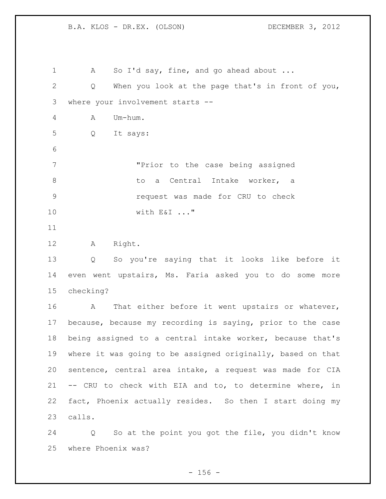1 A So I'd say, fine, and go ahead about ... Q When you look at the page that's in front of you, where your involvement starts -- A Um-hum. Q It says: "Prior to the case being assigned 8 both a Central Intake worker, a request was made for CRU to check with E&I ..." A Right. Q So you're saying that it looks like before it even went upstairs, Ms. Faria asked you to do some more checking? 16 A That either before it went upstairs or whatever, because, because my recording is saying, prior to the case being assigned to a central intake worker, because that's where it was going to be assigned originally, based on that sentence, central area intake, a request was made for CIA -- CRU to check with EIA and to, to determine where, in fact, Phoenix actually resides. So then I start doing my calls. Q So at the point you got the file, you didn't know

where Phoenix was?

 $- 156 -$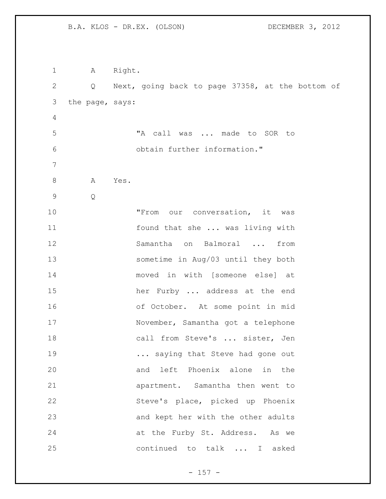1 A Right. Q Next, going back to page 37358, at the bottom of the page, says: "A call was ... made to SOR to obtain further information." 8 A Yes. Q "From our conversation, it was found that she ... was living with Samantha on Balmoral ... from sometime in Aug/03 until they both moved in with [someone else] at her Furby ... address at the end of October. At some point in mid November, Samantha got a telephone 18 call from Steve's ... sister, Jen **...** saying that Steve had gone out and left Phoenix alone in the apartment. Samantha then went to Steve's place, picked up Phoenix and kept her with the other adults at the Furby St. Address. As we continued to talk ... I asked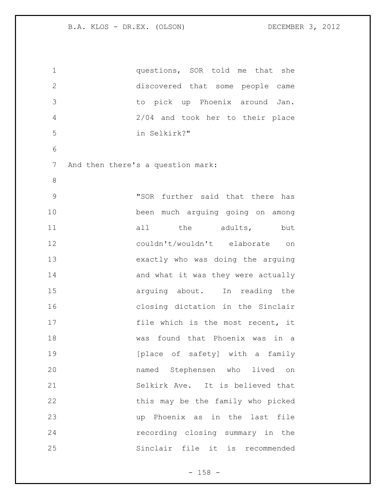| $\mathbf 1$                            | questions, SOR told me that she    |
|----------------------------------------|------------------------------------|
| $\mathbf{2}$                           | discovered that some people came   |
| 3                                      | to pick up Phoenix around Jan.     |
| 4                                      | 2/04 and took her to their place   |
| 5                                      | in Selkirk?"                       |
| 6                                      |                                    |
| 7<br>And then there's a question mark: |                                    |
| 8                                      |                                    |
| $\mathcal{G}$                          | "SOR further said that there has   |
| 10                                     | been much arguing going on among   |
| 11                                     | all the adults, but                |
| 12                                     | couldn't/wouldn't elaborate<br>on  |
| 13                                     | exactly who was doing the arguing  |
| 14                                     | and what it was they were actually |
| 15                                     | arguing about. In reading the      |
| 16                                     | closing dictation in the Sinclair  |
| 17                                     | file which is the most recent, it  |
| 18                                     | was found that Phoenix was in a    |
| 19                                     | [place of safety] with a family    |
| 20                                     | named Stephensen who lived on      |
| 21                                     | Selkirk Ave. It is believed that   |
| 22                                     | this may be the family who picked  |
| 23                                     | up Phoenix as in the last file     |
| 24                                     | recording closing summary in the   |
| 25                                     | Sinclair file it is recommended    |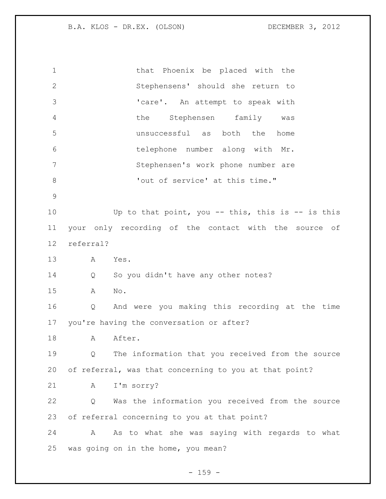that Phoenix be placed with the Stephensens' should she return to 'care'. An attempt to speak with the Stephensen family was unsuccessful as both the home telephone number along with Mr. Stephensen's work phone number are  $\cdot$  'out of service' at this time." Up to that point, you -- this, this is -- is this your only recording of the contact with the source of referral? A Yes. Q So you didn't have any other notes? A No. Q And were you making this recording at the time you're having the conversation or after? 18 A After. Q The information that you received from the source of referral, was that concerning to you at that point? A I'm sorry? Q Was the information you received from the source of referral concerning to you at that point? A As to what she was saying with regards to what was going on in the home, you mean?

- 159 -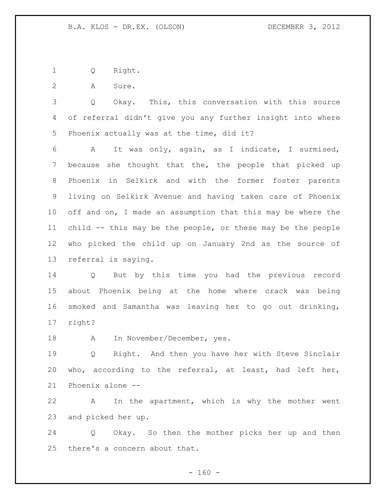Q Right.

A Sure.

 Q Okay. This, this conversation with this source of referral didn't give you any further insight into where Phoenix actually was at the time, did it?

 A It was only, again, as I indicate, I surmised, because she thought that the, the people that picked up Phoenix in Selkirk and with the former foster parents living on Selkirk Avenue and having taken care of Phoenix 10 off and on, I made an assumption that this may be where the child -- this may be the people, or these may be the people who picked the child up on January 2nd as the source of referral is saying.

 Q But by this time you had the previous record about Phoenix being at the home where crack was being smoked and Samantha was leaving her to go out drinking, right?

18 A In November/December, yes.

 Q Right. And then you have her with Steve Sinclair who, according to the referral, at least, had left her, Phoenix alone --

 A In the apartment, which is why the mother went and picked her up.

 Q Okay. So then the mother picks her up and then there's a concern about that.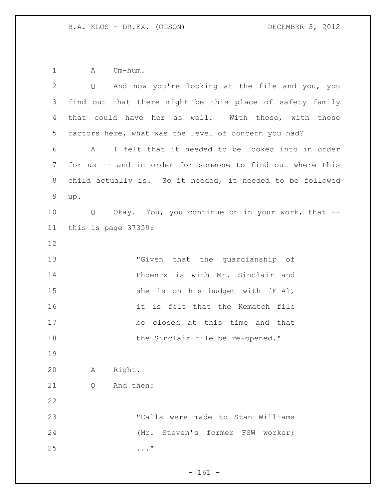1 A Um-hum.

| $\mathbf{2}$ | Q And now you're looking at the file and you, you         |
|--------------|-----------------------------------------------------------|
| 3            | find out that there might be this place of safety family  |
| 4            | that could have her as well. With those, with those       |
| 5            | factors here, what was the level of concern you had?      |
| 6            | I felt that it needed to be looked into in order<br>A     |
| 7            | for us -- and in order for someone to find out where this |
| 8            | child actually is. So it needed, it needed to be followed |
| $\mathsf 9$  | up.                                                       |
| 10           | Okay. You, you continue on in your work, that --<br>Q     |
| 11           | this is page 37359:                                       |
| 12           |                                                           |
| 13           | "Given that the quardianship of                           |
| 14           | Phoenix is with Mr. Sinclair and                          |
| 15           | she is on his budget with [EIA],                          |
| 16           | it is felt that the Kematch file                          |
| 17           | be closed at this time and that                           |
| 18           | the Sinclair file be re-opened."                          |
| 19           |                                                           |
| 20           | Right.<br>А                                               |
| 21           | And then:<br>Q                                            |
| 22           |                                                           |
| 23           | "Calls were made to Stan Williams                         |
| 24           | (Mr. Steven's former FSW worker;                          |
| 25           | $\ldots$ "                                                |
|              |                                                           |

- 161 -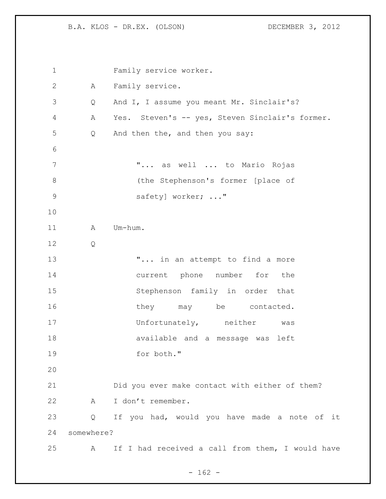Family service worker. A Family service. Q And I, I assume you meant Mr. Sinclair's? A Yes. Steven's -- yes, Steven Sinclair's former. Q And then the, and then you say: **"...** as well ... to Mario Rojas 8 (the Stephenson's former [place of 9 safety] worker; ..." 11 A Um-hum. Q **...** "... in an attempt to find a more current phone number for the Stephenson family in order that 16 they may be contacted. 17 Unfortunately, neither was available and a message was left for both." Did you ever make contact with either of them? A I don't remember. Q If you had, would you have made a note of it somewhere? A If I had received a call from them, I would have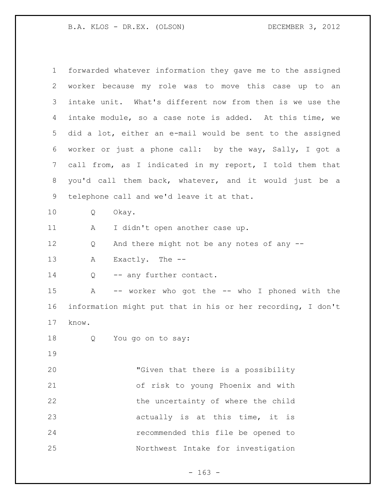| $\mathbf 1$ | forwarded whatever information they gave me to the assigned   |
|-------------|---------------------------------------------------------------|
| 2           | worker because my role was to move this case up to an         |
| 3           | intake unit. What's different now from then is we use the     |
| 4           | intake module, so a case note is added. At this time, we      |
| 5           | did a lot, either an e-mail would be sent to the assigned     |
| 6           | worker or just a phone call: by the way, Sally, I got a       |
| 7           | call from, as I indicated in my report, I told them that      |
| 8           | you'd call them back, whatever, and it would just be a        |
| 9           | telephone call and we'd leave it at that.                     |
| 10          | Q<br>Okay.                                                    |
| 11          | I didn't open another case up.<br>А                           |
| 12          | And there might not be any notes of any --<br>Q               |
| 13          | Exactly. The $-$ -<br>Α                                       |
| 14          | -- any further contact.<br>Q                                  |
| 15          | $\mathbb A$<br>-- worker who got the -- who I phoned with the |
| 16          | information might put that in his or her recording, I don't   |
| 17          | know.                                                         |
| 18          | You go on to say:<br>Q                                        |
| 19          |                                                               |
| 20          | "Given that there is a possibility                            |
| 21          | of risk to young Phoenix and with                             |
| 22          | the uncertainty of where the child                            |
| 23          | actually is at this time, it is                               |
| 24          | recommended this file be opened to                            |
| 25          | Northwest Intake for investigation                            |

- 163 -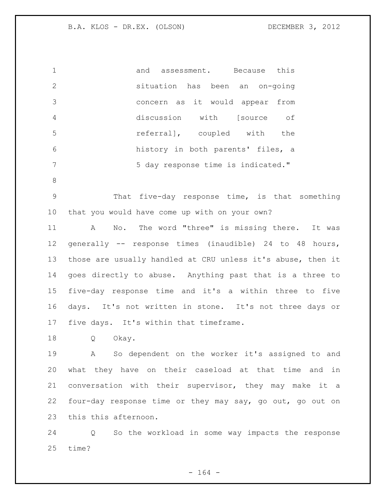|                | and assessment. Because this       |     |
|----------------|------------------------------------|-----|
| 2              | situation has been an on-going     |     |
| 3              | concern as it would appear from    |     |
| $\overline{4}$ | discussion with [source            | оf  |
| -5             | referral], coupled with            | the |
| 6              | history in both parents' files, a  |     |
|                | 5 day response time is indicated." |     |

 That five-day response time, is that something that you would have come up with on your own?

 A No. The word "three" is missing there. It was generally -- response times (inaudible) 24 to 48 hours, those are usually handled at CRU unless it's abuse, then it goes directly to abuse. Anything past that is a three to five-day response time and it's a within three to five days. It's not written in stone. It's not three days or five days. It's within that timeframe.

Q Okay.

 A So dependent on the worker it's assigned to and what they have on their caseload at that time and in conversation with their supervisor, they may make it a four-day response time or they may say, go out, go out on this this afternoon.

 Q So the workload in some way impacts the response time?

- 164 -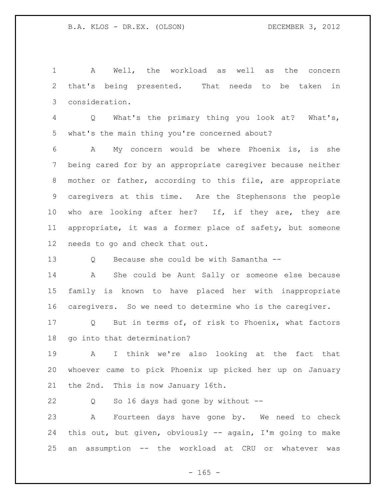A Well, the workload as well as the concern that's being presented. That needs to be taken in consideration.

 Q What's the primary thing you look at? What's, what's the main thing you're concerned about?

 A My concern would be where Phoenix is, is she being cared for by an appropriate caregiver because neither mother or father, according to this file, are appropriate caregivers at this time. Are the Stephensons the people 10 who are looking after her? If, if they are, they are appropriate, it was a former place of safety, but someone needs to go and check that out.

Q Because she could be with Samantha --

 A She could be Aunt Sally or someone else because family is known to have placed her with inappropriate caregivers. So we need to determine who is the caregiver.

 Q But in terms of, of risk to Phoenix, what factors go into that determination?

 A I think we're also looking at the fact that whoever came to pick Phoenix up picked her up on January the 2nd. This is now January 16th.

Q So 16 days had gone by without --

 A Fourteen days have gone by. We need to check this out, but given, obviously -- again, I'm going to make an assumption -- the workload at CRU or whatever was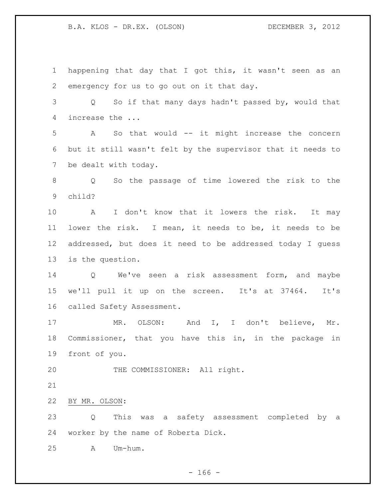happening that day that I got this, it wasn't seen as an emergency for us to go out on it that day. Q So if that many days hadn't passed by, would that increase the ... A So that would -- it might increase the concern but it still wasn't felt by the supervisor that it needs to be dealt with today. Q So the passage of time lowered the risk to the child? A I don't know that it lowers the risk. It may lower the risk. I mean, it needs to be, it needs to be addressed, but does it need to be addressed today I guess is the question. Q We've seen a risk assessment form, and maybe we'll pull it up on the screen. It's at 37464. It's called Safety Assessment. MR. OLSON: And I, I don't believe, Mr. Commissioner, that you have this in, in the package in front of you. 20 THE COMMISSIONER: All right. BY MR. OLSON: Q This was a safety assessment completed by a worker by the name of Roberta Dick. A Um-hum.

 $- 166 -$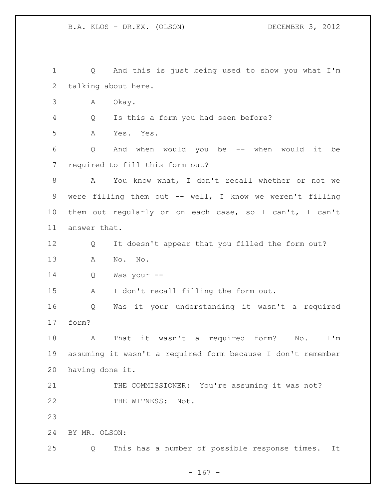Q And this is just being used to show you what I'm talking about here. A Okay. Q Is this a form you had seen before? A Yes. Yes. Q And when would you be -- when would it be required to fill this form out? A You know what, I don't recall whether or not we 9 were filling them out -- well, I know we weren't filling them out regularly or on each case, so I can't, I can't answer that. Q It doesn't appear that you filled the form out? A No. No. Q Was your -- A I don't recall filling the form out. Q Was it your understanding it wasn't a required form? A That it wasn't a required form? No. I'm assuming it wasn't a required form because I don't remember having done it. 21 THE COMMISSIONER: You're assuming it was not? 22 THE WITNESS: Not. BY MR. OLSON: Q This has a number of possible response times. It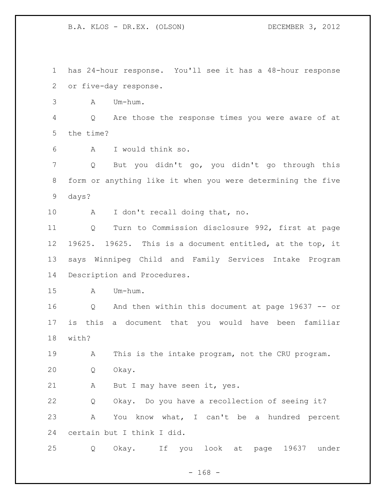has 24-hour response. You'll see it has a 48-hour response or five-day response. A Um-hum. Q Are those the response times you were aware of at the time? A I would think so. Q But you didn't go, you didn't go through this form or anything like it when you were determining the five days? A I don't recall doing that, no. Q Turn to Commission disclosure 992, first at page 19625. 19625. This is a document entitled, at the top, it says Winnipeg Child and Family Services Intake Program Description and Procedures. A Um-hum. Q And then within this document at page 19637 -- or is this a document that you would have been familiar with? A This is the intake program, not the CRU program. Q Okay. 21 A But I may have seen it, yes. Q Okay. Do you have a recollection of seeing it? A You know what, I can't be a hundred percent certain but I think I did. Q Okay. If you look at page 19637 under

 $- 168 -$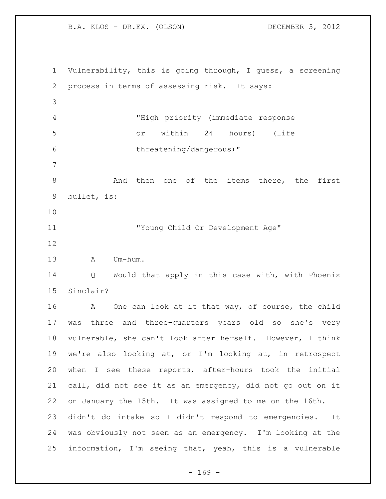Vulnerability, this is going through, I guess, a screening process in terms of assessing risk. It says: "High priority (immediate response or within 24 hours) (life threatening/dangerous)" 8 and then one of the items there, the first bullet, is: "Young Child Or Development Age" A Um-hum. Q Would that apply in this case with, with Phoenix Sinclair? 16 A One can look at it that way, of course, the child was three and three-quarters years old so she's very vulnerable, she can't look after herself. However, I think we're also looking at, or I'm looking at, in retrospect when I see these reports, after-hours took the initial call, did not see it as an emergency, did not go out on it on January the 15th. It was assigned to me on the 16th. I didn't do intake so I didn't respond to emergencies. It was obviously not seen as an emergency. I'm looking at the information, I'm seeing that, yeah, this is a vulnerable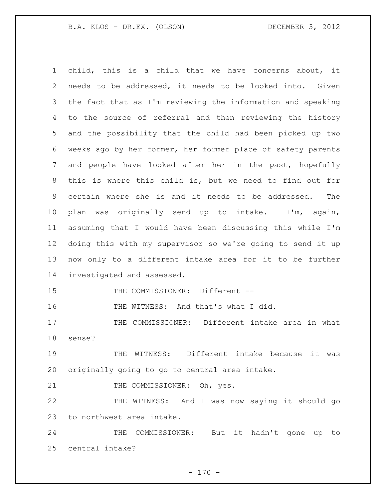child, this is a child that we have concerns about, it needs to be addressed, it needs to be looked into. Given the fact that as I'm reviewing the information and speaking to the source of referral and then reviewing the history and the possibility that the child had been picked up two weeks ago by her former, her former place of safety parents and people have looked after her in the past, hopefully this is where this child is, but we need to find out for certain where she is and it needs to be addressed. The plan was originally send up to intake. I'm, again, assuming that I would have been discussing this while I'm doing this with my supervisor so we're going to send it up now only to a different intake area for it to be further investigated and assessed. 15 THE COMMISSIONER: Different --16 THE WITNESS: And that's what I did. THE COMMISSIONER: Different intake area in what sense?

 THE WITNESS: Different intake because it was originally going to go to central area intake.

21 THE COMMISSIONER: Oh, yes.

 THE WITNESS: And I was now saying it should go to northwest area intake.

 THE COMMISSIONER: But it hadn't gone up to central intake?

 $- 170 -$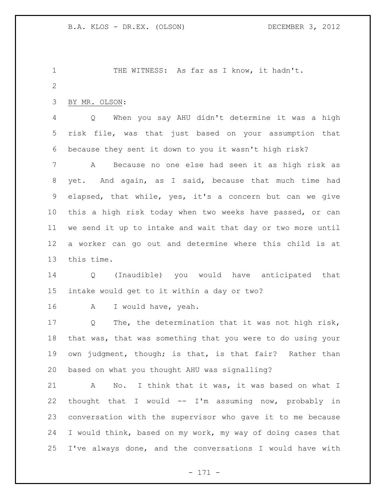1 THE WITNESS: As far as I know, it hadn't. BY MR. OLSON: Q When you say AHU didn't determine it was a high risk file, was that just based on your assumption that because they sent it down to you it wasn't high risk? A Because no one else had seen it as high risk as yet. And again, as I said, because that much time had elapsed, that while, yes, it's a concern but can we give this a high risk today when two weeks have passed, or can we send it up to intake and wait that day or two more until a worker can go out and determine where this child is at this time. Q (Inaudible) you would have anticipated that intake would get to it within a day or two? A I would have, yeah. Q The, the determination that it was not high risk, that was, that was something that you were to do using your own judgment, though; is that, is that fair? Rather than based on what you thought AHU was signalling? A No. I think that it was, it was based on what I thought that I would -- I'm assuming now, probably in conversation with the supervisor who gave it to me because I would think, based on my work, my way of doing cases that I've always done, and the conversations I would have with

- 171 -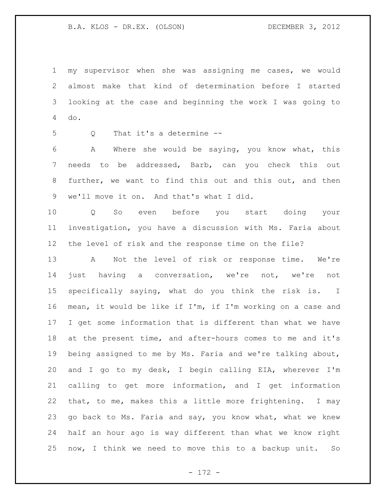my supervisor when she was assigning me cases, we would almost make that kind of determination before I started looking at the case and beginning the work I was going to do.

Q That it's a determine --

 A Where she would be saying, you know what, this needs to be addressed, Barb, can you check this out further, we want to find this out and this out, and then we'll move it on. And that's what I did.

 Q So even before you start doing your investigation, you have a discussion with Ms. Faria about the level of risk and the response time on the file?

 A Not the level of risk or response time. We're just having a conversation, we're not, we're not specifically saying, what do you think the risk is. I mean, it would be like if I'm, if I'm working on a case and I get some information that is different than what we have at the present time, and after-hours comes to me and it's being assigned to me by Ms. Faria and we're talking about, and I go to my desk, I begin calling EIA, wherever I'm calling to get more information, and I get information that, to me, makes this a little more frightening. I may 23 go back to Ms. Faria and say, you know what, what we knew half an hour ago is way different than what we know right now, I think we need to move this to a backup unit. So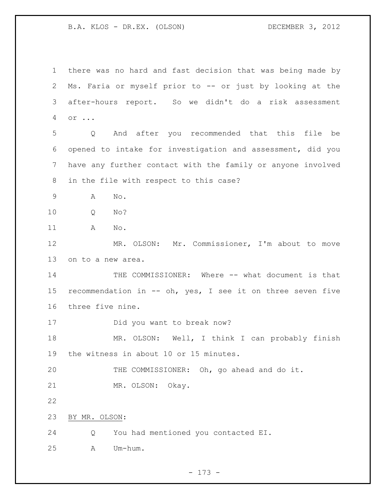there was no hard and fast decision that was being made by Ms. Faria or myself prior to -- or just by looking at the after-hours report. So we didn't do a risk assessment or ... Q And after you recommended that this file be opened to intake for investigation and assessment, did you have any further contact with the family or anyone involved in the file with respect to this case? A No. Q No? A No. MR. OLSON: Mr. Commissioner, I'm about to move on to a new area. THE COMMISSIONER: Where -- what document is that recommendation in -- oh, yes, I see it on three seven five three five nine. Did you want to break now? MR. OLSON: Well, I think I can probably finish the witness in about 10 or 15 minutes. THE COMMISSIONER: Oh, go ahead and do it. MR. OLSON: Okay. BY MR. OLSON: Q You had mentioned you contacted EI. A Um-hum.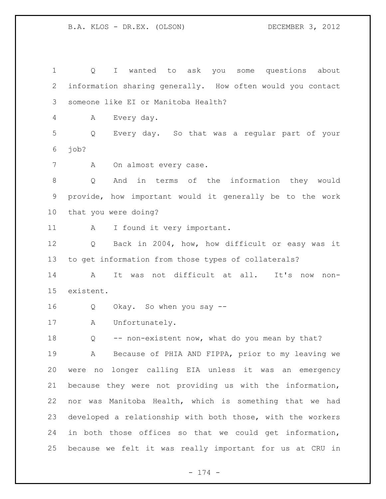Q I wanted to ask you some questions about information sharing generally. How often would you contact someone like EI or Manitoba Health? A Every day. Q Every day. So that was a regular part of your job? 7 A On almost every case. Q And in terms of the information they would provide, how important would it generally be to the work that you were doing? 11 A I found it very important. Q Back in 2004, how, how difficult or easy was it to get information from those types of collaterals? A It was not difficult at all. It's now non- existent. Q Okay. So when you say -- A Unfortunately. 18 Q -- non-existent now, what do you mean by that? A Because of PHIA AND FIPPA, prior to my leaving we were no longer calling EIA unless it was an emergency because they were not providing us with the information, nor was Manitoba Health, which is something that we had developed a relationship with both those, with the workers in both those offices so that we could get information, because we felt it was really important for us at CRU in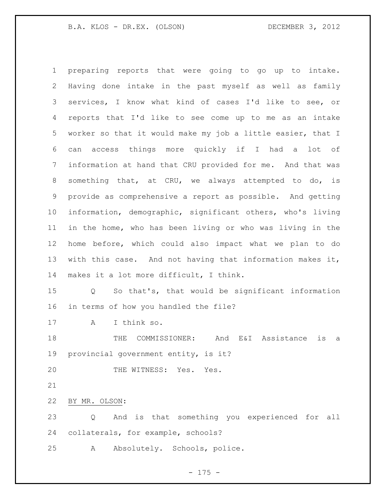preparing reports that were going to go up to intake. Having done intake in the past myself as well as family services, I know what kind of cases I'd like to see, or reports that I'd like to see come up to me as an intake worker so that it would make my job a little easier, that I can access things more quickly if I had a lot of information at hand that CRU provided for me. And that was something that, at CRU, we always attempted to do, is provide as comprehensive a report as possible. And getting information, demographic, significant others, who's living in the home, who has been living or who was living in the home before, which could also impact what we plan to do with this case. And not having that information makes it, makes it a lot more difficult, I think. Q So that's, that would be significant information in terms of how you handled the file? A I think so. THE COMMISSIONER: And E&I Assistance is a provincial government entity, is it? 20 THE WITNESS: Yes. Yes. BY MR. OLSON:

 Q And is that something you experienced for all collaterals, for example, schools?

A Absolutely. Schools, police.

- 175 -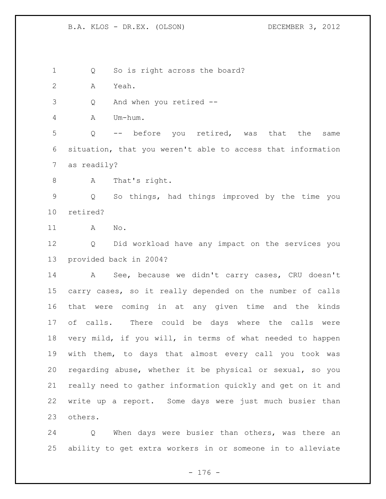1 Q So is right across the board? A Yeah. Q And when you retired -- A Um-hum. Q -- before you retired, was that the same situation, that you weren't able to access that information as readily? A That's right. Q So things, had things improved by the time you retired? A No. Q Did workload have any impact on the services you provided back in 2004? A See, because we didn't carry cases, CRU doesn't carry cases, so it really depended on the number of calls that were coming in at any given time and the kinds of calls. There could be days where the calls were very mild, if you will, in terms of what needed to happen with them, to days that almost every call you took was regarding abuse, whether it be physical or sexual, so you really need to gather information quickly and get on it and write up a report. Some days were just much busier than others.

 Q When days were busier than others, was there an ability to get extra workers in or someone in to alleviate

- 176 -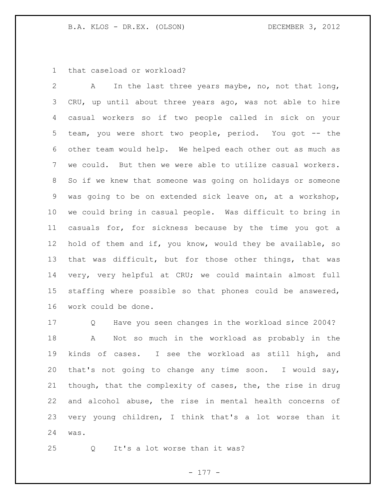that caseload or workload?

 A In the last three years maybe, no, not that long, CRU, up until about three years ago, was not able to hire casual workers so if two people called in sick on your team, you were short two people, period. You got -- the other team would help. We helped each other out as much as we could. But then we were able to utilize casual workers. So if we knew that someone was going on holidays or someone was going to be on extended sick leave on, at a workshop, we could bring in casual people. Was difficult to bring in casuals for, for sickness because by the time you got a hold of them and if, you know, would they be available, so that was difficult, but for those other things, that was very, very helpful at CRU; we could maintain almost full staffing where possible so that phones could be answered, work could be done.

 Q Have you seen changes in the workload since 2004? A Not so much in the workload as probably in the kinds of cases. I see the workload as still high, and that's not going to change any time soon. I would say, though, that the complexity of cases, the, the rise in drug and alcohol abuse, the rise in mental health concerns of very young children, I think that's a lot worse than it was.

Q It's a lot worse than it was?

- 177 -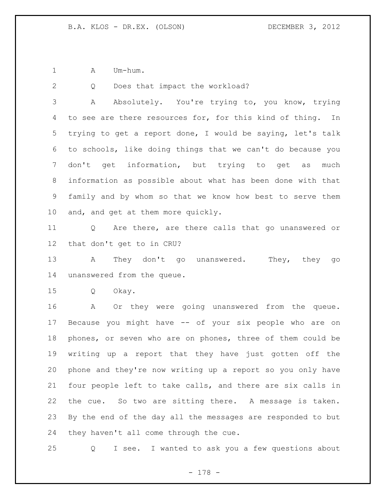1 A Um-hum.

2 Q Does that impact the workload?

 A Absolutely. You're trying to, you know, trying to see are there resources for, for this kind of thing. In trying to get a report done, I would be saying, let's talk to schools, like doing things that we can't do because you don't get information, but trying to get as much information as possible about what has been done with that family and by whom so that we know how best to serve them and, and get at them more quickly.

 Q Are there, are there calls that go unanswered or that don't get to in CRU?

13 A They don't go unanswered. They, they go unanswered from the queue.

Q Okay.

 A Or they were going unanswered from the queue. Because you might have -- of your six people who are on phones, or seven who are on phones, three of them could be writing up a report that they have just gotten off the phone and they're now writing up a report so you only have four people left to take calls, and there are six calls in the cue. So two are sitting there. A message is taken. By the end of the day all the messages are responded to but they haven't all come through the cue.

Q I see. I wanted to ask you a few questions about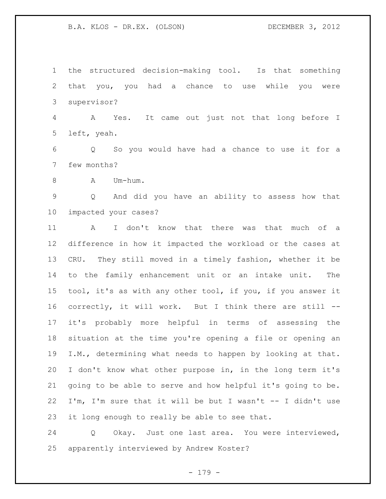the structured decision-making tool. Is that something that you, you had a chance to use while you were supervisor?

 A Yes. It came out just not that long before I left, yeah.

 Q So you would have had a chance to use it for a few months?

8 A Um-hum.

 Q And did you have an ability to assess how that impacted your cases?

 A I don't know that there was that much of a difference in how it impacted the workload or the cases at CRU. They still moved in a timely fashion, whether it be to the family enhancement unit or an intake unit. The tool, it's as with any other tool, if you, if you answer it correctly, it will work. But I think there are still -- it's probably more helpful in terms of assessing the situation at the time you're opening a file or opening an I.M., determining what needs to happen by looking at that. I don't know what other purpose in, in the long term it's going to be able to serve and how helpful it's going to be. I'm, I'm sure that it will be but I wasn't -- I didn't use it long enough to really be able to see that.

 Q Okay. Just one last area. You were interviewed, apparently interviewed by Andrew Koster?

- 179 -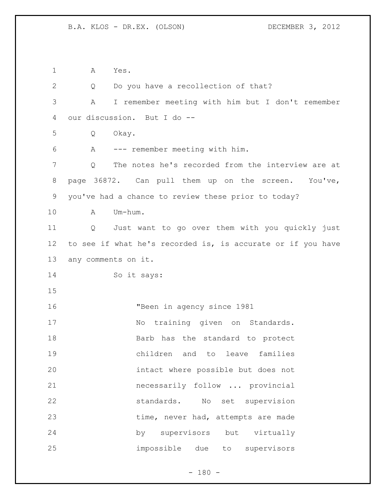A Yes. 2 Q Do you have a recollection of that? A I remember meeting with him but I don't remember our discussion. But I do -- Q Okay. A --- remember meeting with him. Q The notes he's recorded from the interview are at page 36872. Can pull them up on the screen. You've, you've had a chance to review these prior to today? A Um-hum. Q Just want to go over them with you quickly just to see if what he's recorded is, is accurate or if you have any comments on it. So it says: "Been in agency since 1981 17 No training given on Standards. 18 Barb has the standard to protect children and to leave families intact where possible but does not necessarily follow ... provincial standards. No set supervision 23 time, never had, attempts are made by supervisors but virtually impossible due to supervisors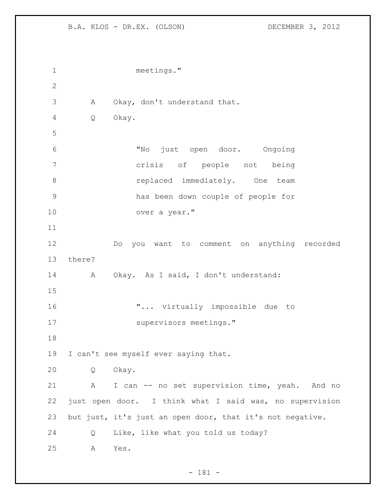```
1 meetings."
2
3 A Okay, don't understand that.
4 Q Okay.
5
6 "No just open door. Ongoing 
7 crisis of people not being 
8 replaced immediately. One team
9 has been down couple of people for 
10 over a year."
11
12 Do you want to comment on anything recorded 
13 there?
14 A Okay. As I said, I don't understand: 
15
16 \ldots virtually impossible due to
17 supervisors meetings."
18
19 I can't see myself ever saying that.
20 Q Okay. 
21 A I can -- no set supervision time, yeah. And no
22 just open door. I think what I said was, no supervision 
23 but just, it's just an open door, that it's not negative.
24 Q Like, like what you told us today?
25 A Yes.
```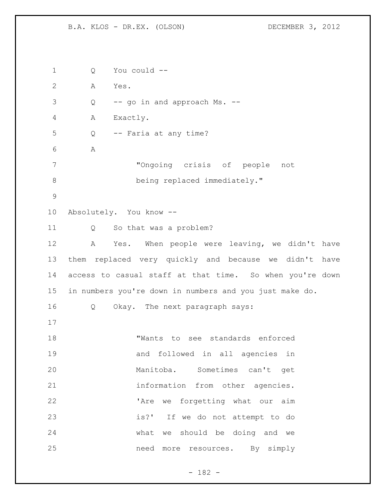Q You could -- A Yes. Q -- go in and approach Ms. -- A Exactly. Q -- Faria at any time? A "Ongoing crisis of people not 8 being replaced immediately." Absolutely. You know -- Q So that was a problem? A Yes. When people were leaving, we didn't have them replaced very quickly and because we didn't have access to casual staff at that time. So when you're down in numbers you're down in numbers and you just make do. Q Okay. The next paragraph says: "Wants to see standards enforced and followed in all agencies in Manitoba. Sometimes can't get **information** from other agencies. 22 The we forgetting what our aim is?' If we do not attempt to do what we should be doing and we need more resources. By simply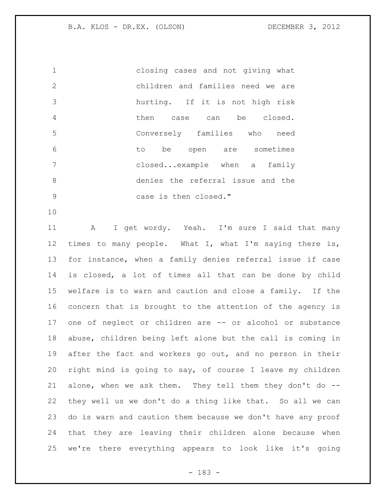closing cases and not giving what children and families need we are hurting. If it is not high risk then case can be closed. Conversely families who need to be open are sometimes closed...example when a family denies the referral issue and the 9 case is then closed."

 A I get wordy. Yeah. I'm sure I said that many times to many people. What I, what I'm saying there is, for instance, when a family denies referral issue if case is closed, a lot of times all that can be done by child welfare is to warn and caution and close a family. If the concern that is brought to the attention of the agency is one of neglect or children are -- or alcohol or substance abuse, children being left alone but the call is coming in 19 after the fact and workers go out, and no person in their right mind is going to say, of course I leave my children alone, when we ask them. They tell them they don't do -- they well us we don't do a thing like that. So all we can do is warn and caution them because we don't have any proof that they are leaving their children alone because when we're there everything appears to look like it's going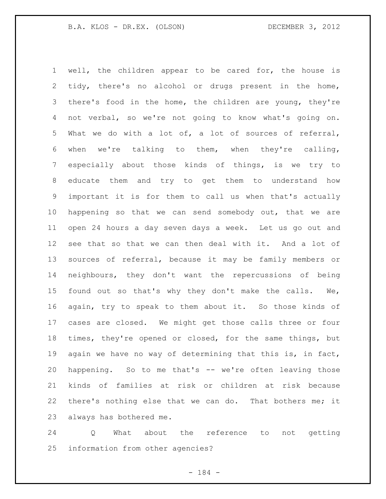well, the children appear to be cared for, the house is tidy, there's no alcohol or drugs present in the home, there's food in the home, the children are young, they're not verbal, so we're not going to know what's going on. What we do with a lot of, a lot of sources of referral, when we're talking to them, when they're calling, especially about those kinds of things, is we try to educate them and try to get them to understand how important it is for them to call us when that's actually happening so that we can send somebody out, that we are open 24 hours a day seven days a week. Let us go out and see that so that we can then deal with it. And a lot of sources of referral, because it may be family members or neighbours, they don't want the repercussions of being found out so that's why they don't make the calls. We, again, try to speak to them about it. So those kinds of cases are closed. We might get those calls three or four times, they're opened or closed, for the same things, but again we have no way of determining that this is, in fact, happening. So to me that's -- we're often leaving those kinds of families at risk or children at risk because there's nothing else that we can do. That bothers me; it always has bothered me.

 Q What about the reference to not getting information from other agencies?

- 184 -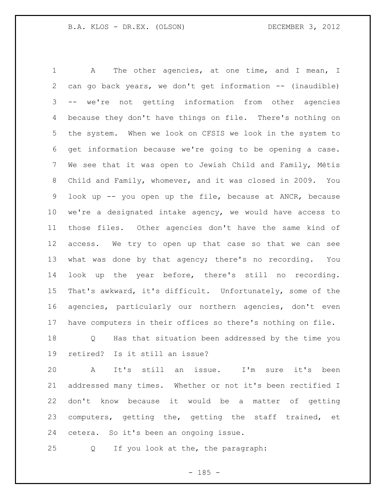1 A The other agencies, at one time, and I mean, I can go back years, we don't get information -- (inaudible) -- we're not getting information from other agencies because they don't have things on file. There's nothing on the system. When we look on CFSIS we look in the system to get information because we're going to be opening a case. We see that it was open to Jewish Child and Family, Métis Child and Family, whomever, and it was closed in 2009. You look up -- you open up the file, because at ANCR, because we're a designated intake agency, we would have access to those files. Other agencies don't have the same kind of access. We try to open up that case so that we can see what was done by that agency; there's no recording. You look up the year before, there's still no recording. That's awkward, it's difficult. Unfortunately, some of the agencies, particularly our northern agencies, don't even have computers in their offices so there's nothing on file.

 Q Has that situation been addressed by the time you retired? Is it still an issue?

 A It's still an issue. I'm sure it's been addressed many times. Whether or not it's been rectified I don't know because it would be a matter of getting computers, getting the, getting the staff trained, et cetera. So it's been an ongoing issue.

Q If you look at the, the paragraph:

 $- 185 -$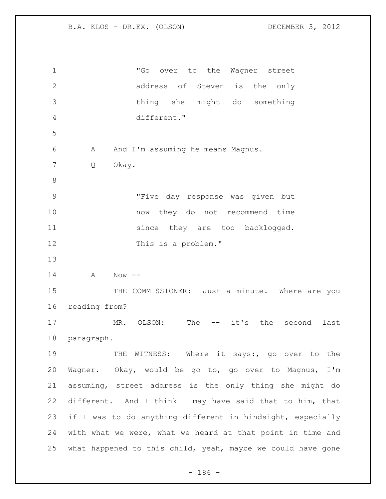| $\mathbf 1$  |               | "Go<br>over to the Wagner street                            |
|--------------|---------------|-------------------------------------------------------------|
| $\mathbf{2}$ |               | address of Steven is<br>the only                            |
| 3            |               | thing she<br>might do something                             |
| 4            |               | different."                                                 |
| 5            |               |                                                             |
| 6            | Α             | And I'm assuming he means Magnus.                           |
| 7            | Q             | Okay.                                                       |
| 8            |               |                                                             |
| 9            |               | "Five day response was given but                            |
| 10           |               | now they do not recommend time                              |
| 11           |               | since they are too backlogged.                              |
| 12           |               | This is a problem."                                         |
| 13           |               |                                                             |
| 14           | Α             | $Now --$                                                    |
| 15           |               | THE COMMISSIONER: Just a minute. Where are you              |
| 16           | reading from? |                                                             |
| 17           |               | OLSON:<br>The<br>$--$ it's<br>the second last<br>MR.        |
| 18           | paragraph.    |                                                             |
| 19           |               | THE WITNESS: Where it says:, go over to the                 |
| 20           |               | Wagner. Okay, would be go to, go over to Magnus, I'm        |
| 21           |               | assuming, street address is the only thing she might do     |
| 22           |               | different. And I think I may have said that to him, that    |
| 23           |               | if I was to do anything different in hindsight, especially  |
| 24           |               | with what we were, what we heard at that point in time and  |
| 25           |               | what happened to this child, yeah, maybe we could have gone |

- 186 -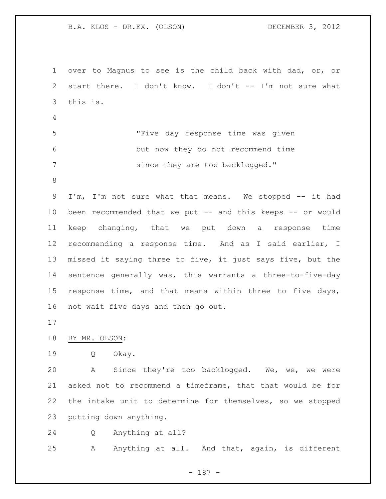over to Magnus to see is the child back with dad, or, or start there. I don't know. I don't -- I'm not sure what this is. "Five day response time was given but now they do not recommend time 7 since they are too backlogged." I'm, I'm not sure what that means. We stopped -- it had been recommended that we put -- and this keeps -- or would keep changing, that we put down a response time recommending a response time. And as I said earlier, I missed it saying three to five, it just says five, but the sentence generally was, this warrants a three-to-five-day response time, and that means within three to five days, not wait five days and then go out. BY MR. OLSON: Q Okay. A Since they're too backlogged. We, we, we were asked not to recommend a timeframe, that that would be for the intake unit to determine for themselves, so we stopped putting down anything. Q Anything at all? 25 A Anything at all. And that, again, is different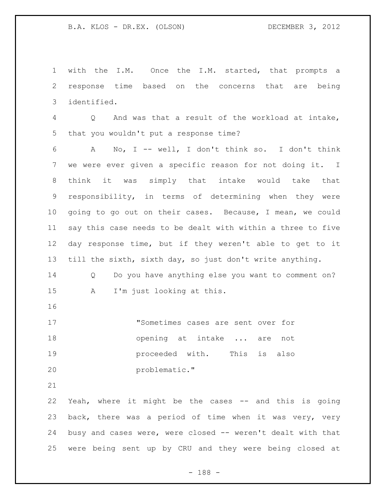with the I.M. Once the I.M. started, that prompts a response time based on the concerns that are being identified.

 Q And was that a result of the workload at intake, that you wouldn't put a response time?

 A No, I -- well, I don't think so. I don't think we were ever given a specific reason for not doing it. I think it was simply that intake would take that responsibility, in terms of determining when they were going to go out on their cases. Because, I mean, we could say this case needs to be dealt with within a three to five day response time, but if they weren't able to get to it till the sixth, sixth day, so just don't write anything.

 Q Do you have anything else you want to comment on? A I'm just looking at this.

| 17 | "Sometimes cases are sent over for |  |  |
|----|------------------------------------|--|--|
| 18 | opening at intake  are not         |  |  |
| 19 | proceeded with. This is also       |  |  |
| 20 | problematic."                      |  |  |

 Yeah, where it might be the cases -- and this is going back, there was a period of time when it was very, very busy and cases were, were closed -- weren't dealt with that were being sent up by CRU and they were being closed at

- 188 -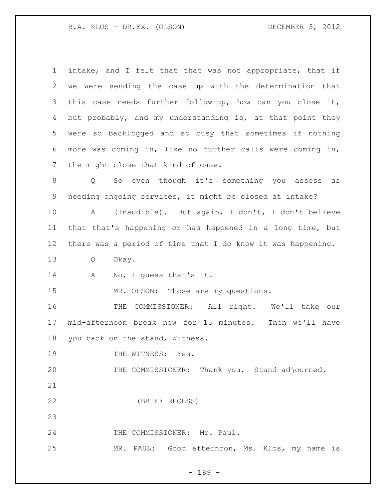| $\mathbf 1$       | intake, and I felt that that was not appropriate, that if           |
|-------------------|---------------------------------------------------------------------|
| 2                 | we were sending the case up with the determination that             |
| 3                 | this case needs further follow-up, how can you close it,            |
| 4                 | but probably, and my understanding is, at that point they           |
| 5                 | were so backlogged and so busy that sometimes if nothing            |
| 6                 | more was coming in, like no further calls were coming in,           |
| 7                 | the might close that kind of case.                                  |
| 8                 | So even though it's something you assess<br>$Q \qquad \qquad$<br>as |
| 9                 | needing ongoing services, it might be closed at intake?             |
| 10                | (Inaudible). But again, I don't, I don't believe<br>Α               |
| 11                | that that's happening or has happened in a long time, but           |
| $12 \overline{ }$ | there was a period of time that I do know it was happening.         |
| 13                | Okay.<br>Q                                                          |
| 14                | No, I guess that's it.<br>A                                         |
| 15                | MR. OLSON: Those are my questions.                                  |
| 16                | COMMISSIONER: All right. We'll take our<br>THE                      |
| 17                | mid-afternoon break now for 15 minutes. Then we'll have             |
| 18                | you back on the stand, Witness.                                     |
| 19                |                                                                     |
|                   | THE WITNESS: Yes.                                                   |
| 20                | THE COMMISSIONER: Thank you. Stand adjourned.                       |
| 21                |                                                                     |
| 22                | (BRIEF RECESS)                                                      |
| 23                |                                                                     |
| 24                | THE COMMISSIONER: Mr. Paul.                                         |

- 189 -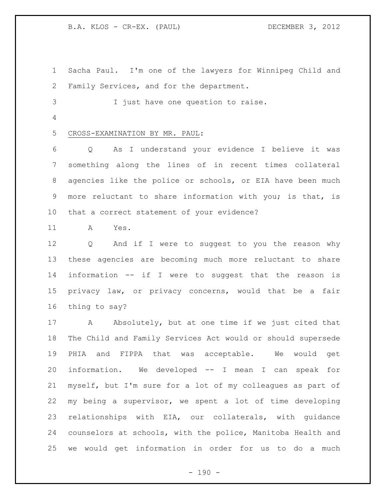B.A. KLOS - CR-EX. (PAUL) DECEMBER 3, 2012

 Sacha Paul. I'm one of the lawyers for Winnipeg Child and Family Services, and for the department. I just have one question to raise. CROSS-EXAMINATION BY MR. PAUL: Q As I understand your evidence I believe it was something along the lines of in recent times collateral agencies like the police or schools, or EIA have been much more reluctant to share information with you; is that, is that a correct statement of your evidence?

A Yes.

 Q And if I were to suggest to you the reason why these agencies are becoming much more reluctant to share information -- if I were to suggest that the reason is privacy law, or privacy concerns, would that be a fair thing to say?

17 A Absolutely, but at one time if we just cited that The Child and Family Services Act would or should supersede PHIA and FIPPA that was acceptable. We would get information. We developed -- I mean I can speak for myself, but I'm sure for a lot of my colleagues as part of my being a supervisor, we spent a lot of time developing relationships with EIA, our collaterals, with guidance counselors at schools, with the police, Manitoba Health and we would get information in order for us to do a much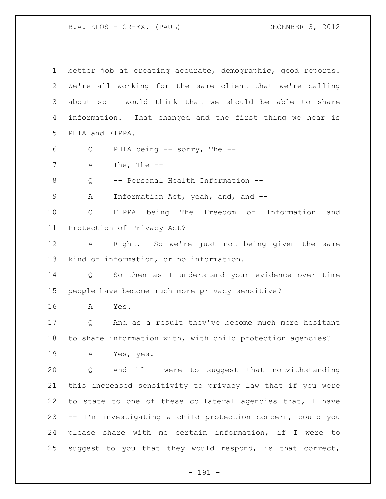B.A. KLOS - CR-EX. (PAUL) DECEMBER 3, 2012

| $\mathbf 1$    | better job at creating accurate, demographic, good reports.          |
|----------------|----------------------------------------------------------------------|
| 2              | We're all working for the same client that we're calling             |
| 3              | about so I would think that we should be able to share               |
| 4              | information. That changed and the first thing we hear is             |
| 5              | PHIA and FIPPA.                                                      |
| 6              | PHIA being $--$ sorry, The $--$<br>Q                                 |
| $\overline{7}$ | The, The $--$<br>А                                                   |
| $\,8\,$        | -- Personal Health Information --<br>Q                               |
| $\mathsf 9$    | Information Act, yeah, and, and --<br>Α                              |
| 10             | FIPPA being The Freedom of Information<br>Q<br>and                   |
| 11             | Protection of Privacy Act?                                           |
| 12             | Right. So we're just not being given the same<br>A                   |
| 13             | kind of information, or no information.                              |
| 14             | So then as I understand your evidence over time<br>$Q \qquad \qquad$ |
| 15             | people have become much more privacy sensitive?                      |
| 16             | Yes.<br>A                                                            |
| 17             | And as a result they've become much more hesitant<br>Q               |
| 18             | to share information with, with child protection agencies?           |
| 19             | A Yes, yes.                                                          |
| 20             | Q And if I were to suggest that notwithstanding                      |
| 21             | this increased sensitivity to privacy law that if you were           |
| 22             | to state to one of these collateral agencies that, I have            |
| 23             | -- I'm investigating a child protection concern, could you           |
| 24             | please share with me certain information, if I were to               |
| 25             | suggest to you that they would respond, is that correct,             |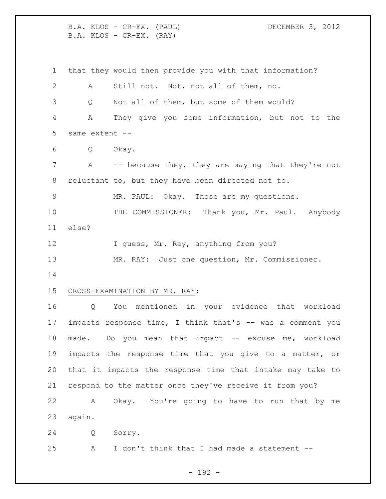B.A. KLOS - CR-EX. (PAUL) DECEMBER 3, 2012 B.A. KLOS - CR-EX. (RAY) that they would then provide you with that information? A Still not. Not, not all of them, no. Q Not all of them, but some of them would? A They give you some information, but not to the same extent -- Q Okay. 7 A -- because they, they are saying that they're not reluctant to, but they have been directed not to. MR. PAUL: Okay. Those are my questions. 10 THE COMMISSIONER: Thank you, Mr. Paul. Anybody else? 12 I guess, Mr. Ray, anything from you? MR. RAY: Just one question, Mr. Commissioner. CROSS-EXAMINATION BY MR. RAY: Q You mentioned in your evidence that workload impacts response time, I think that's -- was a comment you 18 made. Do you mean that impact -- excuse me, workload impacts the response time that you give to a matter, or that it impacts the response time that intake may take to respond to the matter once they've receive it from you? A Okay. You're going to have to run that by me again. Q Sorry. A I don't think that I had made a statement --

- 192 -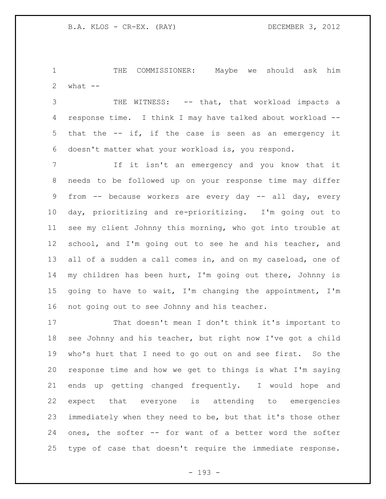THE COMMISSIONER: Maybe we should ask him 2  $what$   $--$ 

3 THE WITNESS: -- that, that workload impacts a response time. I think I may have talked about workload -- that the -- if, if the case is seen as an emergency it doesn't matter what your workload is, you respond.

 If it isn't an emergency and you know that it needs to be followed up on your response time may differ from -- because workers are every day -- all day, every day, prioritizing and re-prioritizing. I'm going out to see my client Johnny this morning, who got into trouble at school, and I'm going out to see he and his teacher, and 13 all of a sudden a call comes in, and on my caseload, one of my children has been hurt, I'm going out there, Johnny is going to have to wait, I'm changing the appointment, I'm not going out to see Johnny and his teacher.

 That doesn't mean I don't think it's important to see Johnny and his teacher, but right now I've got a child who's hurt that I need to go out on and see first. So the response time and how we get to things is what I'm saying ends up getting changed frequently. I would hope and expect that everyone is attending to emergencies immediately when they need to be, but that it's those other ones, the softer -- for want of a better word the softer type of case that doesn't require the immediate response.

- 193 -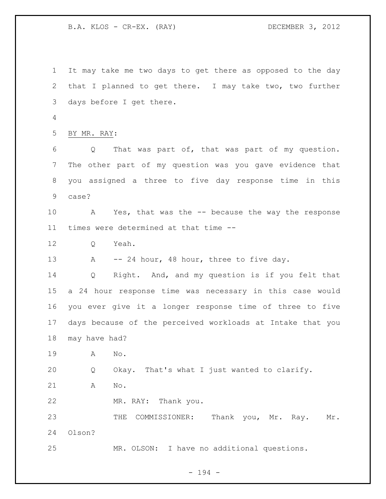B.A. KLOS - CR-EX. (RAY) DECEMBER 3, 2012

 It may take me two days to get there as opposed to the day that I planned to get there. I may take two, two further days before I get there. BY MR. RAY: Q That was part of, that was part of my question. The other part of my question was you gave evidence that you assigned a three to five day response time in this case? A Yes, that was the -- because the way the response times were determined at that time -- Q Yeah. 13 A -- 24 hour, 48 hour, three to five day. Q Right. And, and my question is if you felt that a 24 hour response time was necessary in this case would you ever give it a longer response time of three to five days because of the perceived workloads at Intake that you may have had? A No. Q Okay. That's what I just wanted to clarify. A No. MR. RAY: Thank you. 23 THE COMMISSIONER: Thank you, Mr. Ray. Mr. Olson? MR. OLSON: I have no additional questions.

- 194 -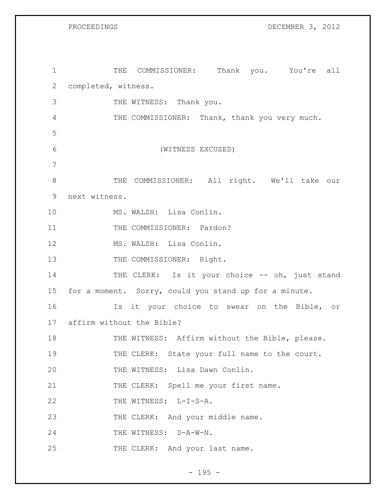PROCEEDINGS DECEMBER 3, 2012

| $\mathbf 1$    |                              | THE COMMISSIONER: Thank you. You're all               |  |  |
|----------------|------------------------------|-------------------------------------------------------|--|--|
| $\mathbf{2}$   | completed, witness.          |                                                       |  |  |
| 3              |                              | THE WITNESS: Thank you.                               |  |  |
| 4              |                              | THE COMMISSIONER: Thank, thank you very much.         |  |  |
| 5              |                              |                                                       |  |  |
| $6\,$          |                              | (WITNESS EXCUSED)                                     |  |  |
| $\overline{7}$ |                              |                                                       |  |  |
| $8\,$          |                              | THE COMMISSIONER: All right. We'll take our           |  |  |
| 9              | next witness.                |                                                       |  |  |
| 10             |                              | MS. WALSH: Lisa Conlin.                               |  |  |
| 11             |                              | THE COMMISSIONER: Pardon?                             |  |  |
| 12             |                              | MS. WALSH: Lisa Conlin.                               |  |  |
| 13             |                              | THE COMMISSIONER: Right.                              |  |  |
| 14             |                              | THE CLERK: Is it your choice -- oh, just stand        |  |  |
| 15             |                              | for a moment. Sorry, could you stand up for a minute. |  |  |
| 16             |                              | Is it your choice to swear on the Bible, or           |  |  |
|                | 17 affirm without the Bible? |                                                       |  |  |
| 18             |                              | THE WITNESS: Affirm without the Bible, please.        |  |  |
| 19             |                              | THE CLERK: State your full name to the court.         |  |  |
| 20             |                              | THE WITNESS: Lisa Dawn Conlin.                        |  |  |
| 21             |                              | THE CLERK: Spell me your first name.                  |  |  |
| 22             |                              | THE WITNESS: L-I-S-A.                                 |  |  |
| 23             |                              | THE CLERK: And your middle name.                      |  |  |
| 24             |                              | THE WITNESS: D-A-W-N.                                 |  |  |
| 25             |                              | THE CLERK: And your last name.                        |  |  |

- 195 -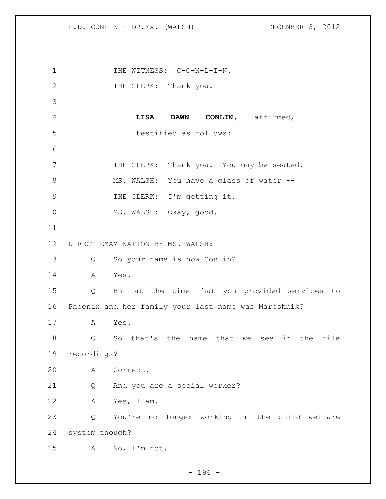1 THE WITNESS: C-O-N-L-I-N. 2 THE CLERK: Thank you. **LISA DAWN CONLIN,** affirmed, testified as follows: 7 THE CLERK: Thank you. You may be seated. 8 MS. WALSH: You have a glass of water -- THE CLERK: I'm getting it. MS. WALSH: Okay, good. DIRECT EXAMINATION BY MS. WALSH: Q So your name is now Conlin? A Yes. Q But at the time that you provided services to Phoenix and her family your last name was Maroshnik? A Yes. Q So that's the name that we see in the file recordings? A Correct. Q And you are a social worker? A Yes, I am. Q You're no longer working in the child welfare system though? A No, I'm not.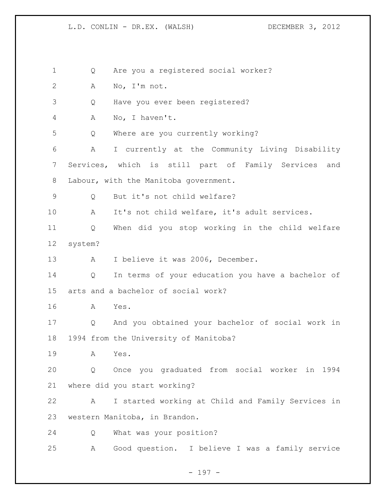Q Are you a registered social worker? A No, I'm not. Q Have you ever been registered? A No, I haven't. Q Where are you currently working? A I currently at the Community Living Disability Services, which is still part of Family Services and Labour, with the Manitoba government. Q But it's not child welfare? A It's not child welfare, it's adult services. Q When did you stop working in the child welfare system? 13 A I believe it was 2006, December. Q In terms of your education you have a bachelor of arts and a bachelor of social work? A Yes. Q And you obtained your bachelor of social work in 1994 from the University of Manitoba? A Yes. Q Once you graduated from social worker in 1994 where did you start working? A I started working at Child and Family Services in western Manitoba, in Brandon. Q What was your position? A Good question. I believe I was a family service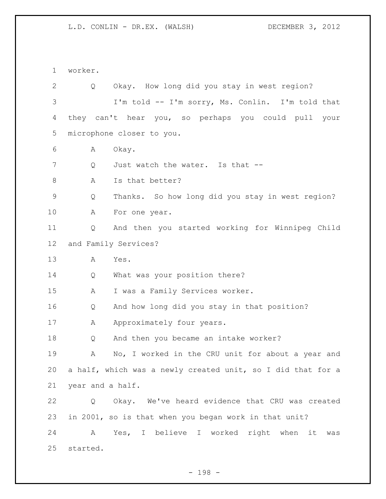worker. Q Okay. How long did you stay in west region? I'm told -- I'm sorry, Ms. Conlin. I'm told that they can't hear you, so perhaps you could pull your microphone closer to you. A Okay. 7 O Just watch the water. Is that --8 A Is that better? Q Thanks. So how long did you stay in west region? 10 A For one year. Q And then you started working for Winnipeg Child and Family Services? A Yes. Q What was your position there? A I was a Family Services worker. Q And how long did you stay in that position? 17 A Approximately four years. Q And then you became an intake worker? A No, I worked in the CRU unit for about a year and a half, which was a newly created unit, so I did that for a year and a half. Q Okay. We've heard evidence that CRU was created in 2001, so is that when you began work in that unit? A Yes, I believe I worked right when it was started.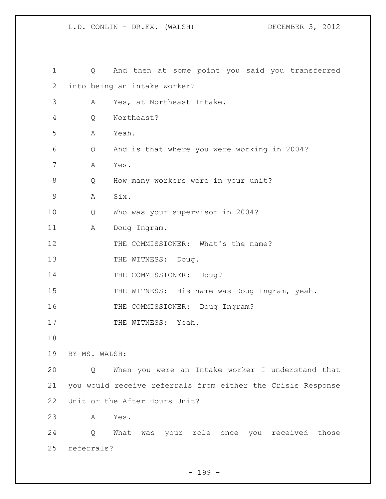| 1  | Q             | And then at some point you said you transferred             |
|----|---------------|-------------------------------------------------------------|
| 2  |               | into being an intake worker?                                |
| 3  | Α             | Yes, at Northeast Intake.                                   |
| 4  | Q             | Northeast?                                                  |
| 5  | Α             | Yeah.                                                       |
| 6  | Q             | And is that where you were working in 2004?                 |
| 7  | Α             | Yes.                                                        |
| 8  | Q             | How many workers were in your unit?                         |
| 9  | Α             | Six.                                                        |
| 10 | Q             | Who was your supervisor in 2004?                            |
| 11 | Α             | Doug Ingram.                                                |
| 12 |               | THE COMMISSIONER: What's the name?                          |
| 13 |               | THE WITNESS: Doug.                                          |
| 14 |               | THE COMMISSIONER: Doug?                                     |
| 15 |               | THE WITNESS: His name was Doug Ingram, yeah.                |
| 16 |               | THE COMMISSIONER: Doug Ingram?                              |
| 17 |               | THE WITNESS: Yeah.                                          |
| 18 |               |                                                             |
| 19 | BY MS. WALSH: |                                                             |
| 20 | Q             | When you were an Intake worker I understand that            |
| 21 |               | you would receive referrals from either the Crisis Response |
| 22 |               | Unit or the After Hours Unit?                               |
| 23 | Α             | Yes.                                                        |
| 24 | Q             | What<br>was your role once you received those               |
| 25 | referrals?    |                                                             |

- 199 -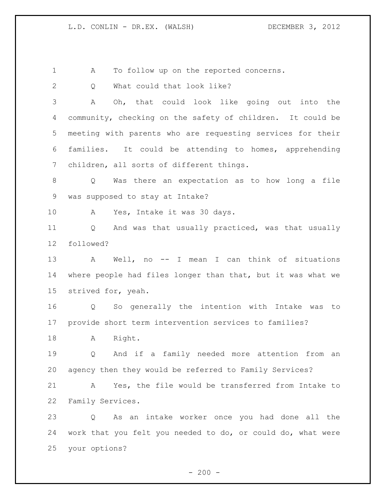A To follow up on the reported concerns.

2 Q What could that look like?

 A Oh, that could look like going out into the community, checking on the safety of children. It could be meeting with parents who are requesting services for their families. It could be attending to homes, apprehending children, all sorts of different things.

 Q Was there an expectation as to how long a file was supposed to stay at Intake?

A Yes, Intake it was 30 days.

 Q And was that usually practiced, was that usually followed?

 A Well, no -- I mean I can think of situations where people had files longer than that, but it was what we strived for, yeah.

 Q So generally the intention with Intake was to provide short term intervention services to families?

18 A Right.

 Q And if a family needed more attention from an agency then they would be referred to Family Services?

 A Yes, the file would be transferred from Intake to Family Services.

 Q As an intake worker once you had done all the work that you felt you needed to do, or could do, what were your options?

 $-200 -$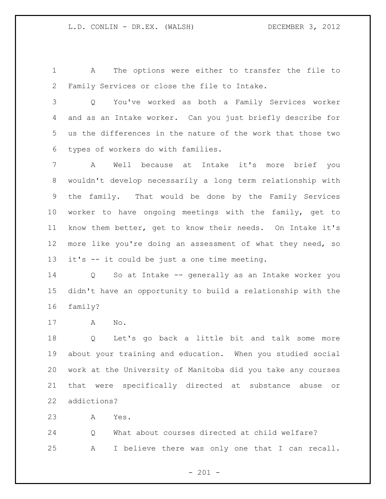A The options were either to transfer the file to Family Services or close the file to Intake.

 Q You've worked as both a Family Services worker and as an Intake worker. Can you just briefly describe for us the differences in the nature of the work that those two types of workers do with families.

 A Well because at Intake it's more brief you wouldn't develop necessarily a long term relationship with the family. That would be done by the Family Services worker to have ongoing meetings with the family, get to know them better, get to know their needs. On Intake it's more like you're doing an assessment of what they need, so it's -- it could be just a one time meeting.

 Q So at Intake -- generally as an Intake worker you didn't have an opportunity to build a relationship with the family?

A No.

 Q Let's go back a little bit and talk some more about your training and education. When you studied social work at the University of Manitoba did you take any courses that were specifically directed at substance abuse or addictions?

A Yes.

 Q What about courses directed at child welfare? A I believe there was only one that I can recall.

 $- 201 -$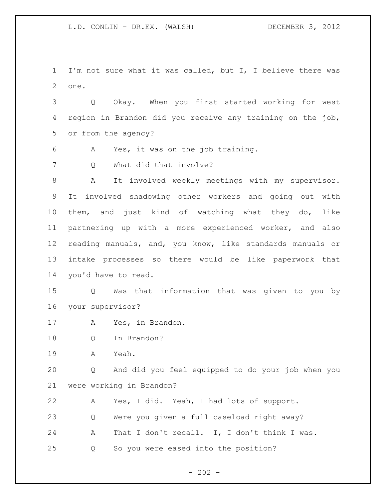I'm not sure what it was called, but I, I believe there was one.

 Q Okay. When you first started working for west region in Brandon did you receive any training on the job, or from the agency?

A Yes, it was on the job training.

7 Q What did that involve?

 A It involved weekly meetings with my supervisor. It involved shadowing other workers and going out with them, and just kind of watching what they do, like partnering up with a more experienced worker, and also reading manuals, and, you know, like standards manuals or intake processes so there would be like paperwork that you'd have to read.

 Q Was that information that was given to you by your supervisor?

- A Yes, in Brandon.
- Q In Brandon?

A Yeah.

 Q And did you feel equipped to do your job when you were working in Brandon?

 A Yes, I did. Yeah, I had lots of support. Q Were you given a full caseload right away? A That I don't recall. I, I don't think I was. Q So you were eased into the position?

 $- 202 -$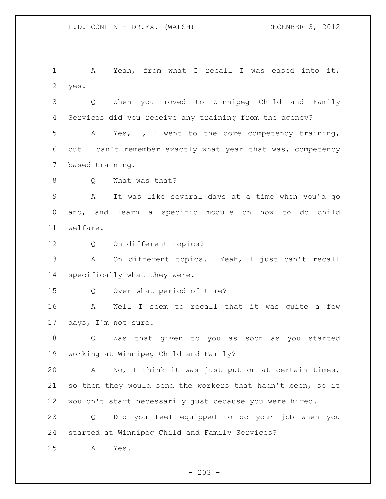A Yeah, from what I recall I was eased into it, yes.

 Q When you moved to Winnipeg Child and Family Services did you receive any training from the agency? A Yes, I, I went to the core competency training, but I can't remember exactly what year that was, competency based training.

8 Q What was that?

 A It was like several days at a time when you'd go and, and learn a specific module on how to do child welfare.

Q On different topics?

 A On different topics. Yeah, I just can't recall specifically what they were.

Q Over what period of time?

 A Well I seem to recall that it was quite a few days, I'm not sure.

 Q Was that given to you as soon as you started working at Winnipeg Child and Family?

 A No, I think it was just put on at certain times, so then they would send the workers that hadn't been, so it wouldn't start necessarily just because you were hired.

 Q Did you feel equipped to do your job when you started at Winnipeg Child and Family Services?

A Yes.

 $- 203 -$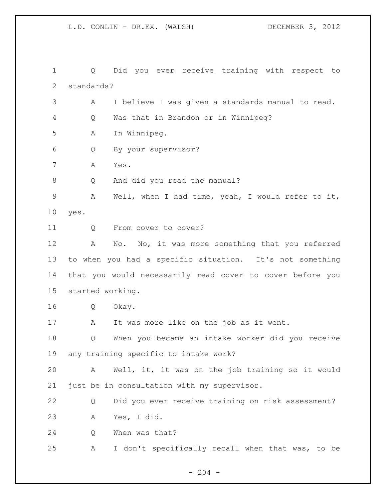Q Did you ever receive training with respect to standards? A I believe I was given a standards manual to read. Q Was that in Brandon or in Winnipeg? A In Winnipeg. Q By your supervisor? A Yes. Q And did you read the manual? A Well, when I had time, yeah, I would refer to it, yes. 11 Q From cover to cover? A No. No, it was more something that you referred to when you had a specific situation. It's not something that you would necessarily read cover to cover before you started working. Q Okay. 17 A It was more like on the job as it went. Q When you became an intake worker did you receive any training specific to intake work? A Well, it, it was on the job training so it would just be in consultation with my supervisor. Q Did you ever receive training on risk assessment? A Yes, I did. Q When was that? A I don't specifically recall when that was, to be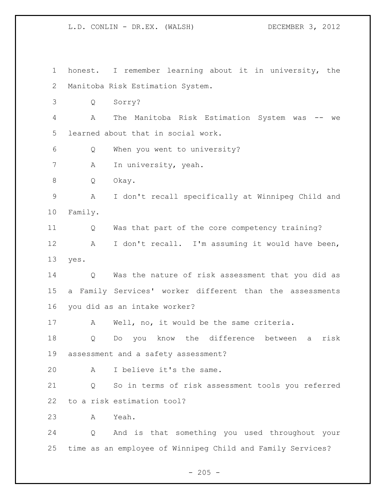honest. I remember learning about it in university, the Manitoba Risk Estimation System. Q Sorry? A The Manitoba Risk Estimation System was -- we learned about that in social work. Q When you went to university? 7 A In university, yeah. Q Okay. A I don't recall specifically at Winnipeg Child and Family. Q Was that part of the core competency training? A I don't recall. I'm assuming it would have been, yes. Q Was the nature of risk assessment that you did as a Family Services' worker different than the assessments you did as an intake worker? A Well, no, it would be the same criteria. Q Do you know the difference between a risk assessment and a safety assessment? A I believe it's the same. Q So in terms of risk assessment tools you referred to a risk estimation tool? A Yeah. Q And is that something you used throughout your time as an employee of Winnipeg Child and Family Services?

 $- 205 -$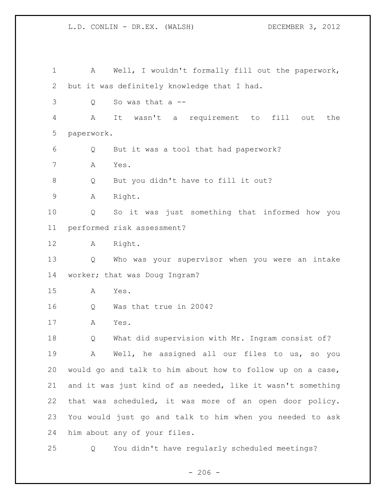A Well, I wouldn't formally fill out the paperwork, but it was definitely knowledge that I had. Q So was that a -- A It wasn't a requirement to fill out the paperwork. Q But it was a tool that had paperwork? A Yes. Q But you didn't have to fill it out? A Right. Q So it was just something that informed how you performed risk assessment? A Right. Q Who was your supervisor when you were an intake worker; that was Doug Ingram? A Yes. Q Was that true in 2004? A Yes. Q What did supervision with Mr. Ingram consist of? A Well, he assigned all our files to us, so you would go and talk to him about how to follow up on a case, and it was just kind of as needed, like it wasn't something that was scheduled, it was more of an open door policy. You would just go and talk to him when you needed to ask him about any of your files. Q You didn't have regularly scheduled meetings?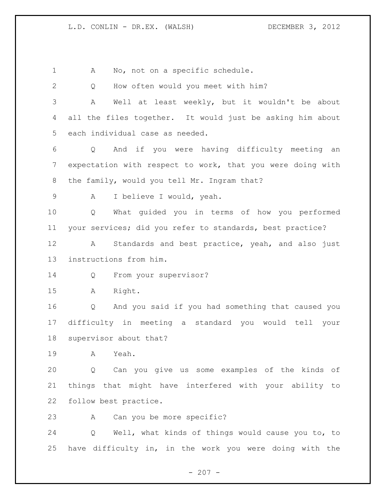$- 207 -$ 1 A No, not on a specific schedule. Q How often would you meet with him? A Well at least weekly, but it wouldn't be about all the files together. It would just be asking him about each individual case as needed. Q And if you were having difficulty meeting an expectation with respect to work, that you were doing with 8 the family, would you tell Mr. Ingram that? A I believe I would, yeah. Q What guided you in terms of how you performed your services; did you refer to standards, best practice? A Standards and best practice, yeah, and also just instructions from him. 14 Q From your supervisor? A Right. Q And you said if you had something that caused you difficulty in meeting a standard you would tell your supervisor about that? A Yeah. Q Can you give us some examples of the kinds of things that might have interfered with your ability to follow best practice. A Can you be more specific? Q Well, what kinds of things would cause you to, to have difficulty in, in the work you were doing with the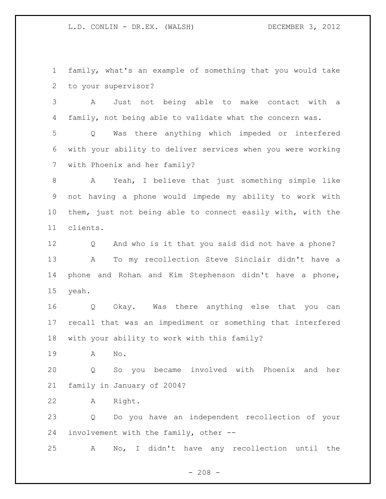family, what's an example of something that you would take to your supervisor?

 A Just not being able to make contact with a family, not being able to validate what the concern was.

 Q Was there anything which impeded or interfered with your ability to deliver services when you were working with Phoenix and her family?

 A Yeah, I believe that just something simple like not having a phone would impede my ability to work with them, just not being able to connect easily with, with the clients.

 Q And who is it that you said did not have a phone? A To my recollection Steve Sinclair didn't have a phone and Rohan and Kim Stephenson didn't have a phone, yeah.

 Q Okay. Was there anything else that you can recall that was an impediment or something that interfered with your ability to work with this family?

A No.

 Q So you became involved with Phoenix and her family in January of 2004?

A Right.

 Q Do you have an independent recollection of your involvement with the family, other --

A No, I didn't have any recollection until the

 $- 208 -$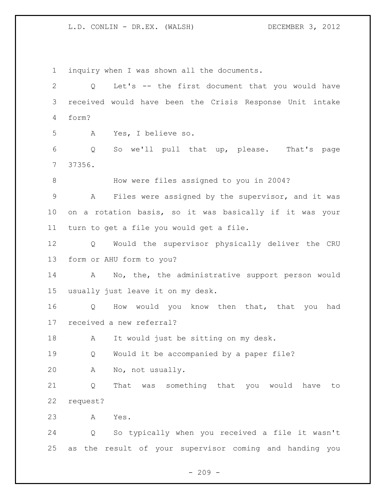inquiry when I was shown all the documents. Q Let's -- the first document that you would have received would have been the Crisis Response Unit intake form? A Yes, I believe so. Q So we'll pull that up, please. That's page 37356. How were files assigned to you in 2004? A Files were assigned by the supervisor, and it was on a rotation basis, so it was basically if it was your turn to get a file you would get a file. Q Would the supervisor physically deliver the CRU form or AHU form to you? A No, the, the administrative support person would usually just leave it on my desk. Q How would you know then that, that you had received a new referral? A It would just be sitting on my desk. 19 0 Would it be accompanied by a paper file? A No, not usually. Q That was something that you would have to request? A Yes. Q So typically when you received a file it wasn't as the result of your supervisor coming and handing you

 $-209 -$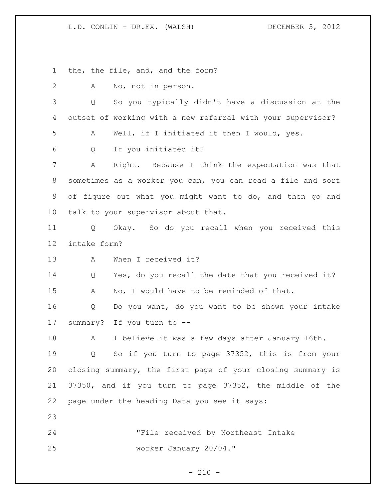the, the file, and, and the form?

| 2  | No, not in person.<br>Α                                     |
|----|-------------------------------------------------------------|
| 3  | So you typically didn't have a discussion at the<br>Q       |
| 4  | outset of working with a new referral with your supervisor? |
| 5  | Well, if I initiated it then I would, yes.<br>Α             |
| 6  | If you initiated it?<br>Q                                   |
| 7  | Right. Because I think the expectation was that<br>А        |
| 8  | sometimes as a worker you can, you can read a file and sort |
| 9  | of figure out what you might want to do, and then go and    |
| 10 | talk to your supervisor about that.                         |
| 11 | Okay. So do you recall when you received this<br>Q          |
| 12 | intake form?                                                |
| 13 | When I received it?<br>A                                    |
| 14 | Yes, do you recall the date that you received it?<br>Q      |
| 15 | No, I would have to be reminded of that.<br>A               |
| 16 | Do you want, do you want to be shown your intake<br>Q       |
| 17 | summary? If you turn to --                                  |
| 18 | I believe it was a few days after January 16th.<br>A        |
| 19 | So if you turn to page 37352, this is from your<br>Q        |
| 20 | closing summary, the first page of your closing summary is  |
| 21 | 37350, and if you turn to page 37352, the middle of the     |
| 22 | page under the heading Data you see it says:                |
| 23 |                                                             |
| 24 | "File received by Northeast Intake                          |
| 25 | worker January 20/04."                                      |

 $- 210 -$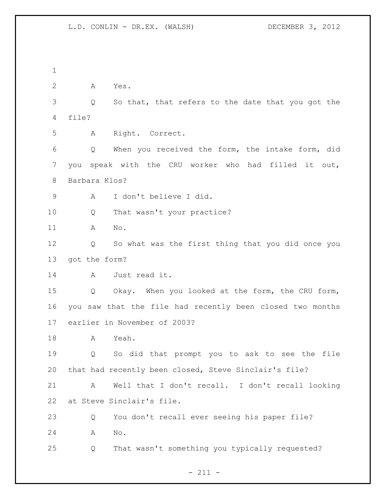A Yes. Q So that, that refers to the date that you got the file? A Right. Correct. Q When you received the form, the intake form, did you speak with the CRU worker who had filled it out, Barbara Klos? A I don't believe I did. 10 Q That wasn't your practice? A No. Q So what was the first thing that you did once you got the form? A Just read it. Q Okay. When you looked at the form, the CRU form, you saw that the file had recently been closed two months earlier in November of 2003? A Yeah. Q So did that prompt you to ask to see the file that had recently been closed, Steve Sinclair's file? A Well that I don't recall. I don't recall looking at Steve Sinclair's file. Q You don't recall ever seeing his paper file? A No. Q That wasn't something you typically requested?

- 211 -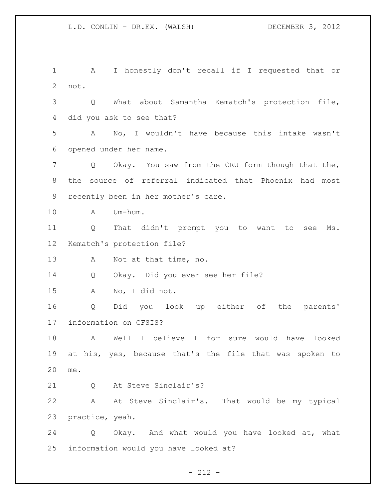A I honestly don't recall if I requested that or not. Q What about Samantha Kematch's protection file, did you ask to see that? A No, I wouldn't have because this intake wasn't opened under her name. Q Okay. You saw from the CRU form though that the, the source of referral indicated that Phoenix had most recently been in her mother's care. A Um-hum. Q That didn't prompt you to want to see Ms. Kematch's protection file? A Not at that time, no. Q Okay. Did you ever see her file? A No, I did not. Q Did you look up either of the parents' information on CFSIS? A Well I believe I for sure would have looked at his, yes, because that's the file that was spoken to me. 21 0 At Steve Sinclair's? A At Steve Sinclair's. That would be my typical practice, yeah. Q Okay. And what would you have looked at, what information would you have looked at?

 $- 212 -$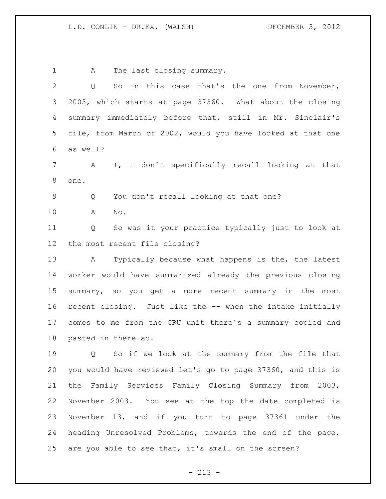1 A The last closing summary. Q So in this case that's the one from November, 2003, which starts at page 37360. What about the closing summary immediately before that, still in Mr. Sinclair's file, from March of 2002, would you have looked at that one as well? A I, I don't specifically recall looking at that one. Q You don't recall looking at that one? A No. Q So was it your practice typically just to look at the most recent file closing? A Typically because what happens is the, the latest worker would have summarized already the previous closing summary, so you get a more recent summary in the most recent closing. Just like the -- when the intake initially comes to me from the CRU unit there's a summary copied and pasted in there so. Q So if we look at the summary from the file that you would have reviewed let's go to page 37360, and this is the Family Services Family Closing Summary from 2003, November 2003. You see at the top the date completed is November 13, and if you turn to page 37361 under the heading Unresolved Problems, towards the end of the page, are you able to see that, it's small on the screen?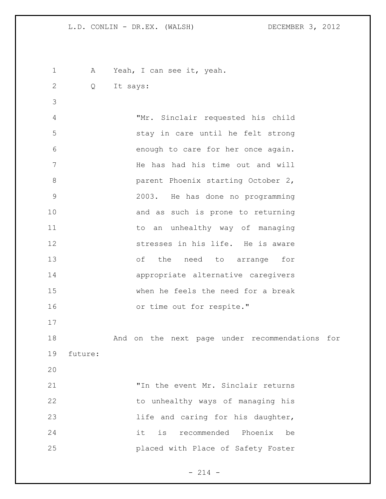1 A Yeah, I can see it, yeah.

Q It says:

 "Mr. Sinclair requested his child stay in care until he felt strong enough to care for her once again. He has had his time out and will parent Phoenix starting October 2, 2003. He has done no programming 10 and as such is prone to returning 11 to an unhealthy way of managing stresses in his life. He is aware of the need to arrange for appropriate alternative caregivers when he feels the need for a break 16 or time out for respite." 

 And on the next page under recommendations for future:

 "In the event Mr. Sinclair returns 22 to unhealthy ways of managing his 23 and caring for his daughter, it is recommended Phoenix be placed with Place of Safety Foster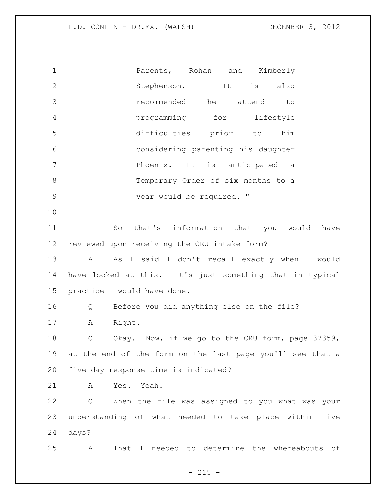| $\mathbf 1$    | Parents, Rohan and Kimberly                               |
|----------------|-----------------------------------------------------------|
| $\mathbf{2}$   | Stephenson.<br>is<br>It<br>also                           |
| 3              | recommended<br>he<br>attend<br>to                         |
| $\overline{4}$ | programming for<br>lifestyle                              |
| 5              | difficulties prior to<br>him                              |
| 6              | considering parenting his daughter                        |
| 7              | Phoenix. It is anticipated a                              |
| $8\,$          | Temporary Order of six months to a                        |
| $\mathsf 9$    | year would be required. "                                 |
| 10             |                                                           |
| 11             | that's information that you would have<br>So              |
| 12             | reviewed upon receiving the CRU intake form?              |
| 13             | As I said I don't recall exactly when I would<br>A        |
| 14             | have looked at this. It's just something that in typical  |
| 15             | practice I would have done.                               |
| 16             | Before you did anything else on the file?<br>Q            |
| 17             | Right.<br>A                                               |
| 18             | Okay. Now, if we go to the CRU form, page 37359,<br>Q     |
| 19             | at the end of the form on the last page you'll see that a |
| 20             | five day response time is indicated?                      |
| 21             | A<br>Yes. Yeah.                                           |
| 22             | When the file was assigned to you what was your<br>Q      |
| 23             | understanding of what needed to take place within five    |
| 24             | days?                                                     |
| 25             | That I needed to determine the whereabouts of<br>Α        |

- 215 -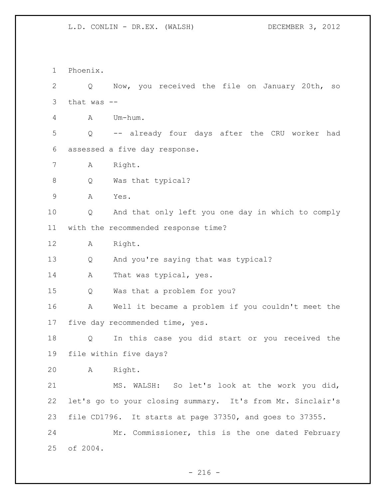Phoenix. Q Now, you received the file on January 20th, so that was -- A Um-hum. Q -- already four days after the CRU worker had assessed a five day response. A Right. Q Was that typical? A Yes. Q And that only left you one day in which to comply with the recommended response time? A Right. Q And you're saying that was typical? 14 A That was typical, yes. Q Was that a problem for you? A Well it became a problem if you couldn't meet the five day recommended time, yes. Q In this case you did start or you received the file within five days? A Right. MS. WALSH: So let's look at the work you did, let's go to your closing summary. It's from Mr. Sinclair's file CD1796. It starts at page 37350, and goes to 37355. Mr. Commissioner, this is the one dated February of 2004.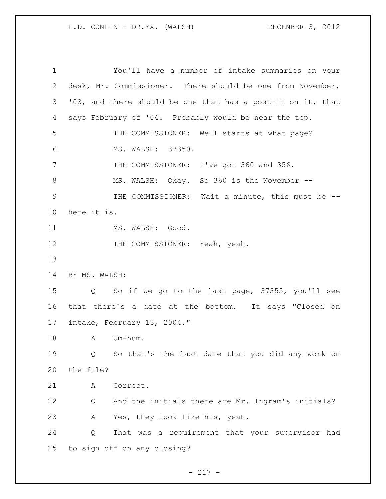You'll have a number of intake summaries on your desk, Mr. Commissioner. There should be one from November, '03, and there should be one that has a post-it on it, that says February of '04. Probably would be near the top. THE COMMISSIONER: Well starts at what page? MS. WALSH: 37350. THE COMMISSIONER: I've got 360 and 356. MS. WALSH: Okay. So 360 is the November -- THE COMMISSIONER: Wait a minute, this must be -- here it is. 11 MS. WALSH: Good. 12 THE COMMISSIONER: Yeah, yeah. BY MS. WALSH: Q So if we go to the last page, 37355, you'll see that there's a date at the bottom. It says "Closed on intake, February 13, 2004." 18 A Um-hum. Q So that's the last date that you did any work on the file? A Correct. Q And the initials there are Mr. Ingram's initials? A Yes, they look like his, yeah. Q That was a requirement that your supervisor had to sign off on any closing?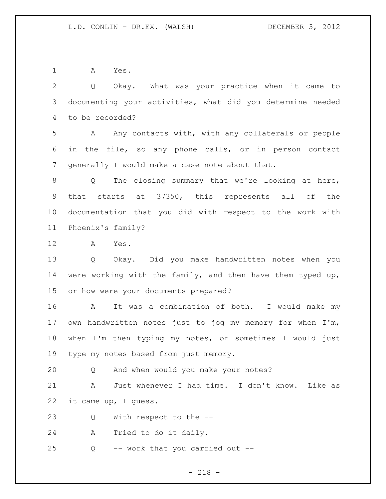A Yes.

 Q Okay. What was your practice when it came to documenting your activities, what did you determine needed to be recorded?

 A Any contacts with, with any collaterals or people in the file, so any phone calls, or in person contact generally I would make a case note about that.

 Q The closing summary that we're looking at here, that starts at 37350, this represents all of the documentation that you did with respect to the work with Phoenix's family?

A Yes.

 Q Okay. Did you make handwritten notes when you were working with the family, and then have them typed up, or how were your documents prepared?

 A It was a combination of both. I would make my own handwritten notes just to jog my memory for when I'm, when I'm then typing my notes, or sometimes I would just type my notes based from just memory.

Q And when would you make your notes?

 A Just whenever I had time. I don't know. Like as it came up, I guess.

Q With respect to the --

A Tried to do it daily.

Q -- work that you carried out --

- 218 -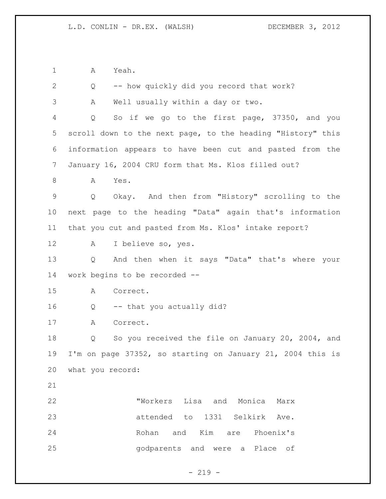A Yeah.

| $\overline{2}$ | -- how quickly did you record that work?<br>Q                       |
|----------------|---------------------------------------------------------------------|
| 3              | Well usually within a day or two.<br>Α                              |
| $\overline{4}$ | So if we go to the first page, 37350, and you<br>Q                  |
| 5              | scroll down to the next page, to the heading "History" this         |
| 6              | information appears to have been cut and pasted from the            |
| $7\phantom{.}$ | January 16, 2004 CRU form that Ms. Klos filled out?                 |
| 8              | Yes.<br>A                                                           |
| $\mathsf 9$    | Okay. And then from "History" scrolling to the<br>Q                 |
| 10             | next page to the heading "Data" again that's information            |
| 11             | that you cut and pasted from Ms. Klos' intake report?               |
| 12             | I believe so, yes.<br>A                                             |
| 13             | And then when it says "Data" that's where your<br>$Q \qquad \qquad$ |
| 14             | work begins to be recorded --                                       |
| 15             | Correct.<br>Α                                                       |
| 16             | -- that you actually did?<br>Q                                      |
| 17             | Α<br>Correct.                                                       |
| 18             | So you received the file on January 20, 2004, and<br>Q              |
| 19             | I'm on page 37352, so starting on January 21, 2004 this is          |
| 20             | what you record:                                                    |
| 21             |                                                                     |
| 22             | "Workers Lisa and Monica<br>Marx                                    |
| 23             | attended to 1331 Selkirk Ave.                                       |
| 24             | Rohan and Kim are<br>Phoenix's                                      |
| 25             | godparents and were a Place of                                      |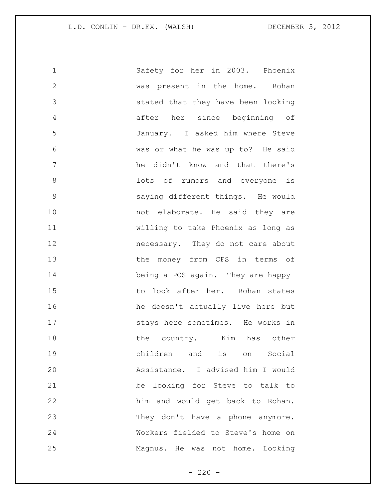| $\mathbf 1$   | Safety for her in 2003. Phoenix    |
|---------------|------------------------------------|
| $\mathbf{2}$  | was present in the home. Rohan     |
| 3             | stated that they have been looking |
| 4             | after her since beginning of       |
| 5             | January. I asked him where Steve   |
| 6             | was or what he was up to? He said  |
| 7             | he didn't know and that there's    |
| 8             | lots of rumors and everyone is     |
| $\mathcal{G}$ | saying different things. He would  |
| 10            | not elaborate. He said they are    |
| 11            | willing to take Phoenix as long as |
| 12            | necessary. They do not care about  |
| 13            | the money from CFS in terms of     |
| 14            | being a POS again. They are happy  |
| 15            | to look after her. Rohan states    |
| 16            | he doesn't actually live here but  |
| 17            | stays here sometimes. He works in  |
| 18            | the country. Kim has other         |
| 19            | children and is on<br>Social       |
| 20            | Assistance. I advised him I would  |
| 21            | be looking for Steve to talk to    |
| 22            | him and would get back to Rohan.   |
| 23            | They don't have a phone anymore.   |
| 24            | Workers fielded to Steve's home on |
| 25            | Magnus. He was not home. Looking   |

- 220 -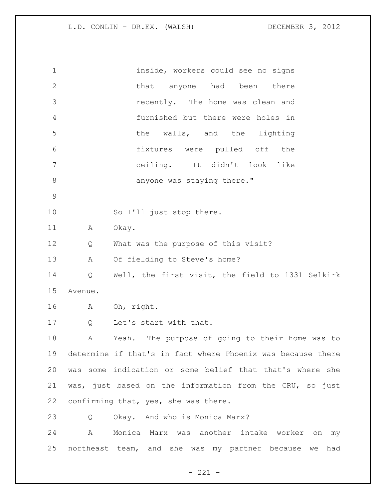| $\mathbf 1$  |                   | inside, workers could see no signs                          |
|--------------|-------------------|-------------------------------------------------------------|
| $\mathbf{2}$ |                   | that anyone had been there                                  |
| 3            |                   | recently. The home was clean and                            |
| 4            |                   | furnished but there were holes in                           |
| 5            |                   | the walls, and the lighting                                 |
| 6            |                   | fixtures were pulled off the                                |
| 7            |                   | ceiling. It didn't look like                                |
| $\,8\,$      |                   | anyone was staying there."                                  |
| $\mathsf 9$  |                   |                                                             |
| 10           |                   | So I'll just stop there.                                    |
| 11           | A                 | Okay.                                                       |
| 12           | Q                 | What was the purpose of this visit?                         |
| 13           | A                 | Of fielding to Steve's home?                                |
| 14           | $Q \qquad \qquad$ | Well, the first visit, the field to 1331 Selkirk            |
| 15           | Avenue.           |                                                             |
| 16           |                   | A Oh, right.                                                |
| 17           | $Q \qquad \qquad$ | Let's start with that.                                      |
| 18           | A                 | Yeah. The purpose of going to their home was to             |
| 19           |                   | determine if that's in fact where Phoenix was because there |
| 20           |                   | was some indication or some belief that that's where she    |
| 21           |                   | was, just based on the information from the CRU, so just    |
| 22           |                   | confirming that, yes, she was there.                        |
| 23           | Q                 | Okay. And who is Monica Marx?                               |
| 24           | $\mathbb A$       | Monica Marx was another intake worker on<br>my              |
| 25           |                   | northeast team, and she was my partner because we had       |

- 221 -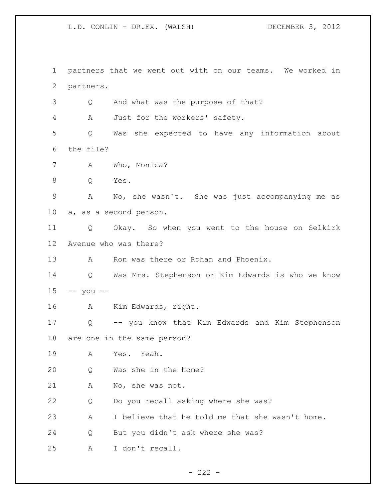partners that we went out with on our teams. We worked in partners. Q And what was the purpose of that? A Just for the workers' safety. Q Was she expected to have any information about the file? A Who, Monica? Q Yes. A No, she wasn't. She was just accompanying me as a, as a second person. Q Okay. So when you went to the house on Selkirk Avenue who was there? 13 A Ron was there or Rohan and Phoenix. Q Was Mrs. Stephenson or Kim Edwards is who we know -- you -- A Kim Edwards, right. Q -- you know that Kim Edwards and Kim Stephenson are one in the same person? A Yes. Yeah. Q Was she in the home? A No, she was not. Q Do you recall asking where she was? A I believe that he told me that she wasn't home. Q But you didn't ask where she was? A I don't recall.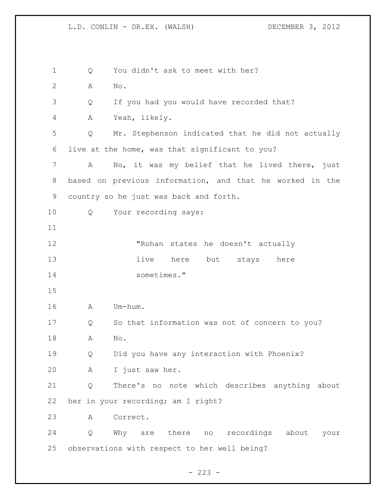1 Q You didn't ask to meet with her? A No. Q If you had you would have recorded that? A Yeah, likely. Q Mr. Stephenson indicated that he did not actually live at the home, was that significant to you? A No, it was my belief that he lived there, just based on previous information, and that he worked in the country so he just was back and forth. Q Your recording says: "Rohan states he doesn't actually 13 live here but stays here sometimes." A Um-hum. Q So that information was not of concern to you? A No. Q Did you have any interaction with Phoenix? A I just saw her. Q There's no note which describes anything about her in your recording; am I right? A Correct. Q Why are there no recordings about your observations with respect to her well being?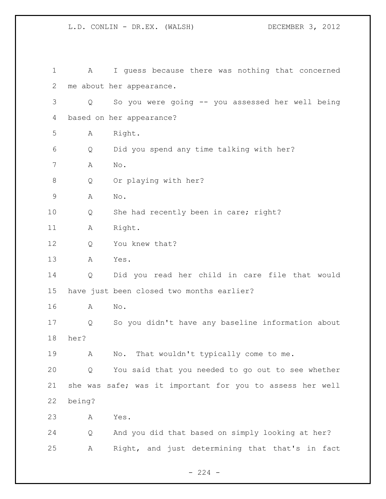| $\mathbf 1$ | Α      | I guess because there was nothing that concerned          |
|-------------|--------|-----------------------------------------------------------|
| 2           |        | me about her appearance.                                  |
| 3           | Q      | So you were going -- you assessed her well being          |
| 4           |        | based on her appearance?                                  |
| 5           | Α      | Right.                                                    |
| 6           | Q      | Did you spend any time talking with her?                  |
| 7           | Α      | No.                                                       |
| 8           | Q      | Or playing with her?                                      |
| $\mathsf 9$ | Α      | No.                                                       |
| 10          | Q      | She had recently been in care; right?                     |
| 11          | А      | Right.                                                    |
| 12          | Q      | You knew that?                                            |
| 13          | A      | Yes.                                                      |
| 14          | Q      | Did you read her child in care file that would            |
| 15          |        | have just been closed two months earlier?                 |
| 16          | A      | $\mathrm{No}$ .                                           |
| 17          | Q      | So you didn't have any baseline information about         |
| 18          | her?   |                                                           |
| 19          | Α      | No. That wouldn't typically come to me.                   |
| 20          | Q      | You said that you needed to go out to see whether         |
| 21          |        | she was safe; was it important for you to assess her well |
| 22          | being? |                                                           |
| 23          | Α      | Yes.                                                      |
| 24          | Q      | And you did that based on simply looking at her?          |
| 25          | Α      | Right, and just determining that that's in fact           |

- 224 -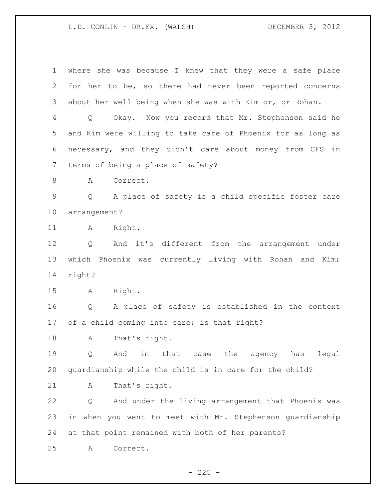where she was because I knew that they were a safe place for her to be, so there had never been reported concerns about her well being when she was with Kim or, or Rohan. Q Okay. Now you record that Mr. Stephenson said he and Kim were willing to take care of Phoenix for as long as necessary, and they didn't care about money from CFS in terms of being a place of safety? 8 A Correct. Q A place of safety is a child specific foster care arrangement? 11 A Right. Q And it's different from the arrangement under which Phoenix was currently living with Rohan and Kim; right? A Right. Q A place of safety is established in the context of a child coming into care; is that right? A That's right. Q And in that case the agency has legal guardianship while the child is in care for the child? A That's right. Q And under the living arrangement that Phoenix was in when you went to meet with Mr. Stephenson guardianship at that point remained with both of her parents? A Correct.

 $- 225 -$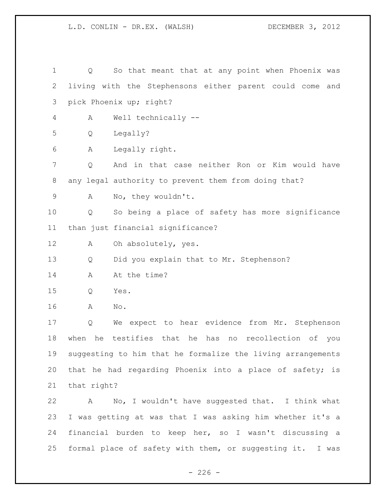Q So that meant that at any point when Phoenix was living with the Stephensons either parent could come and pick Phoenix up; right? A Well technically -- Q Legally? A Legally right. Q And in that case neither Ron or Kim would have any legal authority to prevent them from doing that? A No, they wouldn't. Q So being a place of safety has more significance than just financial significance? A Oh absolutely, yes. Q Did you explain that to Mr. Stephenson? 14 A At the time? Q Yes. A No. Q We expect to hear evidence from Mr. Stephenson when he testifies that he has no recollection of you suggesting to him that he formalize the living arrangements that he had regarding Phoenix into a place of safety; is that right? A No, I wouldn't have suggested that. I think what I was getting at was that I was asking him whether it's a financial burden to keep her, so I wasn't discussing a formal place of safety with them, or suggesting it. I was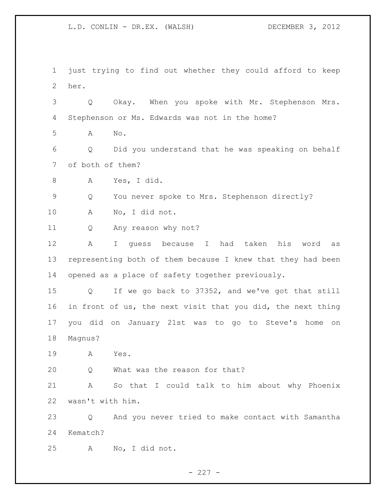just trying to find out whether they could afford to keep her. Q Okay. When you spoke with Mr. Stephenson Mrs. Stephenson or Ms. Edwards was not in the home? A No. Q Did you understand that he was speaking on behalf of both of them? A Yes, I did. Q You never spoke to Mrs. Stephenson directly? A No, I did not. Q Any reason why not? A I guess because I had taken his word as representing both of them because I knew that they had been opened as a place of safety together previously. Q If we go back to 37352, and we've got that still in front of us, the next visit that you did, the next thing you did on January 21st was to go to Steve's home on Magnus? A Yes. Q What was the reason for that? A So that I could talk to him about why Phoenix wasn't with him. Q And you never tried to make contact with Samantha Kematch? A No, I did not.

 $- 227 -$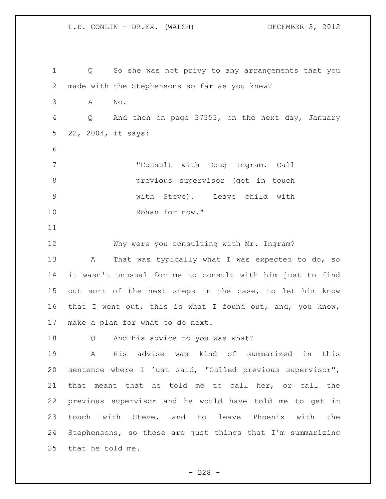Q So she was not privy to any arrangements that you made with the Stephensons so far as you knew? A No. Q And then on page 37353, on the next day, January 22, 2004, it says: "Consult with Doug Ingram. Call previous supervisor (get in touch with Steve). Leave child with Rohan for now." Why were you consulting with Mr. Ingram? 13 A That was typically what I was expected to do, so it wasn't unusual for me to consult with him just to find out sort of the next steps in the case, to let him know 16 that I went out, this is what I found out, and, you know, make a plan for what to do next. Q And his advice to you was what? A His advise was kind of summarized in this sentence where I just said, "Called previous supervisor", that meant that he told me to call her, or call the previous supervisor and he would have told me to get in touch with Steve, and to leave Phoenix with the Stephensons, so those are just things that I'm summarizing that he told me.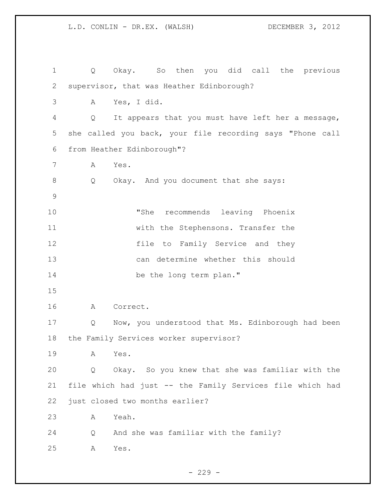Q Okay. So then you did call the previous supervisor, that was Heather Edinborough? A Yes, I did. Q It appears that you must have left her a message, she called you back, your file recording says "Phone call from Heather Edinborough"? A Yes. Q Okay. And you document that she says: "She recommends leaving Phoenix with the Stephensons. Transfer the file to Family Service and they can determine whether this should 14 be the long term plan." A Correct. Q Now, you understood that Ms. Edinborough had been the Family Services worker supervisor? A Yes. Q Okay. So you knew that she was familiar with the file which had just -- the Family Services file which had just closed two months earlier? A Yeah. Q And she was familiar with the family? A Yes.

 $-229 -$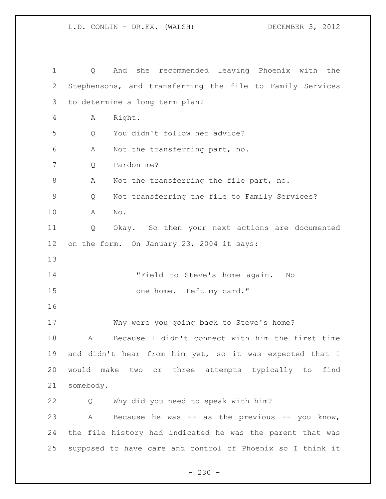| 1           | Q           | And she recommended leaving Phoenix with the               |
|-------------|-------------|------------------------------------------------------------|
| 2           |             | Stephensons, and transferring the file to Family Services  |
| 3           |             | to determine a long term plan?                             |
| 4           | Α           | Right.                                                     |
| 5           | Q           | You didn't follow her advice?                              |
| 6           | Α           | Not the transferring part, no.                             |
| 7           | Q           | Pardon me?                                                 |
| 8           | Α           | Not the transferring the file part, no.                    |
| $\mathsf 9$ | Q           | Not transferring the file to Family Services?              |
| 10          | Α           | No.                                                        |
| 11          | Q           | Okay. So then your next actions are documented             |
| $12 \,$     |             | on the form. On January 23, 2004 it says:                  |
| 13          |             |                                                            |
| 14          |             | "Field to Steve's home again.<br>Νo                        |
| 15          |             | one home. Left my card."                                   |
| 16          |             |                                                            |
| 17          |             | Why were you going back to Steve's home?                   |
| 18          | Α           | Because I didn't connect with him the first time           |
| 19          |             | and didn't hear from him yet, so it was expected that I    |
| 20          |             | would make two or three attempts typically to find         |
| 21          | somebody.   |                                                            |
| 22          | Q           | Why did you need to speak with him?                        |
| 23          | $\mathbb A$ | Because he was $--$ as the previous $--$ you know,         |
| 24          |             | the file history had indicated he was the parent that was  |
| 25          |             | supposed to have care and control of Phoenix so I think it |

- 230 -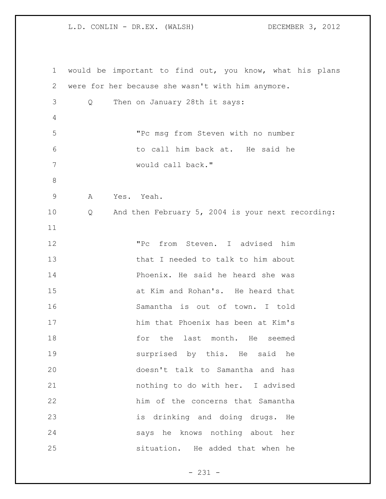| $\mathbf 1$    |   | would be important to find out, you know, what his plans |
|----------------|---|----------------------------------------------------------|
| 2              |   | were for her because she wasn't with him anymore.        |
| 3              | Q | Then on January 28th it says:                            |
| $\overline{4}$ |   |                                                          |
| 5              |   | "Pc msg from Steven with no number                       |
| 6              |   | to call him back at. He said he                          |
| 7              |   | would call back."                                        |
| $\,8\,$        |   |                                                          |
| $\mathsf 9$    | A | Yes. Yeah.                                               |
| 10             | Q | And then February 5, 2004 is your next recording:        |
| 11             |   |                                                          |
| 12             |   | from Steven. I advised him<br>"Pc                        |
| 13             |   | that I needed to talk to him about                       |
| 14             |   | Phoenix. He said he heard she was                        |
| 15             |   | at Kim and Rohan's. He heard that                        |
| 16             |   | Samantha is out of town. I told                          |
| 17             |   | him that Phoenix has been at Kim's                       |
| 18             |   | for<br>the last month. He<br>seemed                      |
| 19             |   | surprised by this. He said he                            |
| 20             |   | doesn't talk to Samantha and has                         |
| 21             |   | nothing to do with her. I advised                        |
| 22             |   | him of the concerns that Samantha                        |
| 23             |   | is drinking and doing drugs. He                          |
| 24             |   | says he knows nothing about her                          |
| 25             |   | situation. He added that when he                         |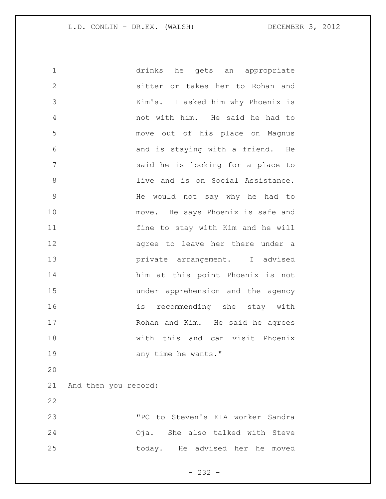drinks he gets an appropriate sitter or takes her to Rohan and Kim's. I asked him why Phoenix is not with him. He said he had to move out of his place on Magnus and is staying with a friend. He said he is looking for a place to **and is on Social Assistance.**  He would not say why he had to 10 move. He says Phoenix is safe and fine to stay with Kim and he will 12 agree to leave her there under a private arrangement. I advised him at this point Phoenix is not under apprehension and the agency is recommending she stay with Rohan and Kim. He said he agrees with this and can visit Phoenix 19 any time he wants." And then you record: "PC to Steven's EIA worker Sandra Oja. She also talked with Steve today. He advised her he moved

- 232 -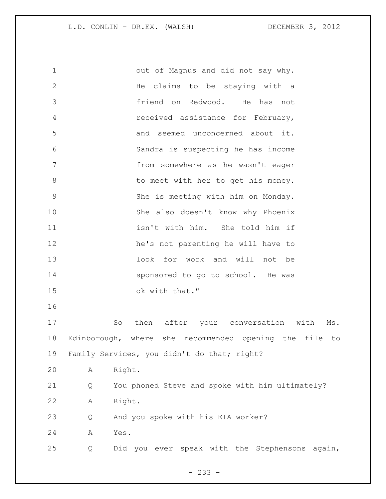out of Magnus and did not say why. He claims to be staying with a friend on Redwood. He has not received assistance for February, and seemed unconcerned about it. Sandra is suspecting he has income from somewhere as he wasn't eager 8 to meet with her to get his money. She is meeting with him on Monday. She also doesn't know why Phoenix isn't with him. She told him if he's not parenting he will have to look for work and will not be 14 sponsored to go to school. He was ok with that." So then after your conversation with Ms. Edinborough, where she recommended opening the file to Family Services, you didn't do that; right? A Right. Q You phoned Steve and spoke with him ultimately? A Right. Q And you spoke with his EIA worker? A Yes. Q Did you ever speak with the Stephensons again,